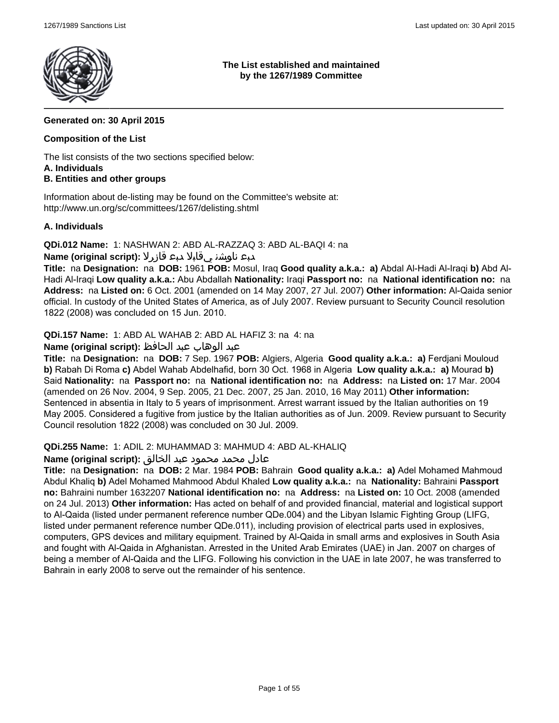

**The List established and maintained by the 1267/1989 Committee**

## **Generated on: 30 April 2015**

### **Composition of the List**

The list consists of the two sections specified below: **A. Individuals**

## **B. Entities and other groups**

Information about de-listing may be found on the Committee's website at: http://www.un.org/sc/committees/1267/delisting.shtml

### **A. Individuals**

**QDi.012 Name:** 1: NASHWAN 2: ABD AL-RAZZAQ 3: ABD AL-BAQI 4: na

## دبع ناوشن يقابلا دبع قازرلا **:(script original (Name**

**Title:** na **Designation:** na **DOB:** 1961 **POB:** Mosul, Iraq **Good quality a.k.a.: a)** Abdal Al-Hadi Al-Iraqi **b)** Abd Al-Hadi Al-Iraqi **Low quality a.k.a.:** Abu Abdallah **Nationality:** Iraqi **Passport no:** na **National identification no:** na **Address:** na **Listed on:** 6 Oct. 2001 (amended on 14 May 2007, 27 Jul. 2007) **Other information:** Al-Qaida senior official. In custody of the United States of America, as of July 2007. Review pursuant to Security Council resolution 1822 (2008) was concluded on 15 Jun. 2010.

**QDi.157 Name:** 1: ABD AL WAHAB 2: ABD AL HAFIZ 3: na 4: na

## عبد الوهاب عبد الحافظ **:(script original (Name**

**Title:** na **Designation:** na **DOB:** 7 Sep. 1967 **POB:** Algiers, Algeria **Good quality a.k.a.: a)** Ferdjani Mouloud **b)** Rabah Di Roma **c)** Abdel Wahab Abdelhafid, born 30 Oct. 1968 in Algeria **Low quality a.k.a.: a)** Mourad **b)** Said **Nationality:** na **Passport no:** na **National identification no:** na **Address:** na **Listed on:** 17 Mar. 2004 (amended on 26 Nov. 2004, 9 Sep. 2005, 21 Dec. 2007, 25 Jan. 2010, 16 May 2011) **Other information:** Sentenced in absentia in Italy to 5 years of imprisonment. Arrest warrant issued by the Italian authorities on 19 May 2005. Considered a fugitive from justice by the Italian authorities as of Jun. 2009. Review pursuant to Security Council resolution 1822 (2008) was concluded on 30 Jul. 2009.

#### **QDi.255 Name:** 1: ADIL 2: MUHAMMAD 3: MAHMUD 4: ABD AL-KHALIQ

#### عادل محمد محمود عبد الخالق **:(script original (Name**

**Title:** na **Designation:** na **DOB:** 2 Mar. 1984 **POB:** Bahrain **Good quality a.k.a.: a)** Adel Mohamed Mahmoud Abdul Khaliq **b)** Adel Mohamed Mahmood Abdul Khaled **Low quality a.k.a.:** na **Nationality:** Bahraini **Passport no:** Bahraini number 1632207 **National identification no:** na **Address:** na **Listed on:** 10 Oct. 2008 (amended on 24 Jul. 2013) **Other information:** Has acted on behalf of and provided financial, material and logistical support to Al-Qaida (listed under permanent reference number QDe.004) and the Libyan Islamic Fighting Group (LIFG, listed under permanent reference number QDe.011), including provision of electrical parts used in explosives, computers, GPS devices and military equipment. Trained by Al-Qaida in small arms and explosives in South Asia and fought with Al-Qaida in Afghanistan. Arrested in the United Arab Emirates (UAE) in Jan. 2007 on charges of being a member of Al-Qaida and the LIFG. Following his conviction in the UAE in late 2007, he was transferred to Bahrain in early 2008 to serve out the remainder of his sentence.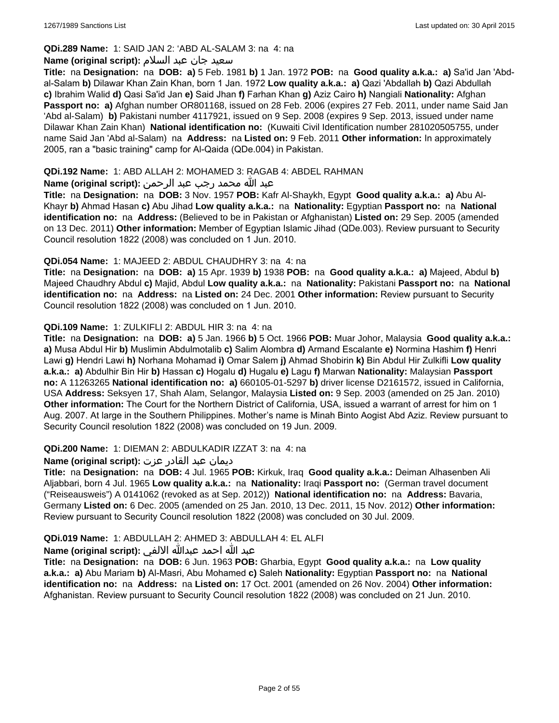## **QDi.289 Name:** 1: SAID JAN 2: 'ABD AL-SALAM 3: na 4: na

#### سعید جان عبد السلام **:(script original (Name**

**Title:** na **Designation:** na **DOB: a)** 5 Feb. 1981 **b)** 1 Jan. 1972 **POB:** na **Good quality a.k.a.: a)** Sa'id Jan 'Abdal-Salam **b)** Dilawar Khan Zain Khan, born 1 Jan. 1972 **Low quality a.k.a.: a)** Qazi 'Abdallah **b)** Qazi Abdullah **c)** Ibrahim Walid **d)** Qasi Sa'id Jan **e)** Said Jhan **f)** Farhan Khan **g)** Aziz Cairo **h)** Nangiali **Nationality:** Afghan **Passport no: a)** Afghan number OR801168, issued on 28 Feb. 2006 (expires 27 Feb. 2011, under name Said Jan 'Abd al-Salam) **b)** Pakistani number 4117921, issued on 9 Sep. 2008 (expires 9 Sep. 2013, issued under name Dilawar Khan Zain Khan) **National identification no:** (Kuwaiti Civil Identification number 281020505755, under name Said Jan 'Abd al-Salam) na **Address:** na **Listed on:** 9 Feb. 2011 **Other information:** In approximately 2005, ran a "basic training" camp for Al-Qaida (QDe.004) in Pakistan.

### **QDi.192 Name:** 1: ABD ALLAH 2: MOHAMED 3: RAGAB 4: ABDEL RAHMAN

## عبد الله محمد رجب عبد الرحمن **:(script original (Name**

**Title:** na **Designation:** na **DOB:** 3 Nov. 1957 **POB:** Kafr Al-Shaykh, Egypt **Good quality a.k.a.: a)** Abu Al-Khayr **b)** Ahmad Hasan **c)** Abu Jihad **Low quality a.k.a.:** na **Nationality:** Egyptian **Passport no:** na **National identification no:** na **Address:** (Believed to be in Pakistan or Afghanistan) **Listed on:** 29 Sep. 2005 (amended on 13 Dec. 2011) **Other information:** Member of Egyptian Islamic Jihad (QDe.003). Review pursuant to Security Council resolution 1822 (2008) was concluded on 1 Jun. 2010.

### **QDi.054 Name:** 1: MAJEED 2: ABDUL CHAUDHRY 3: na 4: na

**Title:** na **Designation:** na **DOB: a)** 15 Apr. 1939 **b)** 1938 **POB:** na **Good quality a.k.a.: a)** Majeed, Abdul **b)** Majeed Chaudhry Abdul **c)** Majid, Abdul **Low quality a.k.a.:** na **Nationality:** Pakistani **Passport no:** na **National identification no:** na **Address:** na **Listed on:** 24 Dec. 2001 **Other information:** Review pursuant to Security Council resolution 1822 (2008) was concluded on 1 Jun. 2010.

### **QDi.109 Name:** 1: ZULKIFLI 2: ABDUL HIR 3: na 4: na

**Title:** na **Designation:** na **DOB: a)** 5 Jan. 1966 **b)** 5 Oct. 1966 **POB:** Muar Johor, Malaysia **Good quality a.k.a.: a)** Musa Abdul Hir **b)** Muslimin Abdulmotalib **c)** Salim Alombra **d)** Armand Escalante **e)** Normina Hashim **f)** Henri Lawi **g)** Hendri Lawi **h)** Norhana Mohamad **i)** Omar Salem **j)** Ahmad Shobirin **k)** Bin Abdul Hir Zulkifli **Low quality a.k.a.: a)** Abdulhir Bin Hir **b)** Hassan **c)** Hogalu **d)** Hugalu **e)** Lagu **f)** Marwan **Nationality:** Malaysian **Passport no:** A 11263265 **National identification no: a)** 660105-01-5297 **b)** driver license D2161572, issued in California, USA **Address:** Seksyen 17, Shah Alam, Selangor, Malaysia **Listed on:** 9 Sep. 2003 (amended on 25 Jan. 2010) **Other information:** The Court for the Northern District of California, USA, issued a warrant of arrest for him on 1 Aug. 2007. At large in the Southern Philippines. Mother's name is Minah Binto Aogist Abd Aziz. Review pursuant to Security Council resolution 1822 (2008) was concluded on 19 Jun. 2009.

#### **QDi.200 Name:** 1: DIEMAN 2: ABDULKADIR IZZAT 3: na 4: na

#### ديمان عبد القادر عزت **:(script original (Name**

**Title:** na **Designation:** na **DOB:** 4 Jul. 1965 **POB:** Kirkuk, Iraq **Good quality a.k.a.:** Deiman Alhasenben Ali Aljabbari, born 4 Jul. 1965 **Low quality a.k.a.:** na **Nationality:** Iraqi **Passport no:** (German travel document ("Reiseausweis") A 0141062 (revoked as at Sep. 2012)) **National identification no:** na **Address:** Bavaria, Germany **Listed on:** 6 Dec. 2005 (amended on 25 Jan. 2010, 13 Dec. 2011, 15 Nov. 2012) **Other information:** Review pursuant to Security Council resolution 1822 (2008) was concluded on 30 Jul. 2009.

## **QDi.019 Name:** 1: ABDULLAH 2: AHMED 3: ABDULLAH 4: EL ALFI

#### عبد الله احمد عبدالله الالفي **:(script original (Name**

**Title:** na **Designation:** na **DOB:** 6 Jun. 1963 **POB:** Gharbia, Egypt **Good quality a.k.a.:** na **Low quality a.k.a.: a)** Abu Mariam **b)** Al-Masri, Abu Mohamed **c)** Saleh **Nationality:** Egyptian **Passport no:** na **National identification no:** na **Address:** na **Listed on:** 17 Oct. 2001 (amended on 26 Nov. 2004) **Other information:** Afghanistan. Review pursuant to Security Council resolution 1822 (2008) was concluded on 21 Jun. 2010.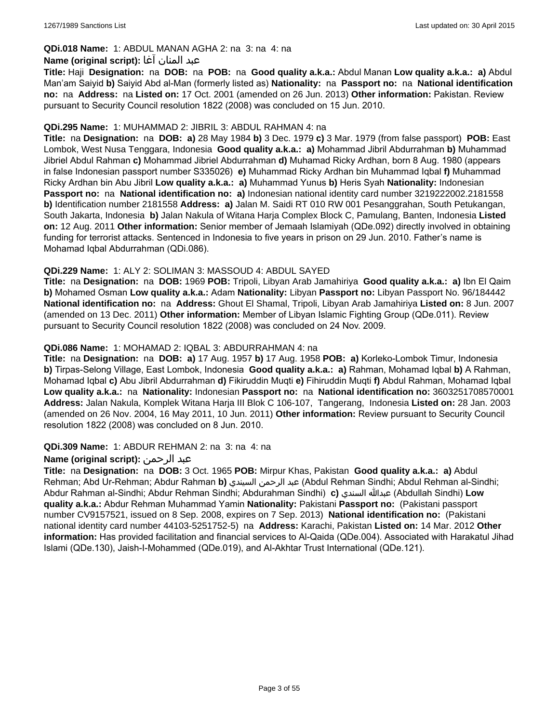## **QDi.018 Name:** 1: ABDUL MANAN AGHA 2: na 3: na 4: na

#### عبد المنان آغا **:(script original (Name**

**Title:** Haji **Designation:** na **DOB:** na **POB:** na **Good quality a.k.a.:** Abdul Manan **Low quality a.k.a.: a)** Abdul Man'am Saiyid **b)** Saiyid Abd al-Man (formerly listed as) **Nationality:** na **Passport no:** na **National identification no:** na **Address:** na **Listed on:** 17 Oct. 2001 (amended on 26 Jun. 2013) **Other information:** Pakistan. Review pursuant to Security Council resolution 1822 (2008) was concluded on 15 Jun. 2010.

#### **QDi.295 Name:** 1: MUHAMMAD 2: JIBRIL 3: ABDUL RAHMAN 4: na

**Title:** na **Designation:** na **DOB: a)** 28 May 1984 **b)** 3 Dec. 1979 **c)** 3 Mar. 1979 (from false passport) **POB:** East Lombok, West Nusa Tenggara, Indonesia **Good quality a.k.a.: a)** Mohammad Jibril Abdurrahman **b)** Muhammad Jibriel Abdul Rahman **c)** Mohammad Jibriel Abdurrahman **d)** Muhamad Ricky Ardhan, born 8 Aug. 1980 (appears in false Indonesian passport number S335026) **e)** Muhammad Ricky Ardhan bin Muhammad Iqbal **f)** Muhammad Ricky Ardhan bin Abu Jibril **Low quality a.k.a.: a)** Muhammad Yunus **b)** Heris Syah **Nationality:** Indonesian **Passport no:** na **National identification no: a)** Indonesian national identity card number 3219222002.2181558 **b)** Identification number 2181558 **Address: a)** Jalan M. Saidi RT 010 RW 001 Pesanggrahan, South Petukangan, South Jakarta, Indonesia **b)** Jalan Nakula of Witana Harja Complex Block C, Pamulang, Banten, Indonesia **Listed on:** 12 Aug. 2011 **Other information:** Senior member of Jemaah Islamiyah (QDe.092) directly involved in obtaining funding for terrorist attacks. Sentenced in Indonesia to five years in prison on 29 Jun. 2010. Father's name is Mohamad Iqbal Abdurrahman (QDi.086).

### **QDi.229 Name:** 1: ALY 2: SOLIMAN 3: MASSOUD 4: ABDUL SAYED

**Title:** na **Designation:** na **DOB:** 1969 **POB:** Tripoli, Libyan Arab Jamahiriya **Good quality a.k.a.: a)** Ibn El Qaim **b)** Mohamed Osman **Low quality a.k.a.:** Adam **Nationality:** Libyan **Passport no:** Libyan Passport No. 96/184442 **National identification no:** na **Address:** Ghout El Shamal, Tripoli, Libyan Arab Jamahiriya **Listed on:** 8 Jun. 2007 (amended on 13 Dec. 2011) **Other information:** Member of Libyan Islamic Fighting Group (QDe.011). Review pursuant to Security Council resolution 1822 (2008) was concluded on 24 Nov. 2009.

### **QDi.086 Name:** 1: MOHAMAD 2: IQBAL 3: ABDURRAHMAN 4: na

**Title:** na **Designation:** na **DOB: a)** 17 Aug. 1957 **b)** 17 Aug. 1958 **POB: a)** Korleko-Lombok Timur, Indonesia **b)** Tirpas-Selong Village, East Lombok, Indonesia **Good quality a.k.a.: a)** Rahman, Mohamad Iqbal **b)** A Rahman, Mohamad Iqbal **c)** Abu Jibril Abdurrahman **d)** Fikiruddin Muqti **e)** Fihiruddin Muqti **f)** Abdul Rahman, Mohamad Iqbal **Low quality a.k.a.:** na **Nationality:** Indonesian **Passport no:** na **National identification no:** 3603251708570001 **Address:** Jalan Nakula, Komplek Witana Harja III Blok C 106-107, Tangerang, Indonesia **Listed on:** 28 Jan. 2003 (amended on 26 Nov. 2004, 16 May 2011, 10 Jun. 2011) **Other information:** Review pursuant to Security Council resolution 1822 (2008) was concluded on 8 Jun. 2010.

#### **QDi.309 Name:** 1: ABDUR REHMAN 2: na 3: na 4: na

## **Name (original script):** الرحمن عبد

**Title:** na **Designation:** na **DOB:** 3 Oct. 1965 **POB:** Mirpur Khas, Pakistan **Good quality a.k.a.: a)** Abdul Rehman; Abd Ur-Rehman; Abdur Rahman **b)** السيندي الرحمن عبد) Abdul Rehman Sindhi; Abdul Rehman al-Sindhi; Abdur Rahman al-Sindhi; Abdur Rehman Sindhi; Abdurahman Sindhi) **c)** السندي عبدالله) Abdullah Sindhi) **Low quality a.k.a.:** Abdur Rehman Muhammad Yamin **Nationality:** Pakistani **Passport no:** (Pakistani passport number CV9157521, issued on 8 Sep. 2008, expires on 7 Sep. 2013) **National identification no:** (Pakistani national identity card number 44103-5251752-5) na **Address:** Karachi, Pakistan **Listed on:** 14 Mar. 2012 **Other information:** Has provided facilitation and financial services to Al-Qaida (QDe.004). Associated with Harakatul Jihad Islami (QDe.130), Jaish-I-Mohammed (QDe.019), and Al-Akhtar Trust International (QDe.121).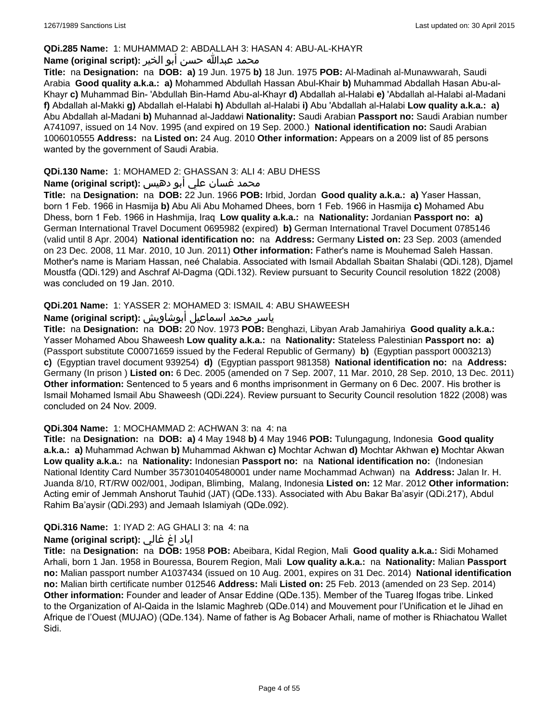#### **QDi.285 Name:** 1: MUHAMMAD 2: ABDALLAH 3: HASAN 4: ABU-AL-KHAYR

#### محمد عبدالله حسن أبو الخير **:Name (original script**)

**Title:** na **Designation:** na **DOB: a)** 19 Jun. 1975 **b)** 18 Jun. 1975 **POB:** Al-Madinah al-Munawwarah, Saudi Arabia **Good quality a.k.a.: a)** Mohammed Abdullah Hassan Abul-Khair **b)** Muhammad Abdallah Hasan Abu-al-Khayr **c)** Muhammad Bin- 'Abdullah Bin-Hamd Abu-al-Khayr **d)** Abdallah al-Halabi **e)** 'Abdallah al-Halabi al-Madani **f)** Abdallah al-Makki **g)** Abdallah el-Halabi **h)** Abdullah al-Halabi **i)** Abu 'Abdallah al-Halabi **Low quality a.k.a.: a)** Abu Abdallah al-Madani **b)** Muhannad al-Jaddawi **Nationality:** Saudi Arabian **Passport no:** Saudi Arabian number A741097, issued on 14 Nov. 1995 (and expired on 19 Sep. 2000.) **National identification no:** Saudi Arabian 1006010555 **Address:** na **Listed on:** 24 Aug. 2010 **Other information:** Appears on a 2009 list of 85 persons wanted by the government of Saudi Arabia.

## **QDi.130 Name:** 1: MOHAMED 2: GHASSAN 3: ALI 4: ABU DHESS

# محمد غسان علي أبو دهيس :(Name (original script

**Title:** na **Designation:** na **DOB:** 22 Jun. 1966 **POB:** Irbid, Jordan **Good quality a.k.a.: a)** Yaser Hassan, born 1 Feb. 1966 in Hasmija **b)** Abu Ali Abu Mohamed Dhees, born 1 Feb. 1966 in Hasmija **c)** Mohamed Abu Dhess, born 1 Feb. 1966 in Hashmija, Iraq **Low quality a.k.a.:** na **Nationality:** Jordanian **Passport no: a)** German International Travel Document 0695982 (expired) **b)** German International Travel Document 0785146 (valid until 8 Apr. 2004) **National identification no:** na **Address:** Germany **Listed on:** 23 Sep. 2003 (amended on 23 Dec. 2008, 11 Mar. 2010, 10 Jun. 2011) **Other information:** Father's name is Mouhemad Saleh Hassan. Mother's name is Mariam Hassan, neé Chalabia. Associated with Ismail Abdallah Sbaitan Shalabi (QDi.128), Djamel Moustfa (QDi.129) and Aschraf Al-Dagma (QDi.132). Review pursuant to Security Council resolution 1822 (2008) was concluded on 19 Jan. 2010.

## **QDi.201 Name:** 1: YASSER 2: MOHAMED 3: ISMAIL 4: ABU SHAWEESH

# ياسر محمد اسماعيل أبوشاويش :Name (original script)

**Title:** na **Designation:** na **DOB:** 20 Nov. 1973 **POB:** Benghazi, Libyan Arab Jamahiriya **Good quality a.k.a.:** Yasser Mohamed Abou Shaweesh **Low quality a.k.a.:** na **Nationality:** Stateless Palestinian **Passport no: a)**  (Passport substitute C00071659 issued by the Federal Republic of Germany) **b)** (Egyptian passport 0003213) **c)** (Egyptian travel document 939254) **d)** (Egyptian passport 981358) **National identification no:** na **Address:** Germany (In prison ) **Listed on:** 6 Dec. 2005 (amended on 7 Sep. 2007, 11 Mar. 2010, 28 Sep. 2010, 13 Dec. 2011) **Other information:** Sentenced to 5 years and 6 months imprisonment in Germany on 6 Dec. 2007. His brother is Ismail Mohamed Ismail Abu Shaweesh (QDi.224). Review pursuant to Security Council resolution 1822 (2008) was concluded on 24 Nov. 2009.

#### **QDi.304 Name:** 1: MOCHAMMAD 2: ACHWAN 3: na 4: na

**Title:** na **Designation:** na **DOB: a)** 4 May 1948 **b)** 4 May 1946 **POB:** Tulungagung, Indonesia **Good quality a.k.a.: a)** Muhammad Achwan **b)** Muhammad Akhwan **c)** Mochtar Achwan **d)** Mochtar Akhwan **e)** Mochtar Akwan **Low quality a.k.a.:** na **Nationality:** Indonesian **Passport no:** na **National identification no:** (Indonesian National Identity Card Number 3573010405480001 under name Mochammad Achwan) na **Address:** Jalan Ir. H. Juanda 8/10, RT/RW 002/001, Jodipan, Blimbing, Malang, Indonesia **Listed on:** 12 Mar. 2012 **Other information:** Acting emir of Jemmah Anshorut Tauhid (JAT) (QDe.133). Associated with Abu Bakar Ba'asyir (QDi.217), Abdul Rahim Ba'aysir (QDi.293) and Jemaah Islamiyah (QDe.092).

## **QDi.316 Name:** 1: IYAD 2: AG GHALI 3: na 4: na

## اياد اغ غالي **:(script original (Name**

**Title:** na **Designation:** na **DOB:** 1958 **POB:** Abeibara, Kidal Region, Mali **Good quality a.k.a.:** Sidi Mohamed Arhali, born 1 Jan. 1958 in Bouressa, Bourem Region, Mali **Low quality a.k.a.:** na **Nationality:** Malian **Passport no:** Malian passport number A1037434 (issued on 10 Aug. 2001, expires on 31 Dec. 2014) **National identification no:** Malian birth certificate number 012546 **Address:** Mali **Listed on:** 25 Feb. 2013 (amended on 23 Sep. 2014) **Other information:** Founder and leader of Ansar Eddine (QDe.135). Member of the Tuareg Ifogas tribe. Linked to the Organization of Al-Qaida in the Islamic Maghreb (QDe.014) and Mouvement pour l'Unification et le Jihad en Afrique de l'Ouest (MUJAO) (QDe.134). Name of father is Ag Bobacer Arhali, name of mother is Rhiachatou Wallet Sidi.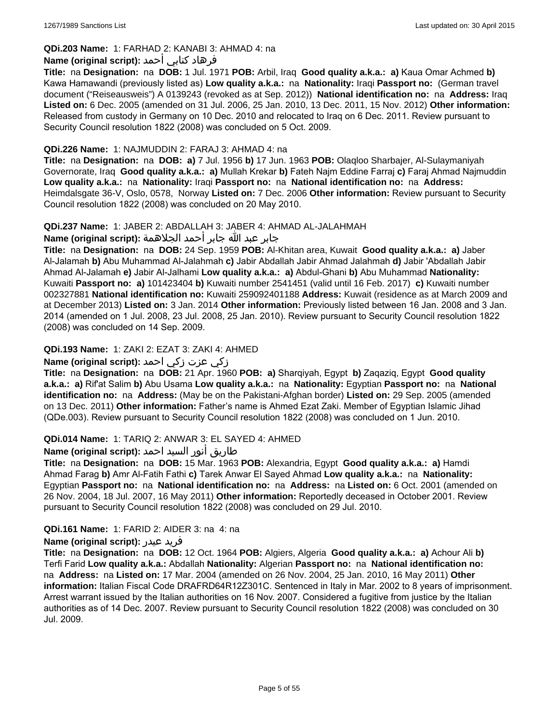## **QDi.203 Name:** 1: FARHAD 2: KANABI 3: AHMAD 4: na

## فرهاد كنابي أحمد **:Name (original script)**

**Title:** na **Designation:** na **DOB:** 1 Jul. 1971 **POB:** Arbil, Iraq **Good quality a.k.a.: a)** Kaua Omar Achmed **b)** Kawa Hamawandi (previously listed as) **Low quality a.k.a.:** na **Nationality:** Iraqi **Passport no:** (German travel document ("Reiseausweis") A 0139243 (revoked as at Sep. 2012)) **National identification no:** na **Address:** Iraq **Listed on:** 6 Dec. 2005 (amended on 31 Jul. 2006, 25 Jan. 2010, 13 Dec. 2011, 15 Nov. 2012) **Other information:** Released from custody in Germany on 10 Dec. 2010 and relocated to Iraq on 6 Dec. 2011. Review pursuant to Security Council resolution 1822 (2008) was concluded on 5 Oct. 2009.

### **QDi.226 Name:** 1: NAJMUDDIN 2: FARAJ 3: AHMAD 4: na

**Title:** na **Designation:** na **DOB: a)** 7 Jul. 1956 **b)** 17 Jun. 1963 **POB:** Olaqloo Sharbajer, Al-Sulaymaniyah Governorate, Iraq **Good quality a.k.a.: a)** Mullah Krekar **b)** Fateh Najm Eddine Farraj **c)** Faraj Ahmad Najmuddin **Low quality a.k.a.:** na **Nationality:** Iraqi **Passport no:** na **National identification no:** na **Address:** Heimdalsgate 36-V, Oslo, 0578, Norway **Listed on:** 7 Dec. 2006 **Other information:** Review pursuant to Security Council resolution 1822 (2008) was concluded on 20 May 2010.

### **QDi.237 Name:** 1: JABER 2: ABDALLAH 3: JABER 4: AHMAD AL-JALAHMAH

جابر عبد الله جابر أحمد الجلاهمة **:(script original (Name**

**Title:** na **Designation:** na **DOB:** 24 Sep. 1959 **POB:** Al-Khitan area, Kuwait **Good quality a.k.a.: a)** Jaber Al-Jalamah **b)** Abu Muhammad Al-Jalahmah **c)** Jabir Abdallah Jabir Ahmad Jalahmah **d)** Jabir 'Abdallah Jabir Ahmad Al-Jalamah **e)** Jabir Al-Jalhami **Low quality a.k.a.: a)** Abdul-Ghani **b)** Abu Muhammad **Nationality:** Kuwaiti **Passport no: a)** 101423404 **b)** Kuwaiti number 2541451 (valid until 16 Feb. 2017) **c)** Kuwaiti number 002327881 **National identification no:** Kuwaiti 259092401188 **Address:** Kuwait (residence as at March 2009 and at December 2013) **Listed on:** 3 Jan. 2014 **Other information:** Previously listed between 16 Jan. 2008 and 3 Jan. 2014 (amended on 1 Jul. 2008, 23 Jul. 2008, 25 Jan. 2010). Review pursuant to Security Council resolution 1822 (2008) was concluded on 14 Sep. 2009.

## **QDi.193 Name:** 1: ZAKI 2: EZAT 3: ZAKI 4: AHMED

## زكي عزت زكي احمد **:(script original (Name**

**Title:** na **Designation:** na **DOB:** 21 Apr. 1960 **POB: a)** Sharqiyah, Egypt **b)** Zaqaziq, Egypt **Good quality a.k.a.: a)** Rif'at Salim **b)** Abu Usama **Low quality a.k.a.:** na **Nationality:** Egyptian **Passport no:** na **National identification no:** na **Address:** (May be on the Pakistani-Afghan border) **Listed on:** 29 Sep. 2005 (amended on 13 Dec. 2011) **Other information:** Father's name is Ahmed Ezat Zaki. Member of Egyptian Islamic Jihad (QDe.003). Review pursuant to Security Council resolution 1822 (2008) was concluded on 1 Jun. 2010.

## **QDi.014 Name:** 1: TARIQ 2: ANWAR 3: EL SAYED 4: AHMED

## طاريق أنور السيد احمد **:Name (original script**)

**Title:** na **Designation:** na **DOB:** 15 Mar. 1963 **POB:** Alexandria, Egypt **Good quality a.k.a.: a)** Hamdi Ahmad Farag **b)** Amr Al-Fatih Fathi **c)** Tarek Anwar El Sayed Ahmad **Low quality a.k.a.:** na **Nationality:** Egyptian **Passport no:** na **National identification no:** na **Address:** na **Listed on:** 6 Oct. 2001 (amended on 26 Nov. 2004, 18 Jul. 2007, 16 May 2011) **Other information:** Reportedly deceased in October 2001. Review pursuant to Security Council resolution 1822 (2008) was concluded on 29 Jul. 2010.

## **QDi.161 Name:** 1: FARID 2: AIDER 3: na 4: na

#### **Name (original script):** عيدر فريد

**Title:** na **Designation:** na **DOB:** 12 Oct. 1964 **POB:** Algiers, Algeria **Good quality a.k.a.: a)** Achour Ali **b)** Terfi Farid **Low quality a.k.a.:** Abdallah **Nationality:** Algerian **Passport no:** na **National identification no:**  na **Address:** na **Listed on:** 17 Mar. 2004 (amended on 26 Nov. 2004, 25 Jan. 2010, 16 May 2011) **Other information:** Italian Fiscal Code DRAFRD64R12Z301C. Sentenced in Italy in Mar. 2002 to 8 years of imprisonment. Arrest warrant issued by the Italian authorities on 16 Nov. 2007. Considered a fugitive from justice by the Italian authorities as of 14 Dec. 2007. Review pursuant to Security Council resolution 1822 (2008) was concluded on 30 Jul. 2009.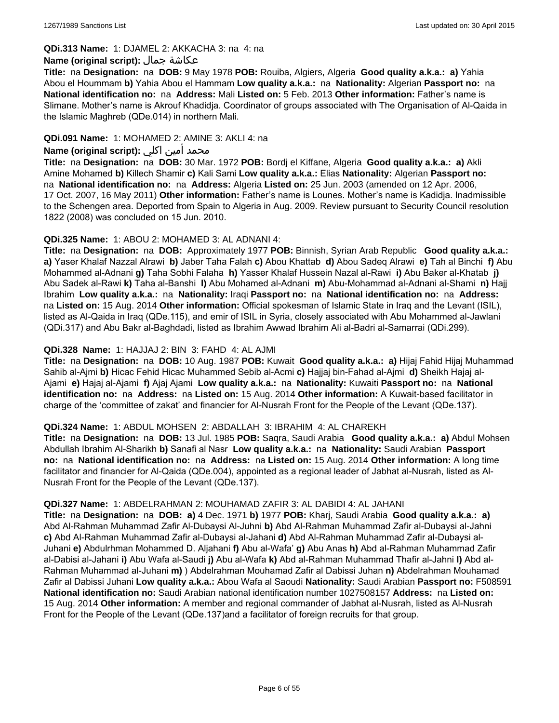#### **QDi.313 Name:** 1: DJAMEL 2: AKKACHA 3: na 4: na

#### **Name (original script):** جمال عكاشة

**Title:** na **Designation:** na **DOB:** 9 May 1978 **POB:** Rouiba, Algiers, Algeria **Good quality a.k.a.: a)** Yahia Abou el Hoummam **b)** Yahia Abou el Hammam **Low quality a.k.a.:** na **Nationality:** Algerian **Passport no:** na **National identification no:** na **Address:** Mali **Listed on:** 5 Feb. 2013 **Other information:** Father's name is Slimane. Mother's name is Akrouf Khadidja. Coordinator of groups associated with The Organisation of Al-Qaida in the Islamic Maghreb (QDe.014) in northern Mali.

## **QDi.091 Name:** 1: MOHAMED 2: AMINE 3: AKLI 4: na

## محمد أمين اكلي **:Name (original script)**

**Title:** na **Designation:** na **DOB:** 30 Mar. 1972 **POB:** Bordj el Kiffane, Algeria **Good quality a.k.a.: a)** Akli Amine Mohamed **b)** Killech Shamir **c)** Kali Sami **Low quality a.k.a.:** Elias **Nationality:** Algerian **Passport no:**  na **National identification no:** na **Address:** Algeria **Listed on:** 25 Jun. 2003 (amended on 12 Apr. 2006, 17 Oct. 2007, 16 May 2011) **Other information:** Father's name is Lounes. Mother's name is Kadidja. Inadmissible to the Schengen area. Deported from Spain to Algeria in Aug. 2009. Review pursuant to Security Council resolution 1822 (2008) was concluded on 15 Jun. 2010.

#### **QDi.325 Name:** 1: ABOU 2: MOHAMED 3: AL ADNANI 4:

**Title:** na **Designation:** na **DOB:** Approximately 1977 **POB:** Binnish, Syrian Arab Republic **Good quality a.k.a.: a)** Yaser Khalaf Nazzal Alrawi **b)** Jaber Taha Falah **c)** Abou Khattab **d)** Abou Sadeq Alrawi **e)** Tah al Binchi **f)** Abu Mohammed al-Adnani **g)** Taha Sobhi Falaha **h)** Yasser Khalaf Hussein Nazal al-Rawi **i)** Abu Baker al-Khatab **j)** Abu Sadek al-Rawi **k)** Taha al-Banshi **l)** Abu Mohamed al-Adnani **m)** Abu-Mohammad al-Adnani al-Shami **n)** Hajj Ibrahim **Low quality a.k.a.:** na **Nationality:** Iraqi **Passport no:** na **National identification no:** na **Address:**  na **Listed on:** 15 Aug. 2014 **Other information:** Official spokesman of Islamic State in Iraq and the Levant (ISIL), listed as Al-Qaida in Iraq (QDe.115), and emir of ISIL in Syria, closely associated with Abu Mohammed al-Jawlani (QDi.317) and Abu Bakr al-Baghdadi, listed as Ibrahim Awwad Ibrahim Ali al-Badri al-Samarrai (QDi.299).

### **QDi.328 Name:** 1: HAJJAJ 2: BIN 3: FAHD 4: AL AJMI

**Title:** na **Designation:** na **DOB:** 10 Aug. 1987 **POB:** Kuwait **Good quality a.k.a.: a)** Hijaj Fahid Hijaj Muhammad Sahib al-Ajmi **b)** Hicac Fehid Hicac Muhammed Sebib al-Acmi **c)** Hajjaj bin-Fahad al-Ajmi **d)** Sheikh Hajaj al-Ajami **e)** Hajaj al-Ajami **f)** Ajaj Ajami **Low quality a.k.a.:** na **Nationality:** Kuwaiti **Passport no:** na **National identification no:** na **Address:** na **Listed on:** 15 Aug. 2014 **Other information:** A Kuwait-based facilitator in charge of the 'committee of zakat' and financier for Al-Nusrah Front for the People of the Levant (QDe.137).

#### **QDi.324 Name:** 1: ABDUL MOHSEN 2: ABDALLAH 3: IBRAHIM 4: AL CHAREKH

**Title:** na **Designation:** na **DOB:** 13 Jul. 1985 **POB:** Saqra, Saudi Arabia **Good quality a.k.a.: a)** Abdul Mohsen Abdullah Ibrahim Al-Sharikh **b)** Sanafi al Nasr **Low quality a.k.a.:** na **Nationality:** Saudi Arabian **Passport no:** na **National identification no:** na **Address:** na **Listed on:** 15 Aug. 2014 **Other information:** A long time facilitator and financier for Al-Qaida (QDe.004), appointed as a regional leader of Jabhat al-Nusrah, listed as Al-Nusrah Front for the People of the Levant (QDe.137).

#### **QDi.327 Name:** 1: ABDELRAHMAN 2: MOUHAMAD ZAFIR 3: AL DABIDI 4: AL JAHANI

**Title:** na **Designation:** na **DOB: a)** 4 Dec. 1971 **b)** 1977 **POB:** Kharj, Saudi Arabia **Good quality a.k.a.: a)** Abd Al-Rahman Muhammad Zafir Al-Dubaysi Al-Juhni **b)** Abd Al-Rahman Muhammad Zafir al-Dubaysi al-Jahni **c)** Abd Al-Rahman Muhammad Zafir al-Dubaysi al-Jahani **d)** Abd Al-Rahman Muhammad Zafir al-Dubaysi al-Juhani **e)** Abdulrhman Mohammed D. Aljahani **f)** Abu al-Wafa' **g)** Abu Anas **h)** Abd al-Rahman Muhammad Zafir al-Dabisi al-Jahani **i)** Abu Wafa al-Saudi **j)** Abu al-Wafa **k)** Abd al-Rahman Muhammad Thafir al-Jahni **l)** Abd al-Rahman Muhammad al-Juhani **m)** ) Abdelrahman Mouhamad Zafir al Dabissi Juhan **n)** Abdelrahman Mouhamad Zafir al Dabissi Juhani **Low quality a.k.a.:** Abou Wafa al Saoudi **Nationality:** Saudi Arabian **Passport no:** F508591 **National identification no:** Saudi Arabian national identification number 1027508157 **Address:** na **Listed on:** 15 Aug. 2014 **Other information:** A member and regional commander of Jabhat al-Nusrah, listed as Al-Nusrah Front for the People of the Levant (QDe.137)and a facilitator of foreign recruits for that group.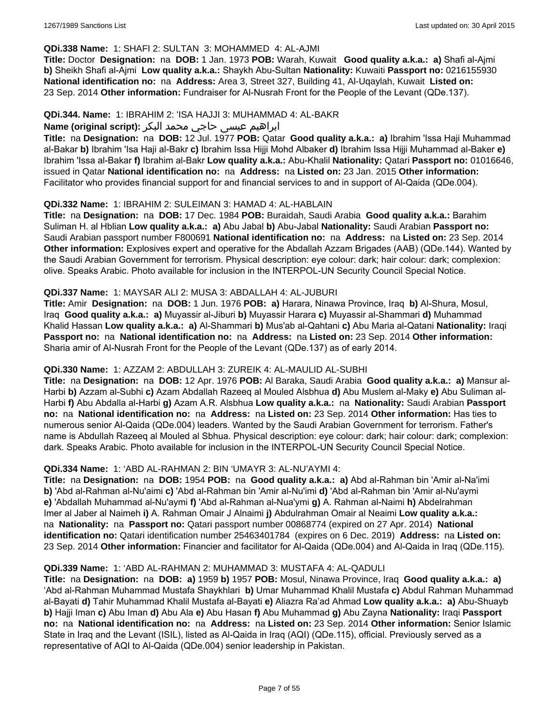#### **QDi.338 Name:** 1: SHAFI 2: SULTAN 3: MOHAMMED 4: AL-AJMI

**Title:** Doctor **Designation:** na **DOB:** 1 Jan. 1973 **POB:** Warah, Kuwait **Good quality a.k.a.: a)** Shafi al-Ajmi **b)** Sheikh Shafi al-Ajmi **Low quality a.k.a.:** Shaykh Abu-Sultan **Nationality:** Kuwaiti **Passport no:** 0216155930 **National identification no:** na **Address:** Area 3, Street 327, Building 41, Al-Uqaylah, Kuwait **Listed on:** 23 Sep. 2014 **Other information:** Fundraiser for Al-Nusrah Front for the People of the Levant (QDe.137).

#### **QDi.344. Name:** 1: IBRAHIM 2: 'ISA HAJJI 3: MUHAMMAD 4: AL-BAKR

## ابراهیم عیسی حاجي محمد البکر **:(script original (Name**

**Title:** na **Designation:** na **DOB:** 12 Jul. 1977 **POB:** Qatar **Good quality a.k.a.: a)** Ibrahim 'Issa Haji Muhammad al-Bakar **b)** Ibrahim 'Isa Haji al-Bakr **c)** Ibrahim Issa Hijji Mohd Albaker **d)** Ibrahim Issa Hijji Muhammad al-Baker **e)** Ibrahim 'Issa al-Bakar **f)** Ibrahim al-Bakr **Low quality a.k.a.:** Abu-Khalil **Nationality:** Qatari **Passport no:** 01016646, issued in Qatar **National identification no:** na **Address:** na **Listed on:** 23 Jan. 2015 **Other information:** Facilitator who provides financial support for and financial services to and in support of Al-Qaida (QDe.004).

### **QDi.332 Name:** 1: IBRAHIM 2: SULEIMAN 3: HAMAD 4: AL-HABLAIN

**Title:** na **Designation:** na **DOB:** 17 Dec. 1984 **POB:** Buraidah, Saudi Arabia **Good quality a.k.a.:** Barahim Suliman H. al Hblian **Low quality a.k.a.: a)** Abu Jabal **b)** Abu-Jabal **Nationality:** Saudi Arabian **Passport no:** Saudi Arabian passport number F800691 **National identification no:** na **Address:** na **Listed on:** 23 Sep. 2014 **Other information:** Explosives expert and operative for the Abdallah Azzam Brigades (AAB) (QDe.144). Wanted by the Saudi Arabian Government for terrorism. Physical description: eye colour: dark; hair colour: dark; complexion: olive. Speaks Arabic. Photo available for inclusion in the INTERPOL-UN Security Council Special Notice.

#### **QDi.337 Name:** 1: MAYSAR ALI 2: MUSA 3: ABDALLAH 4: AL-JUBURI

**Title:** Amir **Designation:** na **DOB:** 1 Jun. 1976 **POB: a)** Harara, Ninawa Province, Iraq **b)** Al-Shura, Mosul, Iraq **Good quality a.k.a.: a)** Muyassir al-Jiburi **b)** Muyassir Harara **c)** Muyassir al-Shammari **d)** Muhammad Khalid Hassan **Low quality a.k.a.: a)** Al-Shammari **b)** Mus'ab al-Qahtani **c)** Abu Maria al-Qatani **Nationality:** Iraqi **Passport no:** na **National identification no:** na **Address:** na **Listed on:** 23 Sep. 2014 **Other information:** Sharia amir of Al-Nusrah Front for the People of the Levant (QDe.137) as of early 2014.

## **QDi.330 Name:** 1: AZZAM 2: ABDULLAH 3: ZUREIK 4: AL-MAULID AL-SUBHI

**Title:** na **Designation:** na **DOB:** 12 Apr. 1976 **POB:** Al Baraka, Saudi Arabia **Good quality a.k.a.: a)** Mansur al-Harbi **b)** Azzam al-Subhi **c)** Azam Abdallah Razeeq al Mouled Alsbhua **d)** Abu Muslem al-Maky **e)** Abu Suliman al-Harbi **f)** Abu Abdalla al-Harbi **g)** Azam A.R. Alsbhua **Low quality a.k.a.:** na **Nationality:** Saudi Arabian **Passport no:** na **National identification no:** na **Address:** na **Listed on:** 23 Sep. 2014 **Other information:** Has ties to numerous senior Al-Qaida (QDe.004) leaders. Wanted by the Saudi Arabian Government for terrorism. Father's name is Abdullah Razeeq al Mouled al Sbhua. Physical description: eye colour: dark; hair colour: dark; complexion: dark. Speaks Arabic. Photo available for inclusion in the INTERPOL-UN Security Council Special Notice.

## **QDi.334 Name:** 1: 'ABD AL-RAHMAN 2: BIN 'UMAYR 3: AL-NU'AYMI 4:

**Title:** na **Designation:** na **DOB:** 1954 **POB:** na **Good quality a.k.a.: a)** Abd al-Rahman bin 'Amir al-Na'imi **b)** 'Abd al-Rahman al-Nu'aimi **c)** 'Abd al-Rahman bin 'Amir al-Nu'imi **d)** 'Abd al-Rahman bin 'Amir al-Nu'aymi **e)** 'Abdallah Muhammad al-Nu'aymi **f)** 'Abd al-Rahman al-Nua'ymi **g)** A. Rahman al-Naimi **h)** Abdelrahman Imer al Jaber al Naimeh **i)** A. Rahman Omair J Alnaimi **j)** Abdulrahman Omair al Neaimi **Low quality a.k.a.:**  na **Nationality:** na **Passport no:** Qatari passport number 00868774 (expired on 27 Apr. 2014) **National identification no:** Qatari identification number 25463401784 (expires on 6 Dec. 2019) **Address:** na **Listed on:** 23 Sep. 2014 **Other information:** Financier and facilitator for Al-Qaida (QDe.004) and Al-Qaida in Iraq (QDe.115).

#### **QDi.339 Name:** 1: 'ABD AL-RAHMAN 2: MUHAMMAD 3: MUSTAFA 4: AL-QADULI

**Title:** na **Designation:** na **DOB: a)** 1959 **b)** 1957 **POB:** Mosul, Ninawa Province, Iraq **Good quality a.k.a.: a)** 'Abd al-Rahman Muhammad Mustafa Shaykhlari **b)** Umar Muhammad Khalil Mustafa **c)** Abdul Rahman Muhammad al-Bayati **d)** Tahir Muhammad Khalil Mustafa al-Bayati **e)** Aliazra Ra'ad Ahmad **Low quality a.k.a.: a)** Abu-Shuayb **b)** Hajji Iman **c)** Abu Iman **d)** Abu Ala **e)** Abu Hasan **f)** Abu Muhammad **g)** Abu Zayna **Nationality:** Iraqi **Passport no:** na **National identification no:** na **Address:** na **Listed on:** 23 Sep. 2014 **Other information:** Senior Islamic State in Iraq and the Levant (ISIL), listed as Al-Qaida in Iraq (AQI) (QDe.115), official. Previously served as a representative of AQI to Al-Qaida (QDe.004) senior leadership in Pakistan.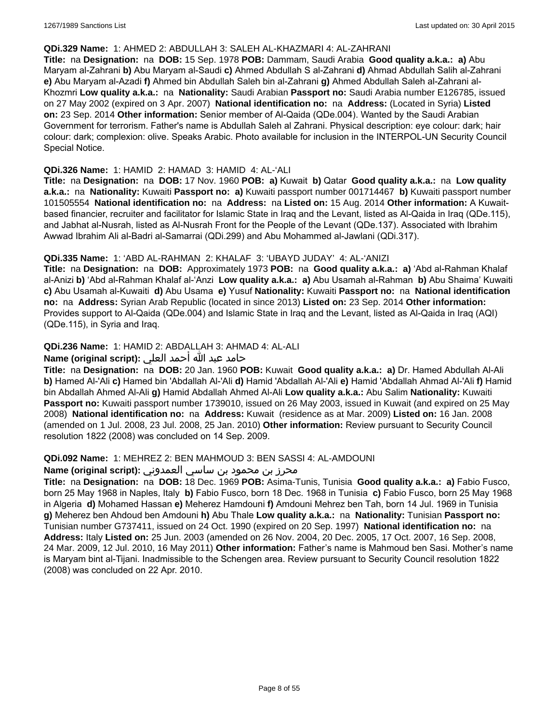#### **QDi.329 Name:** 1: AHMED 2: ABDULLAH 3: SALEH AL-KHAZMARI 4: AL-ZAHRANI

**Title:** na **Designation:** na **DOB:** 15 Sep. 1978 **POB:** Dammam, Saudi Arabia **Good quality a.k.a.: a)** Abu Maryam al-Zahrani **b)** Abu Maryam al-Saudi **c)** Ahmed Abdullah S al-Zahrani **d)** Ahmad Abdullah Salih al-Zahrani **e)** Abu Maryam al-Azadi **f)** Ahmed bin Abdullah Saleh bin al-Zahrani **g)** Ahmed Abdullah Saleh al-Zahrani al-Khozmri **Low quality a.k.a.:** na **Nationality:** Saudi Arabian **Passport no:** Saudi Arabia number E126785, issued on 27 May 2002 (expired on 3 Apr. 2007) **National identification no:** na **Address:** (Located in Syria) **Listed on:** 23 Sep. 2014 **Other information:** Senior member of Al-Qaida (QDe.004). Wanted by the Saudi Arabian Government for terrorism. Father's name is Abdullah Saleh al Zahrani. Physical description: eye colour: dark; hair colour: dark; complexion: olive. Speaks Arabic. Photo available for inclusion in the INTERPOL-UN Security Council Special Notice.

#### **QDi.326 Name:** 1: HAMID 2: HAMAD 3: HAMID 4: AL-'ALI

**Title:** na **Designation:** na **DOB:** 17 Nov. 1960 **POB: a)** Kuwait **b)** Qatar **Good quality a.k.a.:** na **Low quality a.k.a.:** na **Nationality:** Kuwaiti **Passport no: a)** Kuwaiti passport number 001714467 **b)** Kuwaiti passport number 101505554 **National identification no:** na **Address:** na **Listed on:** 15 Aug. 2014 **Other information:** A Kuwaitbased financier, recruiter and facilitator for Islamic State in Iraq and the Levant, listed as Al-Qaida in Iraq (QDe.115), and Jabhat al-Nusrah, listed as Al-Nusrah Front for the People of the Levant (QDe.137). Associated with Ibrahim Awwad Ibrahim Ali al-Badri al-Samarrai (QDi.299) and Abu Mohammed al-Jawlani (QDi.317).

### **QDi.335 Name:** 1: 'ABD AL-RAHMAN 2: KHALAF 3: 'UBAYD JUDAY' 4: AL-'ANIZI

**Title:** na **Designation:** na **DOB:** Approximately 1973 **POB:** na **Good quality a.k.a.: a)** 'Abd al-Rahman Khalaf al-Anizi **b)** 'Abd al-Rahman Khalaf al-'Anzi **Low quality a.k.a.: a)** Abu Usamah al-Rahman **b)** Abu Shaima' Kuwaiti **c)** Abu Usamah al-Kuwaiti **d)** Abu Usama **e)** Yusuf **Nationality:** Kuwaiti **Passport no:** na **National identification no:** na **Address:** Syrian Arab Republic (located in since 2013) **Listed on:** 23 Sep. 2014 **Other information:** Provides support to Al-Qaida (QDe.004) and Islamic State in Iraq and the Levant, listed as Al-Qaida in Iraq (AQI) (QDe.115), in Syria and Iraq.

## **QDi.236 Name:** 1: HAMID 2: ABDALLAH 3: AHMAD 4: AL-ALI

## حامد عبد الله أحمد العلي **:(script original (Name**

**Title:** na **Designation:** na **DOB:** 20 Jan. 1960 **POB:** Kuwait **Good quality a.k.a.: a)** Dr. Hamed Abdullah Al-Ali **b)** Hamed Al-'Ali **c)** Hamed bin 'Abdallah Al-'Ali **d)** Hamid 'Abdallah Al-'Ali **e)** Hamid 'Abdallah Ahmad Al-'Ali **f)** Hamid bin Abdallah Ahmed Al-Ali **g)** Hamid Abdallah Ahmed Al-Ali **Low quality a.k.a.:** Abu Salim **Nationality:** Kuwaiti **Passport no:** Kuwaiti passport number 1739010, issued on 26 May 2003, issued in Kuwait (and expired on 25 May 2008) **National identification no:** na **Address:** Kuwait (residence as at Mar. 2009) **Listed on:** 16 Jan. 2008 (amended on 1 Jul. 2008, 23 Jul. 2008, 25 Jan. 2010) **Other information:** Review pursuant to Security Council resolution 1822 (2008) was concluded on 14 Sep. 2009.

#### **QDi.092 Name:** 1: MEHREZ 2: BEN MAHMOUD 3: BEN SASSI 4: AL-AMDOUNI

## محرز بن محمود بن ساسي العمدوني **:Name (original script**)

**Title:** na **Designation:** na **DOB:** 18 Dec. 1969 **POB:** Asima-Tunis, Tunisia **Good quality a.k.a.: a)** Fabio Fusco, born 25 May 1968 in Naples, Italy **b)** Fabio Fusco, born 18 Dec. 1968 in Tunisia **c)** Fabio Fusco, born 25 May 1968 in Algeria **d)** Mohamed Hassan **e)** Meherez Hamdouni **f)** Amdouni Mehrez ben Tah, born 14 Jul. 1969 in Tunisia **g)** Meherez ben Ahdoud ben Amdouni **h)** Abu Thale **Low quality a.k.a.:** na **Nationality:** Tunisian **Passport no:** Tunisian number G737411, issued on 24 Oct. 1990 (expired on 20 Sep. 1997) **National identification no:** na **Address:** Italy **Listed on:** 25 Jun. 2003 (amended on 26 Nov. 2004, 20 Dec. 2005, 17 Oct. 2007, 16 Sep. 2008, 24 Mar. 2009, 12 Jul. 2010, 16 May 2011) **Other information:** Father's name is Mahmoud ben Sasi. Mother's name is Maryam bint al-Tijani. Inadmissible to the Schengen area. Review pursuant to Security Council resolution 1822 (2008) was concluded on 22 Apr. 2010.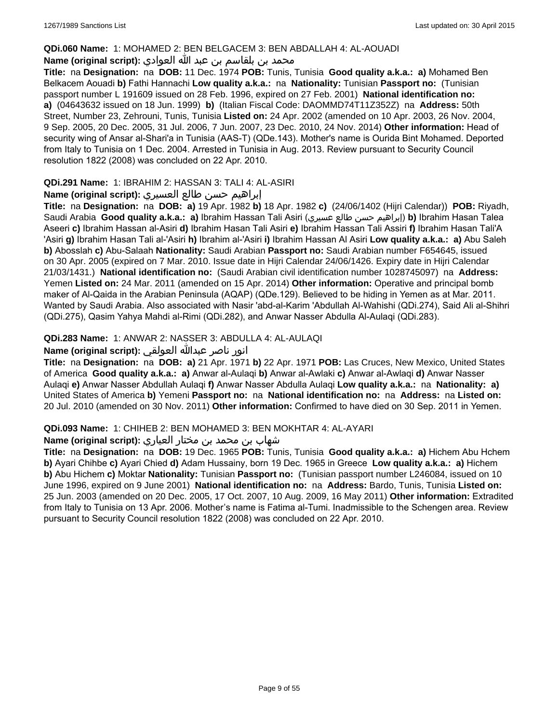#### **QDi.060 Name:** 1: MOHAMED 2: BEN BELGACEM 3: BEN ABDALLAH 4: AL-AOUADI

## محمد بن بلقاسم بن عبد الله العوادي **:**Name (original script)

**Title:** na **Designation:** na **DOB:** 11 Dec. 1974 **POB:** Tunis, Tunisia **Good quality a.k.a.: a)** Mohamed Ben Belkacem Aouadi **b)** Fathi Hannachi **Low quality a.k.a.:** na **Nationality:** Tunisian **Passport no:** (Tunisian passport number L 191609 issued on 28 Feb. 1996, expired on 27 Feb. 2001) **National identification no: a)** (04643632 issued on 18 Jun. 1999) **b)** (Italian Fiscal Code: DAOMMD74T11Z352Z) na **Address:** 50th Street, Number 23, Zehrouni, Tunis, Tunisia **Listed on:** 24 Apr. 2002 (amended on 10 Apr. 2003, 26 Nov. 2004, 9 Sep. 2005, 20 Dec. 2005, 31 Jul. 2006, 7 Jun. 2007, 23 Dec. 2010, 24 Nov. 2014) **Other information:** Head of security wing of Ansar al-Shari'a in Tunisia (AAS-T) (QDe.143). Mother's name is Ourida Bint Mohamed. Deported from Italy to Tunisia on 1 Dec. 2004. Arrested in Tunisia in Aug. 2013. Review pursuant to Security Council resolution 1822 (2008) was concluded on 22 Apr. 2010.

## **QDi.291 Name:** 1: IBRAHIM 2: HASSAN 3: TALI 4: AL-ASIRI

### إبراهيم حسن طالع العسيري **:(script original (Name**

**Title:** na **Designation:** na **DOB: a)** 19 Apr. 1982 **b)** 18 Apr. 1982 **c)** (24/06/1402 (Hijri Calendar)) **POB:** Riyadh, Saudi Arabia **Good quality a.k.a.: a)** Ibrahim Hassan Tali Asiri (عسيري طالع حسن إبراهيم(**b)** Ibrahim Hasan Talea Aseeri **c)** Ibrahim Hassan al-Asiri **d)** Ibrahim Hasan Tali Asiri **e)** Ibrahim Hassan Tali Assiri **f)** Ibrahim Hasan Tali'A 'Asiri **g)** Ibrahim Hasan Tali al-'Asiri **h)** Ibrahim al-'Asiri **i)** Ibrahim Hassan Al Asiri **Low quality a.k.a.: a)** Abu Saleh **b)** Abosslah **c)** Abu-Salaah **Nationality:** Saudi Arabian **Passport no:** Saudi Arabian number F654645, issued on 30 Apr. 2005 (expired on 7 Mar. 2010. Issue date in Hijri Calendar 24/06/1426. Expiry date in Hijri Calendar 21/03/1431.) **National identification no:** (Saudi Arabian civil identification number 1028745097) na **Address:** Yemen **Listed on:** 24 Mar. 2011 (amended on 15 Apr. 2014) **Other information:** Operative and principal bomb maker of Al-Qaida in the Arabian Peninsula (AQAP) (QDe.129). Believed to be hiding in Yemen as at Mar. 2011. Wanted by Saudi Arabia. Also associated with Nasir 'abd-al-Karim 'Abdullah Al-Wahishi (QDi.274), Said Ali al-Shihri (QDi.275), Qasim Yahya Mahdi al-Rimi (QDi.282), and Anwar Nasser Abdulla Al-Aulaqi (QDi.283).

## **QDi.283 Name:** 1: ANWAR 2: NASSER 3: ABDULLA 4: AL-AULAQI

## انور ناصر عبدالله العولقي **:(script original (Name**

**Title:** na **Designation:** na **DOB: a)** 21 Apr. 1971 **b)** 22 Apr. 1971 **POB:** Las Cruces, New Mexico, United States of America **Good quality a.k.a.: a)** Anwar al-Aulaqi **b)** Anwar al-Awlaki **c)** Anwar al-Awlaqi **d)** Anwar Nasser Aulaqi **e)** Anwar Nasser Abdullah Aulaqi **f)** Anwar Nasser Abdulla Aulaqi **Low quality a.k.a.:** na **Nationality: a)** United States of America **b)** Yemeni **Passport no:** na **National identification no:** na **Address:** na **Listed on:** 20 Jul. 2010 (amended on 30 Nov. 2011) **Other information:** Confirmed to have died on 30 Sep. 2011 in Yemen.

#### **QDi.093 Name:** 1: CHIHEB 2: BEN MOHAMED 3: BEN MOKHTAR 4: AL-AYARI

## شهاب بن محمد بن مختار العياري **:(script original (Name**

**Title:** na **Designation:** na **DOB:** 19 Dec. 1965 **POB:** Tunis, Tunisia **Good quality a.k.a.: a)** Hichem Abu Hchem **b)** Ayari Chihbe **c)** Ayari Chied **d)** Adam Hussainy, born 19 Dec. 1965 in Greece **Low quality a.k.a.: a)** Hichem **b)** Abu Hichem **c)** Moktar **Nationality:** Tunisian **Passport no:** (Tunisian passport number L246084, issued on 10 June 1996, expired on 9 June 2001) **National identification no:** na **Address:** Bardo, Tunis, Tunisia **Listed on:** 25 Jun. 2003 (amended on 20 Dec. 2005, 17 Oct. 2007, 10 Aug. 2009, 16 May 2011) **Other information:** Extradited from Italy to Tunisia on 13 Apr. 2006. Mother's name is Fatima al-Tumi. Inadmissible to the Schengen area. Review pursuant to Security Council resolution 1822 (2008) was concluded on 22 Apr. 2010.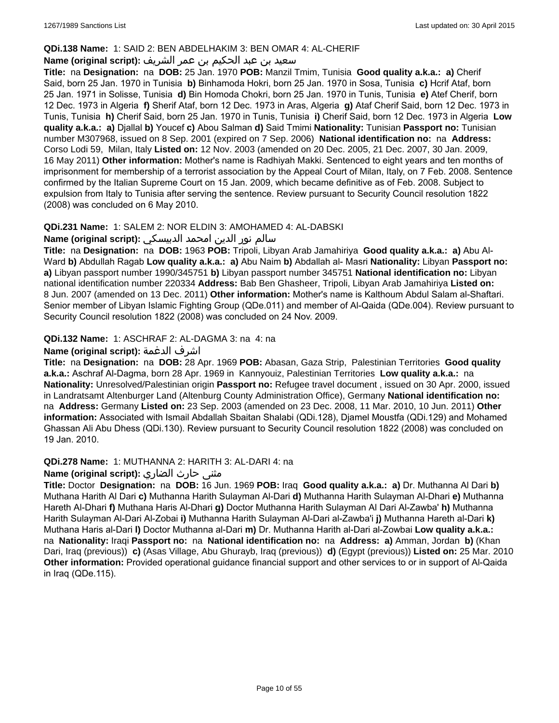## **QDi.138 Name:** 1: SAID 2: BEN ABDELHAKIM 3: BEN OMAR 4: AL-CHERIF

## سعيد بن عبد الحكيم بن عمر الشريف **:(script original (Name**

**Title:** na **Designation:** na **DOB:** 25 Jan. 1970 **POB:** Manzil Tmim, Tunisia **Good quality a.k.a.: a)** Cherif Said, born 25 Jan. 1970 in Tunisia **b)** Binhamoda Hokri, born 25 Jan. 1970 in Sosa, Tunisia **c)** Hcrif Ataf, born 25 Jan. 1971 in Solisse, Tunisia **d)** Bin Homoda Chokri, born 25 Jan. 1970 in Tunis, Tunisia **e)** Atef Cherif, born 12 Dec. 1973 in Algeria **f)** Sherif Ataf, born 12 Dec. 1973 in Aras, Algeria **g)** Ataf Cherif Said, born 12 Dec. 1973 in Tunis, Tunisia **h)** Cherif Said, born 25 Jan. 1970 in Tunis, Tunisia **i)** Cherif Said, born 12 Dec. 1973 in Algeria **Low quality a.k.a.: a)** Djallal **b)** Youcef **c)** Abou Salman **d)** Said Tmimi **Nationality:** Tunisian **Passport no:** Tunisian number M307968, issued on 8 Sep. 2001 (expired on 7 Sep. 2006) **National identification no:** na **Address:** Corso Lodi 59, Milan, Italy **Listed on:** 12 Nov. 2003 (amended on 20 Dec. 2005, 21 Dec. 2007, 30 Jan. 2009, 16 May 2011) **Other information:** Mother's name is Radhiyah Makki. Sentenced to eight years and ten months of imprisonment for membership of a terrorist association by the Appeal Court of Milan, Italy, on 7 Feb. 2008. Sentence confirmed by the Italian Supreme Court on 15 Jan. 2009, which became definitive as of Feb. 2008. Subject to expulsion from Italy to Tunisia after serving the sentence. Review pursuant to Security Council resolution 1822 (2008) was concluded on 6 May 2010.

## **QDi.231 Name:** 1: SALEM 2: NOR ELDIN 3: AMOHAMED 4: AL-DABSKI

### سالم نور الدين امحمد الدبيسكي **:(script original (Name**

**Title:** na **Designation:** na **DOB:** 1963 **POB:** Tripoli, Libyan Arab Jamahiriya **Good quality a.k.a.: a)** Abu Al-Ward **b)** Abdullah Ragab **Low quality a.k.a.: a)** Abu Naim **b)** Abdallah al- Masri **Nationality:** Libyan **Passport no: a)** Libyan passport number 1990/345751 **b)** Libyan passport number 345751 **National identification no:** Libyan national identification number 220334 **Address:** Bab Ben Ghasheer, Tripoli, Libyan Arab Jamahiriya **Listed on:** 8 Jun. 2007 (amended on 13 Dec. 2011) **Other information:** Mother's name is Kalthoum Abdul Salam al-Shaftari. Senior member of Libyan Islamic Fighting Group (QDe.011) and member of Al-Qaida (QDe.004). Review pursuant to Security Council resolution 1822 (2008) was concluded on 24 Nov. 2009.

## **QDi.132 Name:** 1: ASCHRAF 2: AL-DAGMA 3: na 4: na

## **Name (original script):** الدغمة اشرف

**Title:** na **Designation:** na **DOB:** 28 Apr. 1969 **POB:** Abasan, Gaza Strip, Palestinian Territories **Good quality a.k.a.:** Aschraf Al-Dagma, born 28 Apr. 1969 in Kannyouiz, Palestinian Territories **Low quality a.k.a.:** na **Nationality:** Unresolved/Palestinian origin **Passport no:** Refugee travel document , issued on 30 Apr. 2000, issued in Landratsamt Altenburger Land (Altenburg County Administration Office), Germany **National identification no:**  na **Address:** Germany **Listed on:** 23 Sep. 2003 (amended on 23 Dec. 2008, 11 Mar. 2010, 10 Jun. 2011) **Other information:** Associated with Ismail Abdallah Sbaitan Shalabi (QDi.128), Djamel Moustfa (QDi.129) and Mohamed Ghassan Ali Abu Dhess (QDi.130). Review pursuant to Security Council resolution 1822 (2008) was concluded on 19 Jan. 2010.

## **QDi.278 Name:** 1: MUTHANNA 2: HARITH 3: AL-DARI 4: na

## مثنى حارث الضاري :Name (original script)

**Title:** Doctor **Designation:** na **DOB:** 16 Jun. 1969 **POB:** Iraq **Good quality a.k.a.: a)** Dr. Muthanna Al Dari **b)** Muthana Harith Al Dari **c)** Muthanna Harith Sulayman Al-Dari **d)** Muthanna Harith Sulayman Al-Dhari **e)** Muthanna Hareth Al-Dhari **f)** Muthana Haris Al-Dhari **g)** Doctor Muthanna Harith Sulayman Al Dari Al-Zawba' **h)** Muthanna Harith Sulayman Al-Dari Al-Zobai **i)** Muthanna Harith Sulayman Al-Dari al-Zawba'i **j)** Muthanna Hareth al-Dari **k)** Muthana Haris al-Dari **l)** Doctor Muthanna al-Dari **m)** Dr. Muthanna Harith al-Dari al-Zowbai **Low quality a.k.a.:**  na **Nationality:** Iraqi **Passport no:** na **National identification no:** na **Address: a)** Amman, Jordan **b)** (Khan Dari, Iraq (previous)) **c)** (Asas Village, Abu Ghurayb, Iraq (previous)) **d)** (Egypt (previous)) **Listed on:** 25 Mar. 2010 **Other information:** Provided operational guidance financial support and other services to or in support of Al-Qaida in Iraq (QDe.115).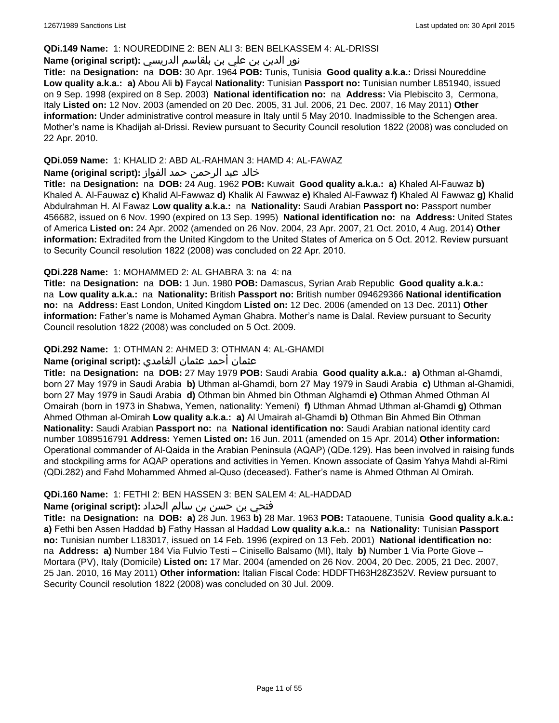#### **QDi.149 Name:** 1: NOUREDDINE 2: BEN ALI 3: BEN BELKASSEM 4: AL-DRISSI

## نور الدين بن علي بن بلقاسم الدريسي **:(script original (Name**

**Title:** na **Designation:** na **DOB:** 30 Apr. 1964 **POB:** Tunis, Tunisia **Good quality a.k.a.:** Drissi Noureddine **Low quality a.k.a.: a)** Abou Ali **b)** Faycal **Nationality:** Tunisian **Passport no:** Tunisian number L851940, issued on 9 Sep. 1998 (expired on 8 Sep. 2003) **National identification no:** na **Address:** Via Plebiscito 3, Cermona, Italy **Listed on:** 12 Nov. 2003 (amended on 20 Dec. 2005, 31 Jul. 2006, 21 Dec. 2007, 16 May 2011) **Other information:** Under administrative control measure in Italy until 5 May 2010. Inadmissible to the Schengen area. Mother's name is Khadijah al-Drissi. Review pursuant to Security Council resolution 1822 (2008) was concluded on 22 Apr. 2010.

## **QDi.059 Name:** 1: KHALID 2: ABD AL-RAHMAN 3: HAMD 4: AL-FAWAZ

## خالد عبد الرحمن حمد الفواز **:(script original (Name**

**Title:** na **Designation:** na **DOB:** 24 Aug. 1962 **POB:** Kuwait **Good quality a.k.a.: a)** Khaled Al-Fauwaz **b)** Khaled A. Al-Fauwaz **c)** Khalid Al-Fawwaz **d)** Khalik Al Fawwaz **e)** Khaled Al-Fawwaz **f)** Khaled Al Fawwaz **g)** Khalid Abdulrahman H. Al Fawaz **Low quality a.k.a.:** na **Nationality:** Saudi Arabian **Passport no:** Passport number 456682, issued on 6 Nov. 1990 (expired on 13 Sep. 1995) **National identification no:** na **Address:** United States of America **Listed on:** 24 Apr. 2002 (amended on 26 Nov. 2004, 23 Apr. 2007, 21 Oct. 2010, 4 Aug. 2014) **Other information:** Extradited from the United Kingdom to the United States of America on 5 Oct. 2012. Review pursuant to Security Council resolution 1822 (2008) was concluded on 22 Apr. 2010.

## **QDi.228 Name:** 1: MOHAMMED 2: AL GHABRA 3: na 4: na

**Title:** na **Designation:** na **DOB:** 1 Jun. 1980 **POB:** Damascus, Syrian Arab Republic **Good quality a.k.a.:**  na **Low quality a.k.a.:** na **Nationality:** British **Passport no:** British number 094629366 **National identification no:** na **Address:** East London, United Kingdom **Listed on:** 12 Dec. 2006 (amended on 13 Dec. 2011) **Other information:** Father's name is Mohamed Ayman Ghabra. Mother's name is Dalal. Review pursuant to Security Council resolution 1822 (2008) was concluded on 5 Oct. 2009.

## **QDi.292 Name:** 1: OTHMAN 2: AHMED 3: OTHMAN 4: AL-GHAMDI

## عثمان أحمد عثمان الغامدي **:(script original (Name**

**Title:** na **Designation:** na **DOB:** 27 May 1979 **POB:** Saudi Arabia **Good quality a.k.a.: a)** Othman al-Ghamdi, born 27 May 1979 in Saudi Arabia **b)** Uthman al-Ghamdi, born 27 May 1979 in Saudi Arabia **c)** Uthman al-Ghamidi, born 27 May 1979 in Saudi Arabia **d)** Othman bin Ahmed bin Othman Alghamdi **e)** Othman Ahmed Othman Al Omairah (born in 1973 in Shabwa, Yemen, nationality: Yemeni) **f)** Uthman Ahmad Uthman al-Ghamdi **g)** Othman Ahmed Othman al-Omirah **Low quality a.k.a.: a)** Al Umairah al-Ghamdi **b)** Othman Bin Ahmed Bin Othman **Nationality:** Saudi Arabian **Passport no:** na **National identification no:** Saudi Arabian national identity card number 1089516791 **Address:** Yemen **Listed on:** 16 Jun. 2011 (amended on 15 Apr. 2014) **Other information:** Operational commander of Al-Qaida in the Arabian Peninsula (AQAP) (QDe.129). Has been involved in raising funds and stockpiling arms for AQAP operations and activities in Yemen. Known associate of Qasim Yahya Mahdi al-Rimi (QDi.282) and Fahd Mohammed Ahmed al-Quso (deceased). Father's name is Ahmed Othman Al Omirah.

## **QDi.160 Name:** 1: FETHI 2: BEN HASSEN 3: BEN SALEM 4: AL-HADDAD

## فتحي بن حسن بن سالم الحداد **:(script original (Name**

**Title:** na **Designation:** na **DOB: a)** 28 Jun. 1963 **b)** 28 Mar. 1963 **POB:** Tataouene, Tunisia **Good quality a.k.a.: a)** Fethi ben Assen Haddad **b)** Fathy Hassan al Haddad **Low quality a.k.a.:** na **Nationality:** Tunisian **Passport no:** Tunisian number L183017, issued on 14 Feb. 1996 (expired on 13 Feb. 2001) **National identification no:**  na **Address: a)** Number 184 Via Fulvio Testi – Cinisello Balsamo (MI), Italy **b)** Number 1 Via Porte Giove – Mortara (PV), Italy (Domicile) **Listed on:** 17 Mar. 2004 (amended on 26 Nov. 2004, 20 Dec. 2005, 21 Dec. 2007, 25 Jan. 2010, 16 May 2011) **Other information:** Italian Fiscal Code: HDDFTH63H28Z352V. Review pursuant to Security Council resolution 1822 (2008) was concluded on 30 Jul. 2009.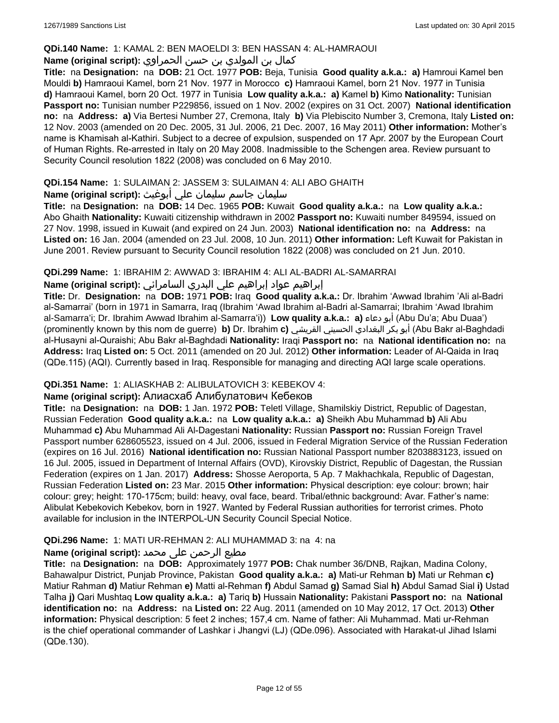### **QDi.140 Name:** 1: KAMAL 2: BEN MAOELDI 3: BEN HASSAN 4: AL-HAMRAOUI

## كمال بن المولدي بن حسن الحمراوي **:(script original (Name**

**Title:** na **Designation:** na **DOB:** 21 Oct. 1977 **POB:** Beja, Tunisia **Good quality a.k.a.: a)** Hamroui Kamel ben Mouldi **b)** Hamraoui Kamel, born 21 Nov. 1977 in Morocco **c)** Hamraoui Kamel, born 21 Nov. 1977 in Tunisia **d)** Hamraoui Kamel, born 20 Oct. 1977 in Tunisia **Low quality a.k.a.: a)** Kamel **b)** Kimo **Nationality:** Tunisian **Passport no:** Tunisian number P229856, issued on 1 Nov. 2002 (expires on 31 Oct. 2007) **National identification no:** na **Address: a)** Via Bertesi Number 27, Cremona, Italy **b)** Via Plebiscito Number 3, Cremona, Italy **Listed on:** 12 Nov. 2003 (amended on 20 Dec. 2005, 31 Jul. 2006, 21 Dec. 2007, 16 May 2011) **Other information:** Mother's name is Khamisah al-Kathiri. Subject to a decree of expulsion, suspended on 17 Apr. 2007 by the European Court of Human Rights. Re-arrested in Italy on 20 May 2008. Inadmissible to the Schengen area. Review pursuant to Security Council resolution 1822 (2008) was concluded on 6 May 2010.

## **QDi.154 Name:** 1: SULAIMAN 2: JASSEM 3: SULAIMAN 4: ALI ABO GHAITH

## سليمان جاسم سليمان علي أبوغيث **:(script original (Name**

**Title:** na **Designation:** na **DOB:** 14 Dec. 1965 **POB:** Kuwait **Good quality a.k.a.:** na **Low quality a.k.a.:** Abo Ghaith **Nationality:** Kuwaiti citizenship withdrawn in 2002 **Passport no:** Kuwaiti number 849594, issued on 27 Nov. 1998, issued in Kuwait (and expired on 24 Jun. 2003) **National identification no:** na **Address:** na **Listed on:** 16 Jan. 2004 (amended on 23 Jul. 2008, 10 Jun. 2011) **Other information:** Left Kuwait for Pakistan in June 2001. Review pursuant to Security Council resolution 1822 (2008) was concluded on 21 Jun. 2010.

## **QDi.299 Name:** 1: IBRAHIM 2: AWWAD 3: IBRAHIM 4: ALI AL-BADRI AL-SAMARRAI

## إبراهيم عواد إبراهيم علي البدري السامرائي **:(script original (Name**

**Title:** Dr. **Designation:** na **DOB:** 1971 **POB:** Iraq **Good quality a.k.a.:** Dr. Ibrahim 'Awwad Ibrahim 'Ali al-Badri al-Samarrai' (born in 1971 in Samarra, Iraq (Ibrahim 'Awad Ibrahim al-Badri al-Samarrai; Ibrahim 'Awad Ibrahim al-Samarra'i; Dr. Ibrahim Awwad Ibrahim al-Samarra'i)) **Low quality a.k.a.: a)** دعاء أبو) Abu Du'a; Abu Duaa') (prominently known by this nom de guerre) **b)** Dr. Ibrahim **c)** القريشي الحسيني البغدادي بكر أبو) Abu Bakr al-Baghdadi al-Husayni al-Quraishi; Abu Bakr al-Baghdadi **Nationality:** Iraqi **Passport no:** na **National identification no:** na **Address:** Iraq **Listed on:** 5 Oct. 2011 (amended on 20 Jul. 2012) **Other information:** Leader of Al-Qaida in Iraq (QDe.115) (AQI). Currently based in Iraq. Responsible for managing and directing AQI large scale operations.

## **QDi.351 Name:** 1: ALIASKHAB 2: ALIBULATOVICH 3: KEBEKOV 4:

## **Name (original script):** Алиaсхаб Алибулатович Кебеков

**Title:** na **Designation:** na **DOB:** 1 Jan. 1972 **POB:** Teletl Village, Shamilskiy District, Republic of Dagestan, Russian Federation **Good quality a.k.a.:** na **Low quality a.k.a.: a)** Sheikh Abu Muhammad **b)** Ali Abu Muhammad **c)** Abu Muhammad Ali Al-Dagestani **Nationality:** Russian **Passport no:** Russian Foreign Travel Passport number 628605523, issued on 4 Jul. 2006, issued in Federal Migration Service of the Russian Federation (expires on 16 Jul. 2016) **National identification no:** Russian National Passport number 8203883123, issued on 16 Jul. 2005, issued in Department of Internal Affairs (OVD), Kirovskiy District, Republic of Dagestan, the Russian Federation (expires on 1 Jan. 2017) **Address:** Shosse Aeroporta, 5 Ap. 7 Makhachkala, Republic of Dagestan, Russian Federation **Listed on:** 23 Mar. 2015 **Other information:** Physical description: eye colour: brown; hair colour: grey; height: 170-175cm; build: heavy, oval face, beard. Tribal/ethnic background: Avar. Father's name: Alibulat Kebekovich Kebekov, born in 1927. Wanted by Federal Russian authorities for terrorist crimes. Photo available for inclusion in the INTERPOL-UN Security Council Special Notice.

## **QDi.296 Name:** 1: MATI UR-REHMAN 2: ALI MUHAMMAD 3: na 4: na

## مطیع الرحمن علی محمد **:Name (original script)**

**Title:** na **Designation:** na **DOB:** Approximately 1977 **POB:** Chak number 36/DNB, Rajkan, Madina Colony, Bahawalpur District, Punjab Province, Pakistan **Good quality a.k.a.: a)** Mati-ur Rehman **b)** Mati ur Rehman **c)** Matiur Rahman **d)** Matiur Rehman **e)** Matti al-Rehman **f)** Abdul Samad **g)** Samad Sial **h)** Abdul Samad Sial **i)** Ustad Talha **j)** Qari Mushtaq **Low quality a.k.a.: a)** Tariq **b)** Hussain **Nationality:** Pakistani **Passport no:** na **National identification no:** na **Address:** na **Listed on:** 22 Aug. 2011 (amended on 10 May 2012, 17 Oct. 2013) **Other information:** Physical description: 5 feet 2 inches; 157,4 cm. Name of father: Ali Muhammad. Mati ur-Rehman is the chief operational commander of Lashkar i Jhangvi (LJ) (QDe.096). Associated with Harakat-ul Jihad Islami (QDe.130).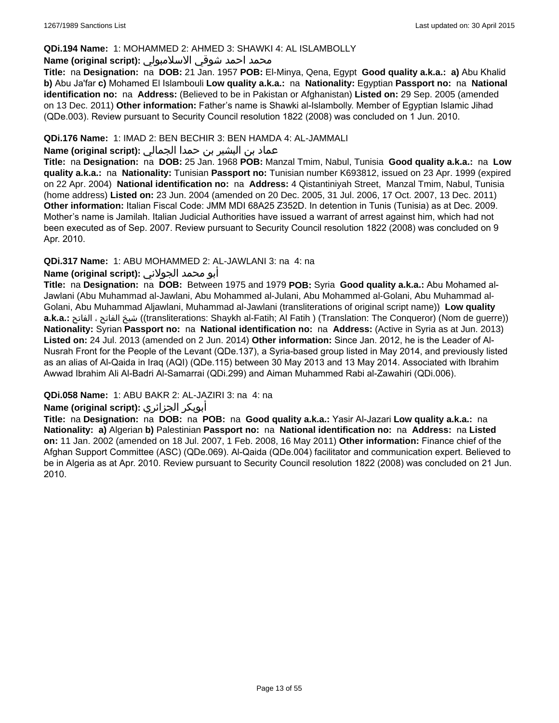### **QDi.194 Name:** 1: MOHAMMED 2: AHMED 3: SHAWKI 4: AL ISLAMBOLLY

#### محمد احمد شوقي الاسلامبولي **:Name (original script)**

**Title:** na **Designation:** na **DOB:** 21 Jan. 1957 **POB:** El-Minya, Qena, Egypt **Good quality a.k.a.: a)** Abu Khalid **b)** Abu Ja'far **c)** Mohamed El Islambouli **Low quality a.k.a.:** na **Nationality:** Egyptian **Passport no:** na **National identification no:** na **Address:** (Believed to be in Pakistan or Afghanistan) **Listed on:** 29 Sep. 2005 (amended on 13 Dec. 2011) **Other information:** Father's name is Shawki al-Islambolly. Member of Egyptian Islamic Jihad (QDe.003). Review pursuant to Security Council resolution 1822 (2008) was concluded on 1 Jun. 2010.

## **QDi.176 Name:** 1: IMAD 2: BEN BECHIR 3: BEN HAMDA 4: AL-JAMMALI

## عماد بن البشير بن حمدا الجمالي **:(script original (Name**

**Title:** na **Designation:** na **DOB:** 25 Jan. 1968 **POB:** Manzal Tmim, Nabul, Tunisia **Good quality a.k.a.:** na **Low quality a.k.a.:** na **Nationality:** Tunisian **Passport no:** Tunisian number K693812, issued on 23 Apr. 1999 (expired on 22 Apr. 2004) **National identification no:** na **Address:** 4 Qistantiniyah Street, Manzal Tmim, Nabul, Tunisia (home address) **Listed on:** 23 Jun. 2004 (amended on 20 Dec. 2005, 31 Jul. 2006, 17 Oct. 2007, 13 Dec. 2011) **Other information:** Italian Fiscal Code: JMM MDI 68A25 Z352D. In detention in Tunis (Tunisia) as at Dec. 2009. Mother's name is Jamilah. Italian Judicial Authorities have issued a warrant of arrest against him, which had not been executed as of Sep. 2007. Review pursuant to Security Council resolution 1822 (2008) was concluded on 9 Apr. 2010.

## **QDi.317 Name:** 1: ABU MOHAMMED 2: AL-JAWLANI 3: na 4: na

### أبو محمد الجولاني **:(script original (Name**

**Title:** na **Designation:** na **DOB:** Between 1975 and 1979 **POB:** Syria **Good quality a.k.a.:** Abu Mohamed al-Jawlani (Abu Muhammad al-Jawlani, Abu Mohammed al-Julani, Abu Mohammed al-Golani, Abu Muhammad al-Golani, Abu Muhammad Aljawlani, Muhammad al-Jawlani (transliterations of original script name)) **Low quality a.k.a.:** الفاتح ، الفاتح شيخ)) transliterations: Shaykh al-Fatih; Al Fatih ) (Translation: The Conqueror) (Nom de guerre)) **Nationality:** Syrian **Passport no:** na **National identification no:** na **Address:** (Active in Syria as at Jun. 2013) **Listed on:** 24 Jul. 2013 (amended on 2 Jun. 2014) **Other information:** Since Jan. 2012, he is the Leader of Al-Nusrah Front for the People of the Levant (QDe.137), a Syria-based group listed in May 2014, and previously listed as an alias of Al-Qaida in Iraq (AQI) (QDe.115) between 30 May 2013 and 13 May 2014. Associated with Ibrahim Awwad Ibrahim Ali Al-Badri Al-Samarrai (QDi.299) and Aiman Muhammed Rabi al-Zawahiri (QDi.006).

## **QDi.058 Name:** 1: ABU BAKR 2: AL-JAZIRI 3: na 4: na

## **Name (original script):** الجزائري أبوبكر

**Title:** na **Designation:** na **DOB:** na **POB:** na **Good quality a.k.a.:** Yasir Al-Jazari **Low quality a.k.a.:** na **Nationality: a)** Algerian **b)** Palestinian **Passport no:** na **National identification no:** na **Address:** na **Listed on:** 11 Jan. 2002 (amended on 18 Jul. 2007, 1 Feb. 2008, 16 May 2011) **Other information:** Finance chief of the Afghan Support Committee (ASC) (QDe.069). Al-Qaida (QDe.004) facilitator and communication expert. Believed to be in Algeria as at Apr. 2010. Review pursuant to Security Council resolution 1822 (2008) was concluded on 21 Jun. 2010.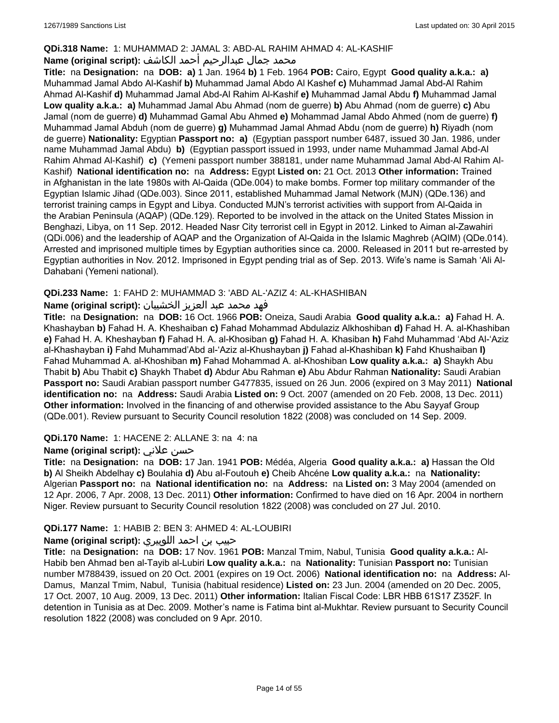## **QDi.318 Name:** 1: MUHAMMAD 2: JAMAL 3: ABD-AL RAHIM AHMAD 4: AL-KASHIF

## محمد جمال عبدالرحيم أحمد الكاشف **:Name (original script**)

**Title:** na **Designation:** na **DOB: a)** 1 Jan. 1964 **b)** 1 Feb. 1964 **POB:** Cairo, Egypt **Good quality a.k.a.: a)** Muhammad Jamal Abdo Al-Kashif **b)** Muhammad Jamal Abdo Al Kashef **c)** Muhammad Jamal Abd-Al Rahim Ahmad Al-Kashif **d)** Muhammad Jamal Abd-Al Rahim Al-Kashif **e)** Muhammad Jamal Abdu **f)** Muhammad Jamal **Low quality a.k.a.: a)** Muhammad Jamal Abu Ahmad (nom de guerre) **b)** Abu Ahmad (nom de guerre) **c)** Abu Jamal (nom de guerre) **d)** Muhammad Gamal Abu Ahmed **e)** Mohammad Jamal Abdo Ahmed (nom de guerre) **f)** Muhammad Jamal Abduh (nom de guerre) **g)** Muhammad Jamal Ahmad Abdu (nom de guerre) **h)** Riyadh (nom de guerre) **Nationality:** Egyptian **Passport no: a)** (Egyptian passport number 6487, issued 30 Jan. 1986, under name Muhammad Jamal Abdu) **b)** (Egyptian passport issued in 1993, under name Muhammad Jamal Abd-Al Rahim Ahmad Al-Kashif) **c)** (Yemeni passport number 388181, under name Muhammad Jamal Abd-Al Rahim Al-Kashif) **National identification no:** na **Address:** Egypt **Listed on:** 21 Oct. 2013 **Other information:** Trained in Afghanistan in the late 1980s with Al-Qaida (QDe.004) to make bombs. Former top military commander of the Egyptian Islamic Jihad (QDe.003). Since 2011, established Muhammad Jamal Network (MJN) (QDe.136) and terrorist training camps in Egypt and Libya. Conducted MJN's terrorist activities with support from Al-Qaida in the Arabian Peninsula (AQAP) (QDe.129). Reported to be involved in the attack on the United States Mission in Benghazi, Libya, on 11 Sep. 2012. Headed Nasr City terrorist cell in Egypt in 2012. Linked to Aiman al-Zawahiri (QDi.006) and the leadership of AQAP and the Organization of Al-Qaida in the Islamic Maghreb (AQIM) (QDe.014). Arrested and imprisoned multiple times by Egyptian authorities since ca. 2000. Released in 2011 but re-arrested by Egyptian authorities in Nov. 2012. Imprisoned in Egypt pending trial as of Sep. 2013. Wife's name is Samah 'Ali Al-Dahabani (Yemeni national).

## **QDi.233 Name:** 1: FAHD 2: MUHAMMAD 3: 'ABD AL-'AZIZ 4: AL-KHASHIBAN

## فهد محمد عبد العزيز الخشيبان **:(script original (Name**

**Title:** na **Designation:** na **DOB:** 16 Oct. 1966 **POB:** Oneiza, Saudi Arabia **Good quality a.k.a.: a)** Fahad H. A. Khashayban **b)** Fahad H. A. Kheshaiban **c)** Fahad Mohammad Abdulaziz Alkhoshiban **d)** Fahad H. A. al-Khashiban **e)** Fahad H. A. Kheshayban **f)** Fahad H. A. al-Khosiban **g)** Fahad H. A. Khasiban **h)** Fahd Muhammad 'Abd Al-'Aziz al-Khashayban **i)** Fahd Muhammad'Abd al-'Aziz al-Khushayban **j)** Fahad al-Khashiban **k)** Fahd Khushaiban **l)** Fahad Muhammad A. al-Khoshiban **m)** Fahad Mohammad A. al-Khoshiban **Low quality a.k.a.: a)** Shaykh Abu Thabit **b)** Abu Thabit **c)** Shaykh Thabet **d)** Abdur Abu Rahman **e)** Abu Abdur Rahman **Nationality:** Saudi Arabian **Passport no:** Saudi Arabian passport number G477835, issued on 26 Jun. 2006 (expired on 3 May 2011) **National identification no:** na **Address:** Saudi Arabia **Listed on:** 9 Oct. 2007 (amended on 20 Feb. 2008, 13 Dec. 2011) **Other information:** Involved in the financing of and otherwise provided assistance to the Abu Sayyaf Group (QDe.001). Review pursuant to Security Council resolution 1822 (2008) was concluded on 14 Sep. 2009.

#### **QDi.170 Name:** 1: HACENE 2: ALLANE 3: na 4: na

## **Name (original script):** علاني حسن

**Title:** na **Designation:** na **DOB:** 17 Jan. 1941 **POB:** Médéa, Algeria **Good quality a.k.a.: a)** Hassan the Old **b)** Al Sheikh Abdelhay **c)** Boulahia **d)** Abu al-Foutouh **e)** Cheib Ahcéne **Low quality a.k.a.:** na **Nationality:** Algerian **Passport no:** na **National identification no:** na **Address:** na **Listed on:** 3 May 2004 (amended on 12 Apr. 2006, 7 Apr. 2008, 13 Dec. 2011) **Other information:** Confirmed to have died on 16 Apr. 2004 in northern Niger. Review pursuant to Security Council resolution 1822 (2008) was concluded on 27 Jul. 2010.

## **QDi.177 Name:** 1: HABIB 2: BEN 3: AHMED 4: AL-LOUBIRI

## حبيب بن احمد اللوبيري **:(script original (Name**

**Title:** na **Designation:** na **DOB:** 17 Nov. 1961 **POB:** Manzal Tmim, Nabul, Tunisia **Good quality a.k.a.:** Al-Habib ben Ahmad ben al-Tayib al-Lubiri **Low quality a.k.a.:** na **Nationality:** Tunisian **Passport no:** Tunisian number M788439, issued on 20 Oct. 2001 (expires on 19 Oct. 2006) **National identification no:** na **Address:** Al-Damus, Manzal Tmim, Nabul, Tunisia (habitual residence) **Listed on:** 23 Jun. 2004 (amended on 20 Dec. 2005, 17 Oct. 2007, 10 Aug. 2009, 13 Dec. 2011) **Other information:** Italian Fiscal Code: LBR HBB 61S17 Z352F. In detention in Tunisia as at Dec. 2009. Mother's name is Fatima bint al-Mukhtar. Review pursuant to Security Council resolution 1822 (2008) was concluded on 9 Apr. 2010.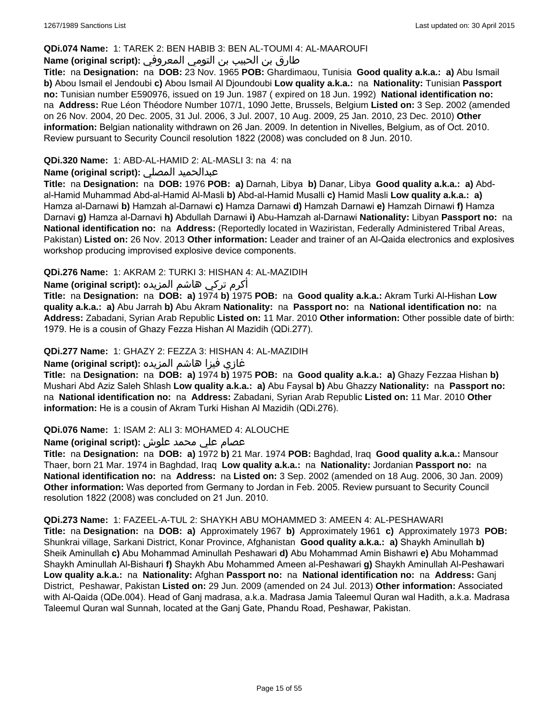#### **QDi.074 Name:** 1: TAREK 2: BEN HABIB 3: BEN AL-TOUMI 4: AL-MAAROUFI

## طارق بن الحبيب بن التومي المعروفي **:(script original (Name**

**Title:** na **Designation:** na **DOB:** 23 Nov. 1965 **POB:** Ghardimaou, Tunisia **Good quality a.k.a.: a)** Abu Ismail **b)** Abou Ismail el Jendoubi **c)** Abou Ismail Al Djoundoubi **Low quality a.k.a.:** na **Nationality:** Tunisian **Passport no:** Tunisian number E590976, issued on 19 Jun. 1987 ( expired on 18 Jun. 1992) **National identification no:**  na **Address:** Rue Léon Théodore Number 107/1, 1090 Jette, Brussels, Belgium **Listed on:** 3 Sep. 2002 (amended on 26 Nov. 2004, 20 Dec. 2005, 31 Jul. 2006, 3 Jul. 2007, 10 Aug. 2009, 25 Jan. 2010, 23 Dec. 2010) **Other information:** Belgian nationality withdrawn on 26 Jan. 2009. In detention in Nivelles, Belgium, as of Oct. 2010. Review pursuant to Security Council resolution 1822 (2008) was concluded on 8 Jun. 2010.

## **QDi.320 Name:** 1: ABD-AL-HAMID 2: AL-MASLI 3: na 4: na

## **Name (original script):** المصلي عبدالحميد

**Title:** na **Designation:** na **DOB:** 1976 **POB: a)** Darnah, Libya **b)** Danar, Libya **Good quality a.k.a.: a)** Abdal-Hamid Muhammad Abd-al-Hamid Al-Masli **b)** Abd-al-Hamid Musalli **c)** Hamid Masli **Low quality a.k.a.: a)** Hamza al-Darnawi **b)** Hamzah al-Darnawi **c)** Hamza Darnawi **d)** Hamzah Darnawi **e)** Hamzah Dirnawi **f)** Hamza Darnavi **g)** Hamza al-Darnavi **h)** Abdullah Darnawi **i)** Abu-Hamzah al-Darnawi **Nationality:** Libyan **Passport no:** na **National identification no:** na **Address:** (Reportedly located in Waziristan, Federally Administered Tribal Areas, Pakistan) **Listed on:** 26 Nov. 2013 **Other information:** Leader and trainer of an Al-Qaida electronics and explosives workshop producing improvised explosive device components.

## **QDi.276 Name:** 1: AKRAM 2: TURKI 3: HISHAN 4: AL-MAZIDIH

أكرم تركي هاشم المزيده **:(script original (Name**

**Title:** na **Designation:** na **DOB: a)** 1974 **b)** 1975 **POB:** na **Good quality a.k.a.:** Akram Turki Al-Hishan **Low quality a.k.a.: a)** Abu Jarrah **b)** Abu Akram **Nationality:** na **Passport no:** na **National identification no:** na **Address:** Zabadani, Syrian Arab Republic **Listed on:** 11 Mar. 2010 **Other information:** Other possible date of birth: 1979. He is a cousin of Ghazy Fezza Hishan Al Mazidih (QDi.277).

### **QDi.277 Name:** 1: GHAZY 2: FEZZA 3: HISHAN 4: AL-MAZIDIH

## غازي فيزا هاشم المزيده **:(script original (Name**

**Title:** na **Designation:** na **DOB: a)** 1974 **b)** 1975 **POB:** na **Good quality a.k.a.: a)** Ghazy Fezzaa Hishan **b)** Mushari Abd Aziz Saleh Shlash **Low quality a.k.a.: a)** Abu Faysal **b)** Abu Ghazzy **Nationality:** na **Passport no:**  na **National identification no:** na **Address:** Zabadani, Syrian Arab Republic **Listed on:** 11 Mar. 2010 **Other information:** He is a cousin of Akram Turki Hishan Al Mazidih (QDi.276).

#### **QDi.076 Name:** 1: ISAM 2: ALI 3: MOHAMED 4: ALOUCHE

## عصام علي محمد علوش **:(script original (Name**

**Title:** na **Designation:** na **DOB: a)** 1972 **b)** 21 Mar. 1974 **POB:** Baghdad, Iraq **Good quality a.k.a.:** Mansour Thaer, born 21 Mar. 1974 in Baghdad, Iraq **Low quality a.k.a.:** na **Nationality:** Jordanian **Passport no:** na **National identification no:** na **Address:** na **Listed on:** 3 Sep. 2002 (amended on 18 Aug. 2006, 30 Jan. 2009) **Other information:** Was deported from Germany to Jordan in Feb. 2005. Review pursuant to Security Council resolution 1822 (2008) was concluded on 21 Jun. 2010.

#### **QDi.273 Name:** 1: FAZEEL-A-TUL 2: SHAYKH ABU MOHAMMED 3: AMEEN 4: AL-PESHAWARI

**Title:** na **Designation:** na **DOB: a)** Approximately 1967 **b)** Approximately 1961 **c)** Approximately 1973 **POB:** Shunkrai village, Sarkani District, Konar Province, Afghanistan **Good quality a.k.a.: a)** Shaykh Aminullah **b)** Sheik Aminullah **c)** Abu Mohammad Aminullah Peshawari **d)** Abu Mohammad Amin Bishawri **e)** Abu Mohammad Shaykh Aminullah Al-Bishauri **f)** Shaykh Abu Mohammed Ameen al-Peshawari **g)** Shaykh Aminullah Al-Peshawari **Low quality a.k.a.:** na **Nationality:** Afghan **Passport no:** na **National identification no:** na **Address:** Ganj District, Peshawar, Pakistan **Listed on:** 29 Jun. 2009 (amended on 24 Jul. 2013) **Other information:** Associated with Al-Qaida (QDe.004). Head of Ganj madrasa, a.k.a. Madrasa Jamia Taleemul Quran wal Hadith, a.k.a. Madrasa Taleemul Quran wal Sunnah, located at the Ganj Gate, Phandu Road, Peshawar, Pakistan.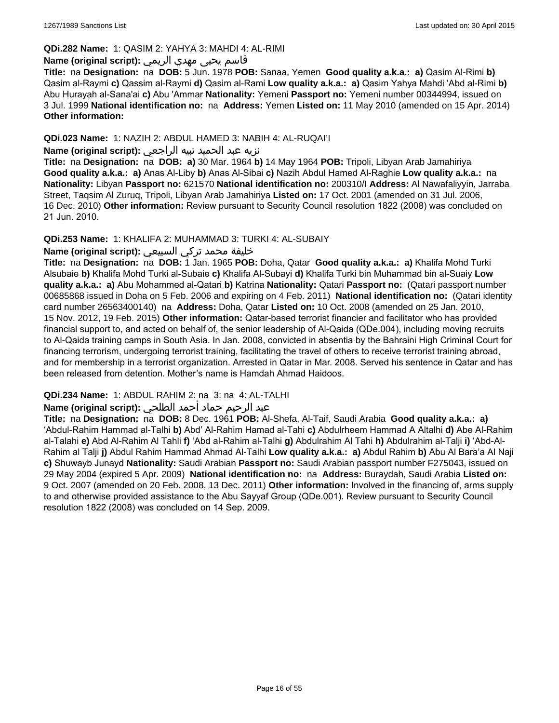#### **QDi.282 Name:** 1: QASIM 2: YAHYA 3: MAHDI 4: AL-RIMI

## قاسم يحيى مهدي الريمي **:(script original (Name**

**Title:** na **Designation:** na **DOB:** 5 Jun. 1978 **POB:** Sanaa, Yemen **Good quality a.k.a.: a)** Qasim Al-Rimi **b)** Qasim al-Raymi **c)** Qassim al-Raymi **d)** Qasim al-Rami **Low quality a.k.a.: a)** Qasim Yahya Mahdi 'Abd al-Rimi **b)** Abu Hurayah al-Sana'ai **c)** Abu 'Ammar **Nationality:** Yemeni **Passport no:** Yemeni number 00344994, issued on 3 Jul. 1999 **National identification no:** na **Address:** Yemen **Listed on:** 11 May 2010 (amended on 15 Apr. 2014) **Other information:**

## **QDi.023 Name:** 1: NAZIH 2: ABDUL HAMED 3: NABIH 4: AL-RUQAI'I

## نزيه عبد الحميد نبيه الراجعي **:(script original (Name**

**Title:** na **Designation:** na **DOB: a)** 30 Mar. 1964 **b)** 14 May 1964 **POB:** Tripoli, Libyan Arab Jamahiriya **Good quality a.k.a.: a)** Anas Al-Liby **b)** Anas Al-Sibai **c)** Nazih Abdul Hamed Al-Raghie **Low quality a.k.a.:** na **Nationality:** Libyan **Passport no:** 621570 **National identification no:** 200310/I **Address:** Al Nawafaliyyin, Jarraba Street, Taqsim Al Zuruq, Tripoli, Libyan Arab Jamahiriya **Listed on:** 17 Oct. 2001 (amended on 31 Jul. 2006, 16 Dec. 2010) **Other information:** Review pursuant to Security Council resolution 1822 (2008) was concluded on 21 Jun. 2010.

### **QDi.253 Name:** 1: KHALIFA 2: MUHAMMAD 3: TURKI 4: AL-SUBAIY

## خليفة محمد تركي السبيعي **:(script original (Name**

**Title:** na **Designation:** na **DOB:** 1 Jan. 1965 **POB:** Doha, Qatar **Good quality a.k.a.: a)** Khalifa Mohd Turki Alsubaie **b)** Khalifa Mohd Turki al-Subaie **c)** Khalifa Al-Subayi **d)** Khalifa Turki bin Muhammad bin al-Suaiy **Low quality a.k.a.: a)** Abu Mohammed al-Qatari **b)** Katrina **Nationality:** Qatari **Passport no:** (Qatari passport number 00685868 issued in Doha on 5 Feb. 2006 and expiring on 4 Feb. 2011) **National identification no:** (Qatari identity card number 26563400140) na **Address:** Doha, Qatar **Listed on:** 10 Oct. 2008 (amended on 25 Jan. 2010, 15 Nov. 2012, 19 Feb. 2015) **Other information:** Qatar-based terrorist financier and facilitator who has provided financial support to, and acted on behalf of, the senior leadership of Al-Qaida (QDe.004), including moving recruits to Al-Qaida training camps in South Asia. In Jan. 2008, convicted in absentia by the Bahraini High Criminal Court for financing terrorism, undergoing terrorist training, facilitating the travel of others to receive terrorist training abroad, and for membership in a terrorist organization. Arrested in Qatar in Mar. 2008. Served his sentence in Qatar and has been released from detention. Mother's name is Hamdah Ahmad Haidoos.

## **QDi.234 Name:** 1: ABDUL RAHIM 2: na 3: na 4: AL-TALHI

## عبد الرحيم حماد أحمد الطلحي **:(script original (Name**

**Title:** na **Designation:** na **DOB:** 8 Dec. 1961 **POB:** Al-Shefa, Al-Taif, Saudi Arabia **Good quality a.k.a.: a)** 'Abdul-Rahim Hammad al-Talhi **b)** Abd' Al-Rahim Hamad al-Tahi **c)** Abdulrheem Hammad A Altalhi **d)** Abe Al-Rahim al-Talahi **e)** Abd Al-Rahim Al Tahli **f)** 'Abd al-Rahim al-Talhi **g)** Abdulrahim Al Tahi **h)** Abdulrahim al-Talji **i)** 'Abd-Al-Rahim al Talji **j)** Abdul Rahim Hammad Ahmad Al-Talhi **Low quality a.k.a.: a)** Abdul Rahim **b)** Abu Al Bara'a Al Naji **c)** Shuwayb Junayd **Nationality:** Saudi Arabian **Passport no:** Saudi Arabian passport number F275043, issued on 29 May 2004 (expired 5 Apr. 2009) **National identification no:** na **Address:** Buraydah, Saudi Arabia **Listed on:** 9 Oct. 2007 (amended on 20 Feb. 2008, 13 Dec. 2011) **Other information:** Involved in the financing of, arms supply to and otherwise provided assistance to the Abu Sayyaf Group (QDe.001). Review pursuant to Security Council resolution 1822 (2008) was concluded on 14 Sep. 2009.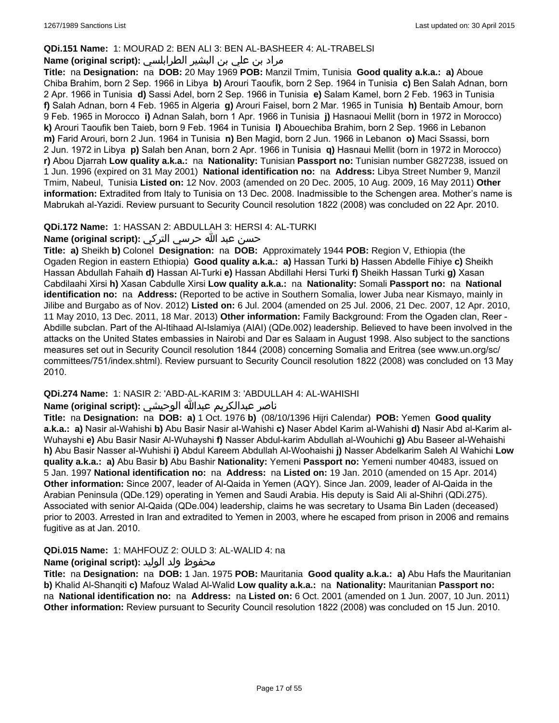#### **QDi.151 Name:** 1: MOURAD 2: BEN ALI 3: BEN AL-BASHEER 4: AL-TRABELSI

## مراد بن علي بن البشير الطرابلسي **:Name (original script)**

**Title:** na **Designation:** na **DOB:** 20 May 1969 **POB:** Manzil Tmim, Tunisia **Good quality a.k.a.: a)** Aboue Chiba Brahim, born 2 Sep. 1966 in Libya **b)** Arouri Taoufik, born 2 Sep. 1964 in Tunisia **c)** Ben Salah Adnan, born 2 Apr. 1966 in Tunisia **d)** Sassi Adel, born 2 Sep. 1966 in Tunisia **e)** Salam Kamel, born 2 Feb. 1963 in Tunisia **f)** Salah Adnan, born 4 Feb. 1965 in Algeria **g)** Arouri Faisel, born 2 Mar. 1965 in Tunisia **h)** Bentaib Amour, born 9 Feb. 1965 in Morocco **i)** Adnan Salah, born 1 Apr. 1966 in Tunisia **j)** Hasnaoui Mellit (born in 1972 in Morocco) **k)** Arouri Taoufik ben Taieb, born 9 Feb. 1964 in Tunisia **l)** Abouechiba Brahim, born 2 Sep. 1966 in Lebanon **m)** Farid Arouri, born 2 Jun. 1964 in Tunisia **n)** Ben Magid, born 2 Jun. 1966 in Lebanon **o)** Maci Ssassi, born 2 Jun. 1972 in Libya **p)** Salah ben Anan, born 2 Apr. 1966 in Tunisia **q)** Hasnaui Mellit (born in 1972 in Morocco) **r)** Abou Djarrah **Low quality a.k.a.:** na **Nationality:** Tunisian **Passport no:** Tunisian number G827238, issued on 1 Jun. 1996 (expired on 31 May 2001) **National identification no:** na **Address:** Libya Street Number 9, Manzil Tmim, Nabeul, Tunisia **Listed on:** 12 Nov. 2003 (amended on 20 Dec. 2005, 10 Aug. 2009, 16 May 2011) **Other information:** Extradited from Italy to Tunisia on 13 Dec. 2008. Inadmissible to the Schengen area. Mother's name is Mabrukah al-Yazidi. Review pursuant to Security Council resolution 1822 (2008) was concluded on 22 Apr. 2010.

### **QDi.172 Name:** 1: HASSAN 2: ABDULLAH 3: HERSI 4: AL-TURKI

## حسن عبد الله حرسي التركي **:(script original (Name**

**Title: a)** Sheikh **b)** Colonel **Designation:** na **DOB:** Approximately 1944 **POB:** Region V, Ethiopia (the Ogaden Region in eastern Ethiopia) **Good quality a.k.a.: a)** Hassan Turki **b)** Hassen Abdelle Fihiye **c)** Sheikh Hassan Abdullah Fahaih **d)** Hassan Al-Turki **e)** Hassan Abdillahi Hersi Turki **f)** Sheikh Hassan Turki **g)** Xasan Cabdilaahi Xirsi **h)** Xasan Cabdulle Xirsi **Low quality a.k.a.:** na **Nationality:** Somali **Passport no:** na **National identification no:** na **Address:** (Reported to be active in Southern Somalia, lower Juba near Kismayo, mainly in Jilibe and Burgabo as of Nov. 2012) **Listed on:** 6 Jul. 2004 (amended on 25 Jul. 2006, 21 Dec. 2007, 12 Apr. 2010, 11 May 2010, 13 Dec. 2011, 18 Mar. 2013) **Other information:** Family Background: From the Ogaden clan, Reer - Abdille subclan. Part of the Al-Itihaad Al-Islamiya (AIAI) (QDe.002) leadership. Believed to have been involved in the attacks on the United States embassies in Nairobi and Dar es Salaam in August 1998. Also subject to the sanctions measures set out in Security Council resolution 1844 (2008) concerning Somalia and Eritrea (see www.un.org/sc/ committees/751/index.shtml). Review pursuant to Security Council resolution 1822 (2008) was concluded on 13 May 2010.

## **QDi.274 Name:** 1: NASIR 2: 'ABD-AL-KARIM 3: 'ABDULLAH 4: AL-WAHISHI

## ناصر عبدالكريم عبدالله الوحيشي **:(script original (Name**

**Title:** na **Designation:** na **DOB: a)** 1 Oct. 1976 **b)** (08/10/1396 Hijri Calendar) **POB:** Yemen **Good quality a.k.a.: a)** Nasir al-Wahishi **b)** Abu Basir Nasir al-Wahishi **c)** Naser Abdel Karim al-Wahishi **d)** Nasir Abd al-Karim al-Wuhayshi **e)** Abu Basir Nasir Al-Wuhayshi **f)** Nasser Abdul-karim Abdullah al-Wouhichi **g)** Abu Baseer al-Wehaishi **h)** Abu Basir Nasser al-Wuhishi **i)** Abdul Kareem Abdullah Al-Woohaishi **j)** Nasser Abdelkarim Saleh Al Wahichi **Low quality a.k.a.: a)** Abu Basir **b)** Abu Bashir **Nationality:** Yemeni **Passport no:** Yemeni number 40483, issued on 5 Jan. 1997 **National identification no:** na **Address:** na **Listed on:** 19 Jan. 2010 (amended on 15 Apr. 2014) **Other information:** Since 2007, leader of Al-Qaida in Yemen (AQY). Since Jan. 2009, leader of Al-Qaida in the Arabian Peninsula (QDe.129) operating in Yemen and Saudi Arabia. His deputy is Said Ali al-Shihri (QDi.275). Associated with senior Al-Qaida (QDe.004) leadership, claims he was secretary to Usama Bin Laden (deceased) prior to 2003. Arrested in Iran and extradited to Yemen in 2003, where he escaped from prison in 2006 and remains fugitive as at Jan. 2010.

## **QDi.015 Name:** 1: MAHFOUZ 2: OULD 3: AL-WALID 4: na

## محفوظ ولد الوليد **:Name (original script**)

**Title:** na **Designation:** na **DOB:** 1 Jan. 1975 **POB:** Mauritania **Good quality a.k.a.: a)** Abu Hafs the Mauritanian **b)** Khalid Al-Shanqiti **c)** Mafouz Walad Al-Walid **Low quality a.k.a.:** na **Nationality:** Mauritanian **Passport no:**  na **National identification no:** na **Address:** na **Listed on:** 6 Oct. 2001 (amended on 1 Jun. 2007, 10 Jun. 2011) **Other information:** Review pursuant to Security Council resolution 1822 (2008) was concluded on 15 Jun. 2010.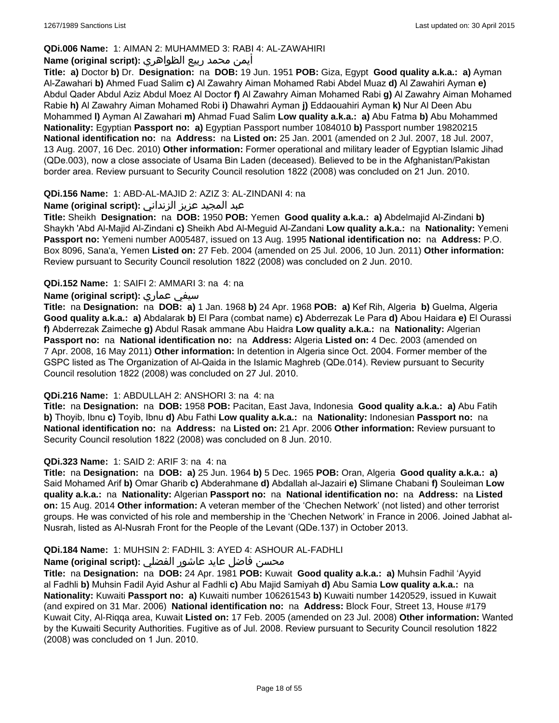## **QDi.006 Name:** 1: AIMAN 2: MUHAMMED 3: RABI 4: AL-ZAWAHIRI

## أيمن محمد ربيع الظواهري **:(script original (Name**

**Title: a)** Doctor **b)** Dr. **Designation:** na **DOB:** 19 Jun. 1951 **POB:** Giza, Egypt **Good quality a.k.a.: a)** Ayman Al-Zawahari **b)** Ahmed Fuad Salim **c)** Al Zawahry Aiman Mohamed Rabi Abdel Muaz **d)** Al Zawahiri Ayman **e)** Abdul Qader Abdul Aziz Abdul Moez Al Doctor **f)** Al Zawahry Aiman Mohamed Rabi **g)** Al Zawahry Aiman Mohamed Rabie **h)** Al Zawahry Aiman Mohamed Robi **i)** Dhawahri Ayman **j)** Eddaouahiri Ayman **k)** Nur Al Deen Abu Mohammed **l)** Ayman Al Zawahari **m)** Ahmad Fuad Salim **Low quality a.k.a.: a)** Abu Fatma **b)** Abu Mohammed **Nationality:** Egyptian **Passport no: a)** Egyptian Passport number 1084010 **b)** Passport number 19820215 **National identification no:** na **Address:** na **Listed on:** 25 Jan. 2001 (amended on 2 Jul. 2007, 18 Jul. 2007, 13 Aug. 2007, 16 Dec. 2010) **Other information:** Former operational and military leader of Egyptian Islamic Jihad (QDe.003), now a close associate of Usama Bin Laden (deceased). Believed to be in the Afghanistan/Pakistan border area. Review pursuant to Security Council resolution 1822 (2008) was concluded on 21 Jun. 2010.

### **QDi.156 Name:** 1: ABD-AL-MAJID 2: AZIZ 3: AL-ZINDANI 4: na

## عبد المجيد عزيز الزنداني **:(script original (Name**

**Title:** Sheikh **Designation:** na **DOB:** 1950 **POB:** Yemen **Good quality a.k.a.: a)** Abdelmajid Al-Zindani **b)** Shaykh 'Abd Al-Majid Al-Zindani **c)** Sheikh Abd Al-Meguid Al-Zandani **Low quality a.k.a.:** na **Nationality:** Yemeni **Passport no:** Yemeni number A005487, issued on 13 Aug. 1995 **National identification no:** na **Address:** P.O. Box 8096, Sana'a, Yemen **Listed on:** 27 Feb. 2004 (amended on 25 Jul. 2006, 10 Jun. 2011) **Other information:** Review pursuant to Security Council resolution 1822 (2008) was concluded on 2 Jun. 2010.

### **QDi.152 Name:** 1: SAIFI 2: AMMARI 3: na 4: na

## **Name (original script):** عماري سيفي

**Title:** na **Designation:** na **DOB: a)** 1 Jan. 1968 **b)** 24 Apr. 1968 **POB: a)** Kef Rih, Algeria **b)** Guelma, Algeria **Good quality a.k.a.: a)** Abdalarak **b)** El Para (combat name) **c)** Abderrezak Le Para **d)** Abou Haidara **e)** El Ourassi **f)** Abderrezak Zaimeche **g)** Abdul Rasak ammane Abu Haidra **Low quality a.k.a.:** na **Nationality:** Algerian **Passport no:** na **National identification no:** na **Address:** Algeria **Listed on:** 4 Dec. 2003 (amended on 7 Apr. 2008, 16 May 2011) **Other information:** In detention in Algeria since Oct. 2004. Former member of the GSPC listed as The Organization of Al-Qaida in the Islamic Maghreb (QDe.014). Review pursuant to Security Council resolution 1822 (2008) was concluded on 27 Jul. 2010.

#### **QDi.216 Name:** 1: ABDULLAH 2: ANSHORI 3: na 4: na

**Title:** na **Designation:** na **DOB:** 1958 **POB:** Pacitan, East Java, Indonesia **Good quality a.k.a.: a)** Abu Fatih **b)** Thoyib, Ibnu **c)** Toyib, Ibnu **d)** Abu Fathi **Low quality a.k.a.:** na **Nationality:** Indonesian **Passport no:** na **National identification no:** na **Address:** na **Listed on:** 21 Apr. 2006 **Other information:** Review pursuant to Security Council resolution 1822 (2008) was concluded on 8 Jun. 2010.

#### **QDi.323 Name:** 1: SAID 2: ARIF 3: na 4: na

**Title:** na **Designation:** na **DOB: a)** 25 Jun. 1964 **b)** 5 Dec. 1965 **POB:** Oran, Algeria **Good quality a.k.a.: a)** Said Mohamed Arif **b)** Omar Gharib **c)** Abderahmane **d)** Abdallah al-Jazairi **e)** Slimane Chabani **f)** Souleiman **Low quality a.k.a.:** na **Nationality:** Algerian **Passport no:** na **National identification no:** na **Address:** na **Listed on:** 15 Aug. 2014 **Other information:** A veteran member of the 'Chechen Network' (not listed) and other terrorist groups. He was convicted of his role and membership in the 'Chechen Network' in France in 2006. Joined Jabhat al-Nusrah, listed as Al-Nusrah Front for the People of the Levant (QDe.137) in October 2013.

#### **QDi.184 Name:** 1: MUHSIN 2: FADHIL 3: AYED 4: ASHOUR AL-FADHLI

## محسن فاضل عايد عاشور الفضلي **:Name (original script**)

**Title:** na **Designation:** na **DOB:** 24 Apr. 1981 **POB:** Kuwait **Good quality a.k.a.: a)** Muhsin Fadhil 'Ayyid al Fadhli **b)** Muhsin Fadil Ayid Ashur al Fadhli **c)** Abu Majid Samiyah **d)** Abu Samia **Low quality a.k.a.:** na **Nationality:** Kuwaiti **Passport no: a)** Kuwaiti number 106261543 **b)** Kuwaiti number 1420529, issued in Kuwait (and expired on 31 Mar. 2006) **National identification no:** na **Address:** Block Four, Street 13, House #179 Kuwait City, Al-Riqqa area, Kuwait **Listed on:** 17 Feb. 2005 (amended on 23 Jul. 2008) **Other information:** Wanted by the Kuwaiti Security Authorities. Fugitive as of Jul. 2008. Review pursuant to Security Council resolution 1822 (2008) was concluded on 1 Jun. 2010.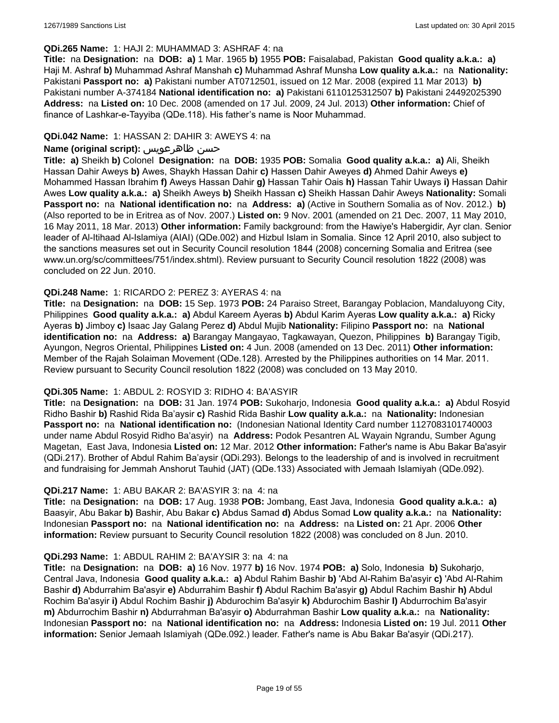#### **QDi.265 Name:** 1: HAJI 2: MUHAMMAD 3: ASHRAF 4: na

**Title:** na **Designation:** na **DOB: a)** 1 Mar. 1965 **b)** 1955 **POB:** Faisalabad, Pakistan **Good quality a.k.a.: a)** Haji M. Ashraf **b)** Muhammad Ashraf Manshah **c)** Muhammad Ashraf Munsha **Low quality a.k.a.:** na **Nationality:** Pakistani **Passport no: a)** Pakistani number AT0712501, issued on 12 Mar. 2008 (expired 11 Mar 2013) **b)** Pakistani number A-374184 **National identification no: a)** Pakistani 6110125312507 **b)** Pakistani 24492025390 **Address:** na **Listed on:** 10 Dec. 2008 (amended on 17 Jul. 2009, 24 Jul. 2013) **Other information:** Chief of finance of Lashkar-e-Tayyiba (QDe.118). His father's name is Noor Muhammad.

#### **QDi.042 Name:** 1: HASSAN 2: DAHIR 3: AWEYS 4: na

## **Name (original script):** ظاهرعويس حسن

**Title: a)** Sheikh **b)** Colonel **Designation:** na **DOB:** 1935 **POB:** Somalia **Good quality a.k.a.: a)** Ali, Sheikh Hassan Dahir Aweys **b)** Awes, Shaykh Hassan Dahir **c)** Hassen Dahir Aweyes **d)** Ahmed Dahir Aweys **e)** Mohammed Hassan Ibrahim **f)** Aweys Hassan Dahir **g)** Hassan Tahir Oais **h)** Hassan Tahir Uways **i)** Hassan Dahir Awes **Low quality a.k.a.: a)** Sheikh Aweys **b)** Sheikh Hassan **c)** Sheikh Hassan Dahir Aweys **Nationality:** Somali **Passport no:** na **National identification no:** na **Address: a)** (Active in Southern Somalia as of Nov. 2012.) **b)** (Also reported to be in Eritrea as of Nov. 2007.) **Listed on:** 9 Nov. 2001 (amended on 21 Dec. 2007, 11 May 2010, 16 May 2011, 18 Mar. 2013) **Other information:** Family background: from the Hawiye's Habergidir, Ayr clan. Senior leader of Al-Itihaad Al-Islamiya (AIAI) (QDe.002) and Hizbul Islam in Somalia. Since 12 April 2010, also subject to the sanctions measures set out in Security Council resolution 1844 (2008) concerning Somalia and Eritrea (see www.un.org/sc/committees/751/index.shtml). Review pursuant to Security Council resolution 1822 (2008) was concluded on 22 Jun. 2010.

#### **QDi.248 Name:** 1: RICARDO 2: PEREZ 3: AYERAS 4: na

**Title:** na **Designation:** na **DOB:** 15 Sep. 1973 **POB:** 24 Paraiso Street, Barangay Poblacion, Mandaluyong City, Philippines **Good quality a.k.a.: a)** Abdul Kareem Ayeras **b)** Abdul Karim Ayeras **Low quality a.k.a.: a)** Ricky Ayeras **b)** Jimboy **c)** Isaac Jay Galang Perez **d)** Abdul Mujib **Nationality:** Filipino **Passport no:** na **National identification no:** na **Address: a)** Barangay Mangayao, Tagkawayan, Quezon, Philippines **b)** Barangay Tigib, Ayungon, Negros Oriental, Philippines **Listed on:** 4 Jun. 2008 (amended on 13 Dec. 2011) **Other information:** Member of the Rajah Solaiman Movement (QDe.128). Arrested by the Philippines authorities on 14 Mar. 2011. Review pursuant to Security Council resolution 1822 (2008) was concluded on 13 May 2010.

### **QDi.305 Name:** 1: ABDUL 2: ROSYID 3: RIDHO 4: BA'ASYIR

**Title:** na **Designation:** na **DOB:** 31 Jan. 1974 **POB:** Sukoharjo, Indonesia **Good quality a.k.a.: a)** Abdul Rosyid Ridho Bashir **b)** Rashid Rida Ba'aysir **c)** Rashid Rida Bashir **Low quality a.k.a.:** na **Nationality:** Indonesian **Passport no:** na **National identification no:** (Indonesian National Identity Card number 1127083101740003 under name Abdul Rosyid Ridho Ba'asyir) na **Address:** Podok Pesantren AL Wayain Ngrandu, Sumber Agung Magetan, East Java, Indonesia **Listed on:** 12 Mar. 2012 **Other information:** Father's name is Abu Bakar Ba'asyir (QDi.217). Brother of Abdul Rahim Ba'aysir (QDi.293). Belongs to the leadership of and is involved in recruitment and fundraising for Jemmah Anshorut Tauhid (JAT) (QDe.133) Associated with Jemaah Islamiyah (QDe.092).

#### **QDi.217 Name:** 1: ABU BAKAR 2: BA'ASYIR 3: na 4: na

**Title:** na **Designation:** na **DOB:** 17 Aug. 1938 **POB:** Jombang, East Java, Indonesia **Good quality a.k.a.: a)** Baasyir, Abu Bakar **b)** Bashir, Abu Bakar **c)** Abdus Samad **d)** Abdus Somad **Low quality a.k.a.:** na **Nationality:** Indonesian **Passport no:** na **National identification no:** na **Address:** na **Listed on:** 21 Apr. 2006 **Other information:** Review pursuant to Security Council resolution 1822 (2008) was concluded on 8 Jun. 2010.

#### **QDi.293 Name:** 1: ABDUL RAHIM 2: BA'AYSIR 3: na 4: na

**Title:** na **Designation:** na **DOB: a)** 16 Nov. 1977 **b)** 16 Nov. 1974 **POB: a)** Solo, Indonesia **b)** Sukoharjo, Central Java, Indonesia **Good quality a.k.a.: a)** Abdul Rahim Bashir **b)** 'Abd Al-Rahim Ba'asyir **c)** 'Abd Al-Rahim Bashir **d)** Abdurrahim Ba'asyir **e)** Abdurrahim Bashir **f)** Abdul Rachim Ba'asyir **g)** Abdul Rachim Bashir **h)** Abdul Rochim Ba'asyir **i)** Abdul Rochim Bashir **j)** Abdurochim Ba'asyir **k)** Abdurochim Bashir **l)** Abdurrochim Ba'asyir **m)** Abdurrochim Bashir **n)** Abdurrahman Ba'asyir **o)** Abdurrahman Bashir **Low quality a.k.a.:** na **Nationality:** Indonesian **Passport no:** na **National identification no:** na **Address:** Indonesia **Listed on:** 19 Jul. 2011 **Other information:** Senior Jemaah Islamiyah (QDe.092.) leader. Father's name is Abu Bakar Ba'asyir (QDi.217).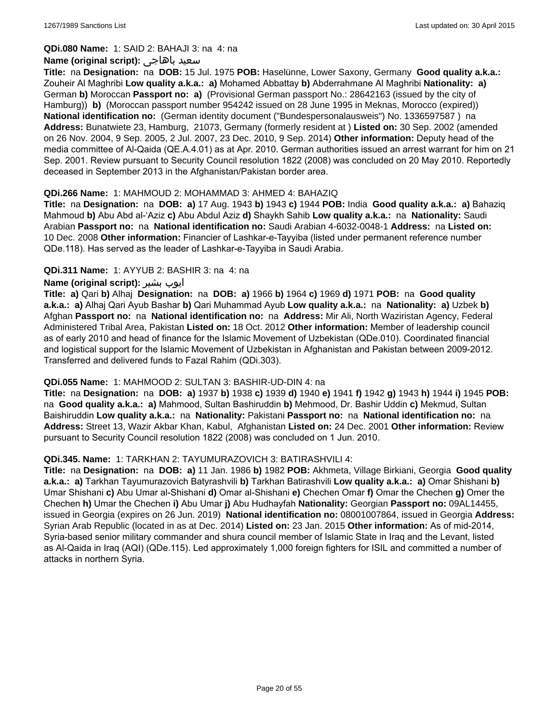**QDi.080 Name:** 1: SAID 2: BAHAJI 3: na 4: na

#### **Name (original script):** باهاجى سعيد

**Title:** na **Designation:** na **DOB:** 15 Jul. 1975 **POB:** Haselünne, Lower Saxony, Germany **Good quality a.k.a.:** Zouheir Al Maghribi **Low quality a.k.a.: a)** Mohamed Abbattay **b)** Abderrahmane Al Maghribi **Nationality: a)** German **b)** Moroccan **Passport no: a)** (Provisional German passport No.: 28642163 (issued by the city of Hamburg)) **b)** (Moroccan passport number 954242 issued on 28 June 1995 in Meknas, Morocco (expired)) **National identification no:** (German identity document ("Bundespersonalausweis") No. 1336597587 ) na **Address:** Bunatwiete 23, Hamburg, 21073, Germany (formerly resident at ) **Listed on:** 30 Sep. 2002 (amended on 26 Nov. 2004, 9 Sep. 2005, 2 Jul. 2007, 23 Dec. 2010, 9 Sep. 2014) **Other information:** Deputy head of the media committee of Al-Qaida (QE.A.4.01) as at Apr. 2010. German authorities issued an arrest warrant for him on 21 Sep. 2001. Review pursuant to Security Council resolution 1822 (2008) was concluded on 20 May 2010. Reportedly deceased in September 2013 in the Afghanistan/Pakistan border area.

### **QDi.266 Name:** 1: MAHMOUD 2: MOHAMMAD 3: AHMED 4: BAHAZIQ

**Title:** na **Designation:** na **DOB: a)** 17 Aug. 1943 **b)** 1943 **c)** 1944 **POB:** India **Good quality a.k.a.: a)** Bahaziq Mahmoud **b)** Abu Abd al-'Aziz **c)** Abu Abdul Aziz **d)** Shaykh Sahib **Low quality a.k.a.:** na **Nationality:** Saudi Arabian **Passport no:** na **National identification no:** Saudi Arabian 4-6032-0048-1 **Address:** na **Listed on:** 10 Dec. 2008 **Other information:** Financier of Lashkar-e-Tayyiba (listed under permanent reference number QDe.118). Has served as the leader of Lashkar-e-Tayyiba in Saudi Arabia.

### **QDi.311 Name:** 1: AYYUB 2: BASHIR 3: na 4: na

### **Name (original script):** بشیر ایوب

**Title: a)** Qari **b)** Alhaj **Designation:** na **DOB: a)** 1966 **b)** 1964 **c)** 1969 **d)** 1971 **POB:** na **Good quality a.k.a.: a)** Alhaj Qari Ayub Bashar **b)** Qari Muhammad Ayub **Low quality a.k.a.:** na **Nationality: a)** Uzbek **b)** Afghan **Passport no:** na **National identification no:** na **Address:** Mir Ali, North Waziristan Agency, Federal Administered Tribal Area, Pakistan **Listed on:** 18 Oct. 2012 **Other information:** Member of leadership council as of early 2010 and head of finance for the Islamic Movement of Uzbekistan (QDe.010). Coordinated financial and logistical support for the Islamic Movement of Uzbekistan in Afghanistan and Pakistan between 2009-2012. Transferred and delivered funds to Fazal Rahim (QDi.303).

#### **QDi.055 Name:** 1: MAHMOOD 2: SULTAN 3: BASHIR-UD-DIN 4: na

**Title:** na **Designation:** na **DOB: a)** 1937 **b)** 1938 **c)** 1939 **d)** 1940 **e)** 1941 **f)** 1942 **g)** 1943 **h)** 1944 **i)** 1945 **POB:**  na **Good quality a.k.a.: a)** Mahmood, Sultan Bashiruddin **b)** Mehmood, Dr. Bashir Uddin **c)** Mekmud, Sultan Baishiruddin **Low quality a.k.a.:** na **Nationality:** Pakistani **Passport no:** na **National identification no:** na **Address:** Street 13, Wazir Akbar Khan, Kabul, Afghanistan **Listed on:** 24 Dec. 2001 **Other information:** Review pursuant to Security Council resolution 1822 (2008) was concluded on 1 Jun. 2010.

#### **QDi.345. Name:** 1: TARKHAN 2: TAYUMURAZOVICH 3: BATIRASHVILI 4:

**Title:** na **Designation:** na **DOB: a)** 11 Jan. 1986 **b)** 1982 **POB:** Akhmeta, Village Birkiani, Georgia **Good quality a.k.a.: a)** Tarkhan Tayumurazovich Batyrashvili **b)** Tarkhan Batirashvili **Low quality a.k.a.: a)** Omar Shishani **b)** Umar Shishani **c)** Abu Umar al-Shishani **d)** Omar al-Shishani **e)** Chechen Omar **f)** Omar the Chechen **g)** Omer the Chechen **h)** Umar the Chechen **i)** Abu Umar **j)** Abu Hudhayfah **Nationality:** Georgian **Passport no:** 09AL14455, issued in Georgia (expires on 26 Jun. 2019) **National identification no:** 08001007864, issued in Georgia **Address:** Syrian Arab Republic (located in as at Dec. 2014) **Listed on:** 23 Jan. 2015 **Other information:** As of mid-2014, Syria-based senior military commander and shura council member of Islamic State in Iraq and the Levant, listed as Al-Qaida in Iraq (AQI) (QDe.115). Led approximately 1,000 foreign fighters for ISIL and committed a number of attacks in northern Syria.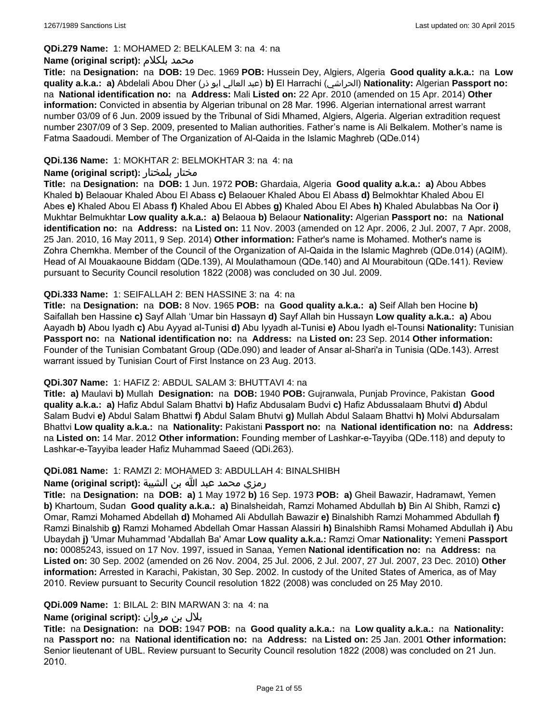#### **QDi.279 Name:** 1: MOHAMED 2: BELKALEM 3: na 4: na

### **Name (original script):** بلكلام محمد

**Title:** na **Designation:** na **DOB:** 19 Dec. 1969 **POB:** Hussein Dey, Algiers, Algeria **Good quality a.k.a.:** na **Low quality a.k.a.: a)** Abdelali Abou Dher (ذر ابو العالي عبد(**b)** El Harrachi (الحراشي(**Nationality:** Algerian **Passport no:**  na **National identification no:** na **Address:** Mali **Listed on:** 22 Apr. 2010 (amended on 15 Apr. 2014) **Other information:** Convicted in absentia by Algerian tribunal on 28 Mar. 1996. Algerian international arrest warrant number 03/09 of 6 Jun. 2009 issued by the Tribunal of Sidi Mhamed, Algiers, Algeria. Algerian extradition request number 2307/09 of 3 Sep. 2009, presented to Malian authorities. Father's name is Ali Belkalem. Mother's name is Fatma Saadoudi. Member of The Organization of Al-Qaida in the Islamic Maghreb (QDe.014)

## **QDi.136 Name:** 1: MOKHTAR 2: BELMOKHTAR 3: na 4: na

### **Name (original script):** بلمختار مختار

**Title:** na **Designation:** na **DOB:** 1 Jun. 1972 **POB:** Ghardaia, Algeria **Good quality a.k.a.: a)** Abou Abbes Khaled **b)** Belaouar Khaled Abou El Abass **c)** Belaouer Khaled Abou El Abass **d)** Belmokhtar Khaled Abou El Abes **e)** Khaled Abou El Abass **f)** Khaled Abou El Abbes **g)** Khaled Abou El Abes **h)** Khaled Abulabbas Na Oor **i)** Mukhtar Belmukhtar **Low quality a.k.a.: a)** Belaoua **b)** Belaour **Nationality:** Algerian **Passport no:** na **National identification no:** na **Address:** na **Listed on:** 11 Nov. 2003 (amended on 12 Apr. 2006, 2 Jul. 2007, 7 Apr. 2008, 25 Jan. 2010, 16 May 2011, 9 Sep. 2014) **Other information:** Father's name is Mohamed. Mother's name is Zohra Chemkha. Member of the Council of the Organization of Al-Qaida in the Islamic Maghreb (QDe.014) (AQIM). Head of Al Mouakaoune Biddam (QDe.139), Al Moulathamoun (QDe.140) and Al Mourabitoun (QDe.141). Review pursuant to Security Council resolution 1822 (2008) was concluded on 30 Jul. 2009.

### **QDi.333 Name:** 1: SEIFALLAH 2: BEN HASSINE 3: na 4: na

**Title:** na **Designation:** na **DOB:** 8 Nov. 1965 **POB:** na **Good quality a.k.a.: a)** Seif Allah ben Hocine **b)** Saifallah ben Hassine **c)** Sayf Allah 'Umar bin Hassayn **d)** Sayf Allah bin Hussayn **Low quality a.k.a.: a)** Abou Aayadh **b)** Abou Iyadh **c)** Abu Ayyad al-Tunisi **d)** Abu Iyyadh al-Tunisi **e)** Abou Iyadh el-Tounsi **Nationality:** Tunisian **Passport no:** na **National identification no:** na **Address:** na **Listed on:** 23 Sep. 2014 **Other information:** Founder of the Tunisian Combatant Group (QDe.090) and leader of Ansar al-Shari'a in Tunisia (QDe.143). Arrest warrant issued by Tunisian Court of First Instance on 23 Aug. 2013.

#### **QDi.307 Name:** 1: HAFIZ 2: ABDUL SALAM 3: BHUTTAVI 4: na

**Title: a)** Maulavi **b)** Mullah **Designation:** na **DOB:** 1940 **POB:** Gujranwala, Punjab Province, Pakistan **Good quality a.k.a.: a)** Hafiz Abdul Salam Bhattvi **b)** Hafiz Abdusalam Budvi **c)** Hafiz Abdussalaam Bhutvi **d)** Abdul Salam Budvi **e)** Abdul Salam Bhattwi **f)** Abdul Salam Bhutvi **g)** Mullah Abdul Salaam Bhattvi **h)** Molvi Abdursalam Bhattvi **Low quality a.k.a.:** na **Nationality:** Pakistani **Passport no:** na **National identification no:** na **Address:** na **Listed on:** 14 Mar. 2012 **Other information:** Founding member of Lashkar-e-Tayyiba (QDe.118) and deputy to Lashkar-e-Tayyiba leader Hafiz Muhammad Saeed (QDi.263).

## **QDi.081 Name:** 1: RAMZI 2: MOHAMED 3: ABDULLAH 4: BINALSHIBH

#### رمزي محمد عبد الله بن الشيبة **:(script original (Name**

**Title:** na **Designation:** na **DOB: a)** 1 May 1972 **b)** 16 Sep. 1973 **POB: a)** Gheil Bawazir, Hadramawt, Yemen **b)** Khartoum, Sudan **Good quality a.k.a.: a)** Binalsheidah, Ramzi Mohamed Abdullah **b)** Bin Al Shibh, Ramzi **c)** Omar, Ramzi Mohamed Abdellah **d)** Mohamed Ali Abdullah Bawazir **e)** Binalshibh Ramzi Mohammed Abdullah **f)** Ramzi Binalshib **g)** Ramzi Mohamed Abdellah Omar Hassan Alassiri **h)** Binalshibh Ramsi Mohamed Abdullah **i)** Abu Ubaydah **j)** 'Umar Muhammad 'Abdallah Ba' Amar **Low quality a.k.a.:** Ramzi Omar **Nationality:** Yemeni **Passport no:** 00085243, issued on 17 Nov. 1997, issued in Sanaa, Yemen **National identification no:** na **Address:** na **Listed on:** 30 Sep. 2002 (amended on 26 Nov. 2004, 25 Jul. 2006, 2 Jul. 2007, 27 Jul. 2007, 23 Dec. 2010) **Other information:** Arrested in Karachi, Pakistan, 30 Sep. 2002. In custody of the United States of America, as of May 2010. Review pursuant to Security Council resolution 1822 (2008) was concluded on 25 May 2010.

#### **QDi.009 Name:** 1: BILAL 2: BIN MARWAN 3: na 4: na

## بلال بن مروان **:(script original (Name**

**Title:** na **Designation:** na **DOB:** 1947 **POB:** na **Good quality a.k.a.:** na **Low quality a.k.a.:** na **Nationality:**  na **Passport no:** na **National identification no:** na **Address:** na **Listed on:** 25 Jan. 2001 **Other information:** Senior lieutenant of UBL. Review pursuant to Security Council resolution 1822 (2008) was concluded on 21 Jun. 2010.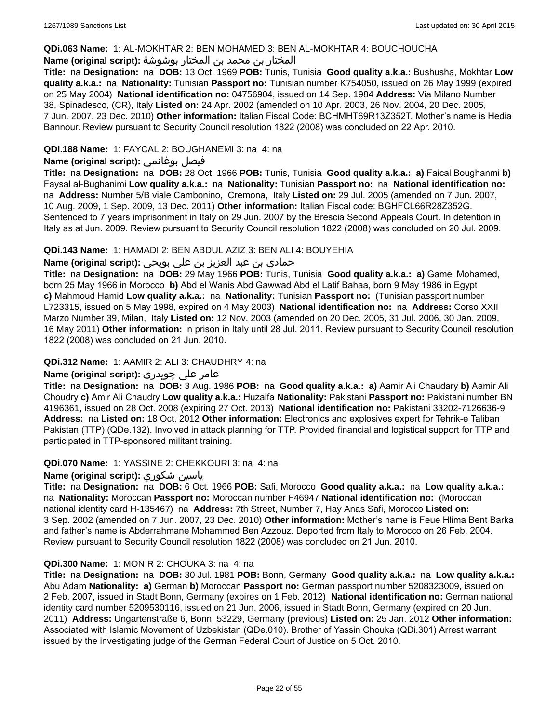#### **QDi.063 Name:** 1: AL-MOKHTAR 2: BEN MOHAMED 3: BEN AL-MOKHTAR 4: BOUCHOUCHA

## المختار بن محمد بن المختار بوشوشة **:(script original (Name**

**Title:** na **Designation:** na **DOB:** 13 Oct. 1969 **POB:** Tunis, Tunisia **Good quality a.k.a.:** Bushusha, Mokhtar **Low quality a.k.a.:** na **Nationality:** Tunisian **Passport no:** Tunisian number K754050, issued on 26 May 1999 (expired on 25 May 2004) **National identification no:** 04756904, issued on 14 Sep. 1984 **Address:** Via Milano Number 38, Spinadesco, (CR), Italy **Listed on:** 24 Apr. 2002 (amended on 10 Apr. 2003, 26 Nov. 2004, 20 Dec. 2005, 7 Jun. 2007, 23 Dec. 2010) **Other information:** Italian Fiscal Code: BCHMHT69R13Z352T. Mother's name is Hedia Bannour. Review pursuant to Security Council resolution 1822 (2008) was concluded on 22 Apr. 2010.

## **QDi.188 Name:** 1: FAYCAL 2: BOUGHANEMI 3: na 4: na

## **Name (original script):** بوغانمي فيصل

**Title:** na **Designation:** na **DOB:** 28 Oct. 1966 **POB:** Tunis, Tunisia **Good quality a.k.a.: a)** Faical Boughanmi **b)** Faysal al-Bughanimi **Low quality a.k.a.:** na **Nationality:** Tunisian **Passport no:** na **National identification no:**  na **Address:** Number 5/B viale Cambonino, Cremona, Italy **Listed on:** 29 Jul. 2005 (amended on 7 Jun. 2007, 10 Aug. 2009, 1 Sep. 2009, 13 Dec. 2011) **Other information:** Italian Fiscal code: BGHFCL66R28Z352G. Sentenced to 7 years imprisonment in Italy on 29 Jun. 2007 by the Brescia Second Appeals Court. In detention in Italy as at Jun. 2009. Review pursuant to Security Council resolution 1822 (2008) was concluded on 20 Jul. 2009.

### **QDi.143 Name:** 1: HAMADI 2: BEN ABDUL AZIZ 3: BEN ALI 4: BOUYEHIA

## حمادي بن عبد العزيز بن علي بويحي **:(script original (Name**

**Title:** na **Designation:** na **DOB:** 29 May 1966 **POB:** Tunis, Tunisia **Good quality a.k.a.: a)** Gamel Mohamed, born 25 May 1966 in Morocco **b)** Abd el Wanis Abd Gawwad Abd el Latif Bahaa, born 9 May 1986 in Egypt **c)** Mahmoud Hamid **Low quality a.k.a.:** na **Nationality:** Tunisian **Passport no:** (Tunisian passport number L723315, issued on 5 May 1998, expired on 4 May 2003) **National identification no:** na **Address:** Corso XXII Marzo Number 39, Milan, Italy **Listed on:** 12 Nov. 2003 (amended on 20 Dec. 2005, 31 Jul. 2006, 30 Jan. 2009, 16 May 2011) **Other information:** In prison in Italy until 28 Jul. 2011. Review pursuant to Security Council resolution 1822 (2008) was concluded on 21 Jun. 2010.

#### **QDi.312 Name:** 1: AAMIR 2: ALI 3: CHAUDHRY 4: na

## عامر علی چوہدری **:(script original (Name**

**Title:** na **Designation:** na **DOB:** 3 Aug. 1986 **POB:** na **Good quality a.k.a.: a)** Aamir Ali Chaudary **b)** Aamir Ali Choudry **c)** Amir Ali Chaudry **Low quality a.k.a.:** Huzaifa **Nationality:** Pakistani **Passport no:** Pakistani number BN 4196361, issued on 28 Oct. 2008 (expiring 27 Oct. 2013) **National identification no:** Pakistani 33202-7126636-9 **Address:** na **Listed on:** 18 Oct. 2012 **Other information:** Electronics and explosives expert for Tehrik-e Taliban Pakistan (TTP) (QDe.132). Involved in attack planning for TTP. Provided financial and logistical support for TTP and participated in TTP-sponsored militant training.

#### **QDi.070 Name:** 1: YASSINE 2: CHEKKOURI 3: na 4: na

#### **Name (original script):** شكوري ياسين

**Title:** na **Designation:** na **DOB:** 6 Oct. 1966 **POB:** Safi, Morocco **Good quality a.k.a.:** na **Low quality a.k.a.:**  na **Nationality:** Moroccan **Passport no:** Moroccan number F46947 **National identification no:** (Moroccan national identity card H-135467) na **Address:** 7th Street, Number 7, Hay Anas Safi, Morocco **Listed on:** 3 Sep. 2002 (amended on 7 Jun. 2007, 23 Dec. 2010) **Other information:** Mother's name is Feue Hlima Bent Barka and father's name is Abderrahmane Mohammed Ben Azzouz. Deported from Italy to Morocco on 26 Feb. 2004. Review pursuant to Security Council resolution 1822 (2008) was concluded on 21 Jun. 2010.

#### **QDi.300 Name:** 1: MONIR 2: CHOUKA 3: na 4: na

**Title:** na **Designation:** na **DOB:** 30 Jul. 1981 **POB:** Bonn, Germany **Good quality a.k.a.:** na **Low quality a.k.a.:** Abu Adam **Nationality: a)** German **b)** Moroccan **Passport no:** German passport number 5208323009, issued on 2 Feb. 2007, issued in Stadt Bonn, Germany (expires on 1 Feb. 2012) **National identification no:** German national identity card number 5209530116, issued on 21 Jun. 2006, issued in Stadt Bonn, Germany (expired on 20 Jun. 2011) **Address:** Ungartenstraße 6, Bonn, 53229, Germany (previous) **Listed on:** 25 Jan. 2012 **Other information:** Associated with Islamic Movement of Uzbekistan (QDe.010). Brother of Yassin Chouka (QDi.301) Arrest warrant issued by the investigating judge of the German Federal Court of Justice on 5 Oct. 2010.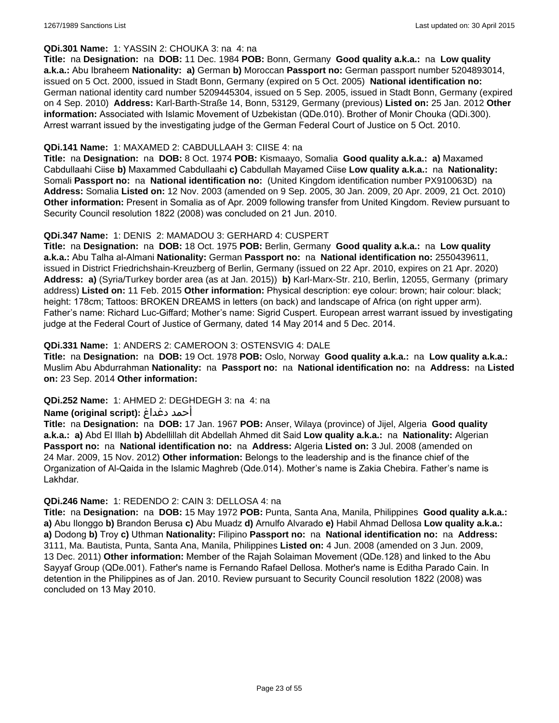#### **QDi.301 Name:** 1: YASSIN 2: CHOUKA 3: na 4: na

**Title:** na **Designation:** na **DOB:** 11 Dec. 1984 **POB:** Bonn, Germany **Good quality a.k.a.:** na **Low quality a.k.a.:** Abu Ibraheem **Nationality: a)** German **b)** Moroccan **Passport no:** German passport number 5204893014, issued on 5 Oct. 2000, issued in Stadt Bonn, Germany (expired on 5 Oct. 2005) **National identification no:** German national identity card number 5209445304, issued on 5 Sep. 2005, issued in Stadt Bonn, Germany (expired on 4 Sep. 2010) **Address:** Karl-Barth-Straße 14, Bonn, 53129, Germany (previous) **Listed on:** 25 Jan. 2012 **Other information:** Associated with Islamic Movement of Uzbekistan (QDe.010). Brother of Monir Chouka (QDi.300). Arrest warrant issued by the investigating judge of the German Federal Court of Justice on 5 Oct. 2010.

#### **QDi.141 Name:** 1: MAXAMED 2: CABDULLAAH 3: CIISE 4: na

**Title:** na **Designation:** na **DOB:** 8 Oct. 1974 **POB:** Kismaayo, Somalia **Good quality a.k.a.: a)** Maxamed Cabdullaahi Ciise **b)** Maxammed Cabdullaahi **c)** Cabdullah Mayamed Ciise **Low quality a.k.a.:** na **Nationality:** Somali **Passport no:** na **National identification no:** (United Kingdom identification number PX910063D) na **Address:** Somalia **Listed on:** 12 Nov. 2003 (amended on 9 Sep. 2005, 30 Jan. 2009, 20 Apr. 2009, 21 Oct. 2010) **Other information:** Present in Somalia as of Apr. 2009 following transfer from United Kingdom. Review pursuant to Security Council resolution 1822 (2008) was concluded on 21 Jun. 2010.

#### **QDi.347 Name:** 1: DENIS 2: MAMADOU 3: GERHARD 4: CUSPERT

**Title:** na **Designation:** na **DOB:** 18 Oct. 1975 **POB:** Berlin, Germany **Good quality a.k.a.:** na **Low quality a.k.a.:** Abu Talha al-Almani **Nationality:** German **Passport no:** na **National identification no:** 2550439611, issued in District Friedrichshain-Kreuzberg of Berlin, Germany (issued on 22 Apr. 2010, expires on 21 Apr. 2020) **Address: a)** (Syria/Turkey border area (as at Jan. 2015)) **b)** Karl-Marx-Str. 210, Berlin, 12055, Germany (primary address) **Listed on:** 11 Feb. 2015 **Other information:** Physical description: eye colour: brown; hair colour: black; height: 178cm; Tattoos: BROKEN DREAMS in letters (on back) and landscape of Africa (on right upper arm). Father's name: Richard Luc-Giffard; Mother's name: Sigrid Cuspert. European arrest warrant issued by investigating judge at the Federal Court of Justice of Germany, dated 14 May 2014 and 5 Dec. 2014.

### **QDi.331 Name:** 1: ANDERS 2: CAMEROON 3: OSTENSVIG 4: DALE

**Title:** na **Designation:** na **DOB:** 19 Oct. 1978 **POB:** Oslo, Norway **Good quality a.k.a.:** na **Low quality a.k.a.:** Muslim Abu Abdurrahman **Nationality:** na **Passport no:** na **National identification no:** na **Address:** na **Listed on:** 23 Sep. 2014 **Other information:**

#### **QDi.252 Name:** 1: AHMED 2: DEGHDEGH 3: na 4: na

#### **Name (original script):** دغداغ أحمد

**Title:** na **Designation:** na **DOB:** 17 Jan. 1967 **POB:** Anser, Wilaya (province) of Jijel, Algeria **Good quality a.k.a.: a)** Abd El Illah **b)** Abdellillah dit Abdellah Ahmed dit Said **Low quality a.k.a.:** na **Nationality:** Algerian **Passport no:** na **National identification no:** na **Address:** Algeria **Listed on:** 3 Jul. 2008 (amended on 24 Mar. 2009, 15 Nov. 2012) **Other information:** Belongs to the leadership and is the finance chief of the Organization of Al-Qaida in the Islamic Maghreb (Qde.014). Mother's name is Zakia Chebira. Father's name is Lakhdar.

#### **QDi.246 Name:** 1: REDENDO 2: CAIN 3: DELLOSA 4: na

**Title:** na **Designation:** na **DOB:** 15 May 1972 **POB:** Punta, Santa Ana, Manila, Philippines **Good quality a.k.a.: a)** Abu Ilonggo **b)** Brandon Berusa **c)** Abu Muadz **d)** Arnulfo Alvarado **e)** Habil Ahmad Dellosa **Low quality a.k.a.: a)** Dodong **b)** Troy **c)** Uthman **Nationality:** Filipino **Passport no:** na **National identification no:** na **Address:** 3111, Ma. Bautista, Punta, Santa Ana, Manila, Philippines **Listed on:** 4 Jun. 2008 (amended on 3 Jun. 2009, 13 Dec. 2011) **Other information:** Member of the Rajah Solaiman Movement (QDe.128) and linked to the Abu Sayyaf Group (QDe.001). Father's name is Fernando Rafael Dellosa. Mother's name is Editha Parado Cain. In detention in the Philippines as of Jan. 2010. Review pursuant to Security Council resolution 1822 (2008) was concluded on 13 May 2010.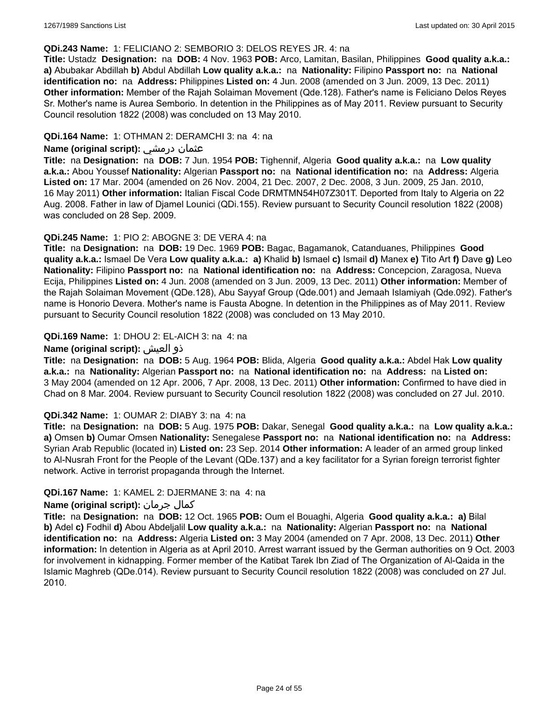#### **QDi.243 Name:** 1: FELICIANO 2: SEMBORIO 3: DELOS REYES JR. 4: na

**Title:** Ustadz **Designation:** na **DOB:** 4 Nov. 1963 **POB:** Arco, Lamitan, Basilan, Philippines **Good quality a.k.a.: a)** Abubakar Abdillah **b)** Abdul Abdillah **Low quality a.k.a.:** na **Nationality:** Filipino **Passport no:** na **National identification no:** na **Address:** Philippines **Listed on:** 4 Jun. 2008 (amended on 3 Jun. 2009, 13 Dec. 2011) **Other information:** Member of the Rajah Solaiman Movement (Qde.128). Father's name is Feliciano Delos Reyes Sr. Mother's name is Aurea Semborio. In detention in the Philippines as of May 2011. Review pursuant to Security Council resolution 1822 (2008) was concluded on 13 May 2010.

#### **QDi.164 Name:** 1: OTHMAN 2: DERAMCHI 3: na 4: na

#### **Name (original script):** درمشي عثمان

**Title:** na **Designation:** na **DOB:** 7 Jun. 1954 **POB:** Tighennif, Algeria **Good quality a.k.a.:** na **Low quality a.k.a.:** Abou Youssef **Nationality:** Algerian **Passport no:** na **National identification no:** na **Address:** Algeria **Listed on:** 17 Mar. 2004 (amended on 26 Nov. 2004, 21 Dec. 2007, 2 Dec. 2008, 3 Jun. 2009, 25 Jan. 2010, 16 May 2011) **Other information:** Italian Fiscal Code DRMTMN54H07Z301T. Deported from Italy to Algeria on 22 Aug. 2008. Father in law of Djamel Lounici (QDi.155). Review pursuant to Security Council resolution 1822 (2008) was concluded on 28 Sep. 2009.

### **QDi.245 Name:** 1: PIO 2: ABOGNE 3: DE VERA 4: na

**Title:** na **Designation:** na **DOB:** 19 Dec. 1969 **POB:** Bagac, Bagamanok, Catanduanes, Philippines **Good quality a.k.a.:** Ismael De Vera **Low quality a.k.a.: a)** Khalid **b)** Ismael **c)** Ismail **d)** Manex **e)** Tito Art **f)** Dave **g)** Leo **Nationality:** Filipino **Passport no:** na **National identification no:** na **Address:** Concepcion, Zaragosa, Nueva Ecija, Philippines **Listed on:** 4 Jun. 2008 (amended on 3 Jun. 2009, 13 Dec. 2011) **Other information:** Member of the Rajah Solaiman Movement (QDe.128), Abu Sayyaf Group (Qde.001) and Jemaah Islamiyah (Qde.092). Father's name is Honorio Devera. Mother's name is Fausta Abogne. In detention in the Philippines as of May 2011. Review pursuant to Security Council resolution 1822 (2008) was concluded on 13 May 2010.

### **QDi.169 Name:** 1: DHOU 2: EL-AICH 3: na 4: na

### **Name (original script):** العيش ذو

**Title:** na **Designation:** na **DOB:** 5 Aug. 1964 **POB:** Blida, Algeria **Good quality a.k.a.:** Abdel Hak **Low quality a.k.a.:** na **Nationality:** Algerian **Passport no:** na **National identification no:** na **Address:** na **Listed on:** 3 May 2004 (amended on 12 Apr. 2006, 7 Apr. 2008, 13 Dec. 2011) **Other information:** Confirmed to have died in Chad on 8 Mar. 2004. Review pursuant to Security Council resolution 1822 (2008) was concluded on 27 Jul. 2010.

#### **QDi.342 Name:** 1: OUMAR 2: DIABY 3: na 4: na

**Title:** na **Designation:** na **DOB:** 5 Aug. 1975 **POB:** Dakar, Senegal **Good quality a.k.a.:** na **Low quality a.k.a.: a)** Omsen **b)** Oumar Omsen **Nationality:** Senegalese **Passport no:** na **National identification no:** na **Address:** Syrian Arab Republic (located in) **Listed on:** 23 Sep. 2014 **Other information:** A leader of an armed group linked to Al-Nusrah Front for the People of the Levant (QDe.137) and a key facilitator for a Syrian foreign terrorist fighter network. Active in terrorist propaganda through the Internet.

#### **QDi.167 Name:** 1: KAMEL 2: DJERMANE 3: na 4: na

## **Name (original script):** جرمان كمال

**Title:** na **Designation:** na **DOB:** 12 Oct. 1965 **POB:** Oum el Bouaghi, Algeria **Good quality a.k.a.: a)** Bilal **b)** Adel **c)** Fodhil **d)** Abou Abdeljalil **Low quality a.k.a.:** na **Nationality:** Algerian **Passport no:** na **National identification no:** na **Address:** Algeria **Listed on:** 3 May 2004 (amended on 7 Apr. 2008, 13 Dec. 2011) **Other information:** In detention in Algeria as at April 2010. Arrest warrant issued by the German authorities on 9 Oct. 2003 for involvement in kidnapping. Former member of the Katibat Tarek Ibn Ziad of The Organization of Al-Qaida in the Islamic Maghreb (QDe.014). Review pursuant to Security Council resolution 1822 (2008) was concluded on 27 Jul. 2010.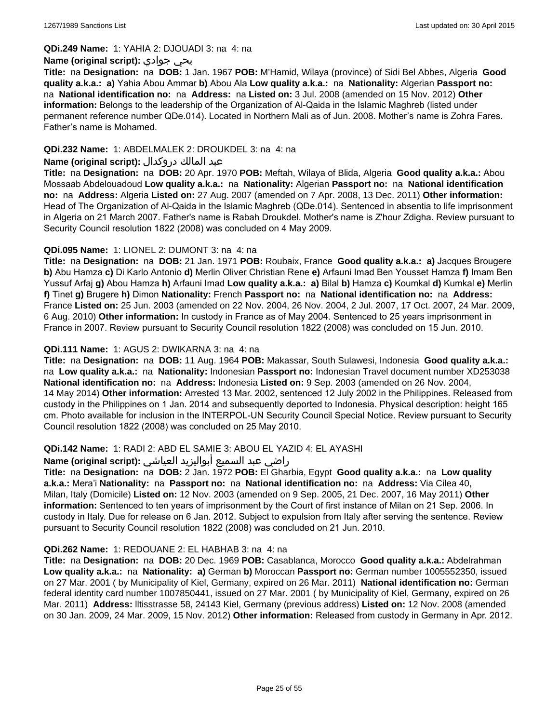**QDi.249 Name:** 1: YAHIA 2: DJOUADI 3: na 4: na

#### **Name (original script):** جوادي يحي

**Title:** na **Designation:** na **DOB:** 1 Jan. 1967 **POB:** M'Hamid, Wilaya (province) of Sidi Bel Abbes, Algeria **Good quality a.k.a.: a)** Yahia Abou Ammar **b)** Abou Ala **Low quality a.k.a.:** na **Nationality:** Algerian **Passport no:**  na **National identification no:** na **Address:** na **Listed on:** 3 Jul. 2008 (amended on 15 Nov. 2012) **Other information:** Belongs to the leadership of the Organization of Al-Qaida in the Islamic Maghreb (listed under permanent reference number QDe.014). Located in Northern Mali as of Jun. 2008. Mother's name is Zohra Fares. Father's name is Mohamed.

## **QDi.232 Name:** 1: ABDELMALEK 2: DROUKDEL 3: na 4: na

### عبد المالك دروكدال **:(script original (Name**

**Title:** na **Designation:** na **DOB:** 20 Apr. 1970 **POB:** Meftah, Wilaya of Blida, Algeria **Good quality a.k.a.:** Abou Mossaab Abdelouadoud **Low quality a.k.a.:** na **Nationality:** Algerian **Passport no:** na **National identification no:** na **Address:** Algeria **Listed on:** 27 Aug. 2007 (amended on 7 Apr. 2008, 13 Dec. 2011) **Other information:** Head of The Organization of Al-Qaida in the Islamic Maghreb (QDe.014). Sentenced in absentia to life imprisonment in Algeria on 21 March 2007. Father's name is Rabah Droukdel. Mother's name is Z'hour Zdigha. Review pursuant to Security Council resolution 1822 (2008) was concluded on 4 May 2009.

## **QDi.095 Name:** 1: LIONEL 2: DUMONT 3: na 4: na

**Title:** na **Designation:** na **DOB:** 21 Jan. 1971 **POB:** Roubaix, France **Good quality a.k.a.: a)** Jacques Brougere **b)** Abu Hamza **c)** Di Karlo Antonio **d)** Merlin Oliver Christian Rene **e)** Arfauni Imad Ben Yousset Hamza **f)** Imam Ben Yussuf Arfaj **g)** Abou Hamza **h)** Arfauni Imad **Low quality a.k.a.: a)** Bilal **b)** Hamza **c)** Koumkal **d)** Kumkal **e)** Merlin **f)** Tinet **g)** Brugere **h)** Dimon **Nationality:** French **Passport no:** na **National identification no:** na **Address:** France **Listed on:** 25 Jun. 2003 (amended on 22 Nov. 2004, 26 Nov. 2004, 2 Jul. 2007, 17 Oct. 2007, 24 Mar. 2009, 6 Aug. 2010) **Other information:** In custody in France as of May 2004. Sentenced to 25 years imprisonment in France in 2007. Review pursuant to Security Council resolution 1822 (2008) was concluded on 15 Jun. 2010.

### **QDi.111 Name:** 1: AGUS 2: DWIKARNA 3: na 4: na

**Title:** na **Designation:** na **DOB:** 11 Aug. 1964 **POB:** Makassar, South Sulawesi, Indonesia **Good quality a.k.a.:**  na **Low quality a.k.a.:** na **Nationality:** Indonesian **Passport no:** Indonesian Travel document number XD253038 **National identification no:** na **Address:** Indonesia **Listed on:** 9 Sep. 2003 (amended on 26 Nov. 2004, 14 May 2014) **Other information:** Arrested 13 Mar. 2002, sentenced 12 July 2002 in the Philippines. Released from custody in the Philippines on 1 Jan. 2014 and subsequently deported to Indonesia. Physical description: height 165 cm. Photo available for inclusion in the INTERPOL-UN Security Council Special Notice. Review pursuant to Security Council resolution 1822 (2008) was concluded on 25 May 2010.

## **QDi.142 Name:** 1: RADI 2: ABD EL SAMIE 3: ABOU EL YAZID 4: EL AYASHI

#### راضي عبد السميع أبواليزيد العياشي **:(script original (Name**

**Title:** na **Designation:** na **DOB:** 2 Jan. 1972 **POB:** El Gharbia, Egypt **Good quality a.k.a.:** na **Low quality a.k.a.:** Mera'i **Nationality:** na **Passport no:** na **National identification no:** na **Address:** Via Cilea 40, Milan, Italy (Domicile) **Listed on:** 12 Nov. 2003 (amended on 9 Sep. 2005, 21 Dec. 2007, 16 May 2011) **Other information:** Sentenced to ten years of imprisonment by the Court of first instance of Milan on 21 Sep. 2006. In custody in Italy. Due for release on 6 Jan. 2012. Subject to expulsion from Italy after serving the sentence. Review pursuant to Security Council resolution 1822 (2008) was concluded on 21 Jun. 2010.

#### **QDi.262 Name:** 1: REDOUANE 2: EL HABHAB 3: na 4: na

**Title:** na **Designation:** na **DOB:** 20 Dec. 1969 **POB:** Casablanca, Morocco **Good quality a.k.a.:** Abdelrahman **Low quality a.k.a.:** na **Nationality: a)** German **b)** Moroccan **Passport no:** German number 1005552350, issued on 27 Mar. 2001 ( by Municipality of Kiel, Germany, expired on 26 Mar. 2011) **National identification no:** German federal identity card number 1007850441, issued on 27 Mar. 2001 ( by Municipality of Kiel, Germany, expired on 26 Mar. 2011) **Address:** lltisstrasse 58, 24143 Kiel, Germany (previous address) **Listed on:** 12 Nov. 2008 (amended on 30 Jan. 2009, 24 Mar. 2009, 15 Nov. 2012) **Other information:** Released from custody in Germany in Apr. 2012.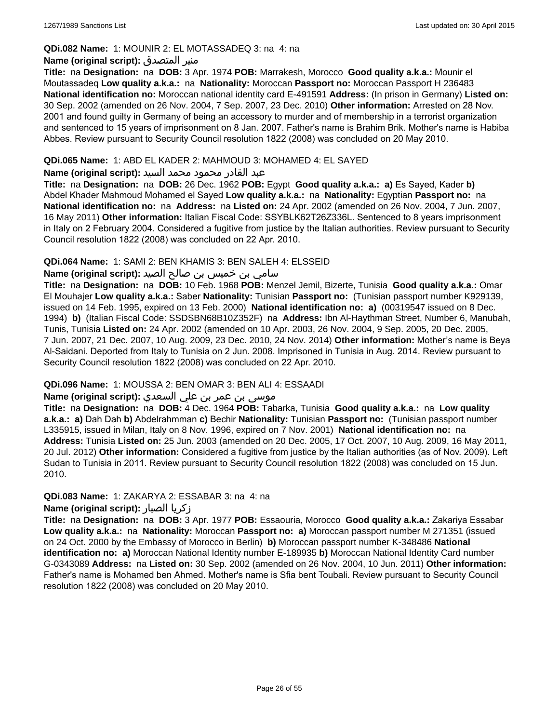### **QDi.082 Name:** 1: MOUNIR 2: EL MOTASSADEQ 3: na 4: na

### **Name (original script):** المتصدق منير

**Title:** na **Designation:** na **DOB:** 3 Apr. 1974 **POB:** Marrakesh, Morocco **Good quality a.k.a.:** Mounir el Moutassadeq **Low quality a.k.a.:** na **Nationality:** Moroccan **Passport no:** Moroccan Passport H 236483 **National identification no:** Moroccan national identity card E-491591 **Address:** (In prison in Germany) **Listed on:** 30 Sep. 2002 (amended on 26 Nov. 2004, 7 Sep. 2007, 23 Dec. 2010) **Other information:** Arrested on 28 Nov. 2001 and found guilty in Germany of being an accessory to murder and of membership in a terrorist organization and sentenced to 15 years of imprisonment on 8 Jan. 2007. Father's name is Brahim Brik. Mother's name is Habiba Abbes. Review pursuant to Security Council resolution 1822 (2008) was concluded on 20 May 2010.

## **QDi.065 Name:** 1: ABD EL KADER 2: MAHMOUD 3: MOHAMED 4: EL SAYED

### عبد القادر محمود محمد السيد **:(script original (Name**

**Title:** na **Designation:** na **DOB:** 26 Dec. 1962 **POB:** Egypt **Good quality a.k.a.: a)** Es Sayed, Kader **b)** Abdel Khader Mahmoud Mohamed el Sayed **Low quality a.k.a.:** na **Nationality:** Egyptian **Passport no:** na **National identification no:** na **Address:** na **Listed on:** 24 Apr. 2002 (amended on 26 Nov. 2004, 7 Jun. 2007, 16 May 2011) **Other information:** Italian Fiscal Code: SSYBLK62T26Z336L. Sentenced to 8 years imprisonment in Italy on 2 February 2004. Considered a fugitive from justice by the Italian authorities. Review pursuant to Security Council resolution 1822 (2008) was concluded on 22 Apr. 2010.

## **QDi.064 Name:** 1: SAMI 2: BEN KHAMIS 3: BEN SALEH 4: ELSSEID

## سامي بن خميس بن صالح الصيد **:Name (original script**)

**Title:** na **Designation:** na **DOB:** 10 Feb. 1968 **POB:** Menzel Jemil, Bizerte, Tunisia **Good quality a.k.a.:** Omar El Mouhajer **Low quality a.k.a.:** Saber **Nationality:** Tunisian **Passport no:** (Tunisian passport number K929139, issued on 14 Feb. 1995, expired on 13 Feb. 2000) **National identification no: a)** (00319547 issued on 8 Dec. 1994) **b)** (Italian Fiscal Code: SSDSBN68B10Z352F) na **Address:** Ibn Al-Haythman Street, Number 6, Manubah, Tunis, Tunisia **Listed on:** 24 Apr. 2002 (amended on 10 Apr. 2003, 26 Nov. 2004, 9 Sep. 2005, 20 Dec. 2005, 7 Jun. 2007, 21 Dec. 2007, 10 Aug. 2009, 23 Dec. 2010, 24 Nov. 2014) **Other information:** Mother's name is Beya Al-Saidani. Deported from Italy to Tunisia on 2 Jun. 2008. Imprisoned in Tunisia in Aug. 2014. Review pursuant to Security Council resolution 1822 (2008) was concluded on 22 Apr. 2010.

## **QDi.096 Name:** 1: MOUSSA 2: BEN OMAR 3: BEN ALI 4: ESSAADI

## موسى بن عمر بن علي السعدي **:Name (original script**)

**Title:** na **Designation:** na **DOB:** 4 Dec. 1964 **POB:** Tabarka, Tunisia **Good quality a.k.a.:** na **Low quality a.k.a.: a)** Dah Dah **b)** Abdelrahmman **c)** Bechir **Nationality:** Tunisian **Passport no:** (Tunisian passport number L335915, issued in Milan, Italy on 8 Nov. 1996, expired on 7 Nov. 2001) **National identification no:** na **Address:** Tunisia **Listed on:** 25 Jun. 2003 (amended on 20 Dec. 2005, 17 Oct. 2007, 10 Aug. 2009, 16 May 2011, 20 Jul. 2012) **Other information:** Considered a fugitive from justice by the Italian authorities (as of Nov. 2009). Left Sudan to Tunisia in 2011. Review pursuant to Security Council resolution 1822 (2008) was concluded on 15 Jun. 2010.

## **QDi.083 Name:** 1: ZAKARYA 2: ESSABAR 3: na 4: na

## **Name (original script):** الصبار زكريا

**Title:** na **Designation:** na **DOB:** 3 Apr. 1977 **POB:** Essaouria, Morocco **Good quality a.k.a.:** Zakariya Essabar **Low quality a.k.a.:** na **Nationality:** Moroccan **Passport no: a)** Moroccan passport number M 271351 (issued on 24 Oct. 2000 by the Embassy of Morocco in Berlin) **b)** Moroccan passport number K-348486 **National identification no: a)** Moroccan National Identity number E-189935 **b)** Moroccan National Identity Card number G-0343089 **Address:** na **Listed on:** 30 Sep. 2002 (amended on 26 Nov. 2004, 10 Jun. 2011) **Other information:** Father's name is Mohamed ben Ahmed. Mother's name is Sfia bent Toubali. Review pursuant to Security Council resolution 1822 (2008) was concluded on 20 May 2010.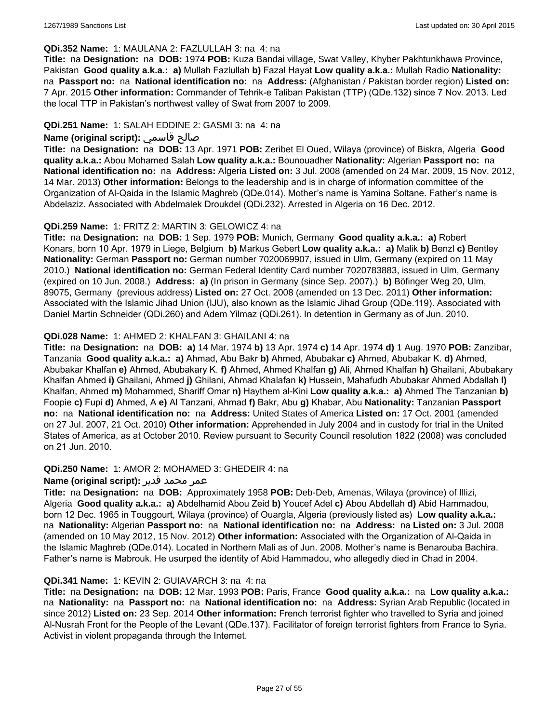#### **QDi.352 Name:** 1: MAULANA 2: FAZLULLAH 3: na 4: na

**Title:** na **Designation:** na **DOB:** 1974 **POB:** Kuza Bandai village, Swat Valley, Khyber Pakhtunkhawa Province, Pakistan **Good quality a.k.a.: a)** Mullah Fazlullah **b)** Fazal Hayat **Low quality a.k.a.:** Mullah Radio **Nationality:**  na **Passport no:** na **National identification no:** na **Address:** (Afghanistan / Pakistan border region) **Listed on:** 7 Apr. 2015 **Other information:** Commander of Tehrik-e Taliban Pakistan (TTP) (QDe.132) since 7 Nov. 2013. Led the local TTP in Pakistan's northwest valley of Swat from 2007 to 2009.

#### **QDi.251 Name:** 1: SALAH EDDINE 2: GASMI 3: na 4: na

## **Name (original script):** قاسمي صالح

**Title:** na **Designation:** na **DOB:** 13 Apr. 1971 **POB:** Zeribet El Oued, Wilaya (province) of Biskra, Algeria **Good quality a.k.a.:** Abou Mohamed Salah **Low quality a.k.a.:** Bounouadher **Nationality:** Algerian **Passport no:** na **National identification no:** na **Address:** Algeria **Listed on:** 3 Jul. 2008 (amended on 24 Mar. 2009, 15 Nov. 2012, 14 Mar. 2013) **Other information:** Belongs to the leadership and is in charge of information committee of the Organization of Al-Qaida in the Islamic Maghreb (QDe.014). Mother's name is Yamina Soltane. Father's name is Abdelaziz. Associated with Abdelmalek Droukdel (QDi.232). Arrested in Algeria on 16 Dec. 2012.

### **QDi.259 Name:** 1: FRITZ 2: MARTIN 3: GELOWICZ 4: na

**Title:** na **Designation:** na **DOB:** 1 Sep. 1979 **POB:** Munich, Germany **Good quality a.k.a.: a)** Robert Konars, born 10 Apr. 1979 in Liege, Belgium **b)** Markus Gebert **Low quality a.k.a.: a)** Malik **b)** Benzl **c)** Bentley **Nationality:** German **Passport no:** German number 7020069907, issued in Ulm, Germany (expired on 11 May 2010.) **National identification no:** German Federal Identity Card number 7020783883, issued in Ulm, Germany (expired on 10 Jun. 2008.) **Address: a)** (In prison in Germany (since Sep. 2007).) **b)** Böfinger Weg 20, Ulm, 89075, Germany (previous address) **Listed on:** 27 Oct. 2008 (amended on 13 Dec. 2011) **Other information:** Associated with the Islamic Jihad Union (IJU), also known as the Islamic Jihad Group (QDe.119). Associated with Daniel Martin Schneider (QDi.260) and Adem Yilmaz (QDi.261). In detention in Germany as of Jun. 2010.

### **QDi.028 Name:** 1: AHMED 2: KHALFAN 3: GHAILANI 4: na

**Title:** na **Designation:** na **DOB: a)** 14 Mar. 1974 **b)** 13 Apr. 1974 **c)** 14 Apr. 1974 **d)** 1 Aug. 1970 **POB:** Zanzibar, Tanzania **Good quality a.k.a.: a)** Ahmad, Abu Bakr **b)** Ahmed, Abubakar **c)** Ahmed, Abubakar K. **d)** Ahmed, Abubakar Khalfan **e)** Ahmed, Abubakary K. **f)** Ahmed, Ahmed Khalfan **g)** Ali, Ahmed Khalfan **h)** Ghailani, Abubakary Khalfan Ahmed **i)** Ghailani, Ahmed **j)** Ghilani, Ahmad Khalafan **k)** Hussein, Mahafudh Abubakar Ahmed Abdallah **l)** Khalfan, Ahmed **m)** Mohammed, Shariff Omar **n)** Haythem al-Kini **Low quality a.k.a.: a)** Ahmed The Tanzanian **b)** Foopie **c)** Fupi **d)** Ahmed, A **e)** Al Tanzani, Ahmad **f)** Bakr, Abu **g)** Khabar, Abu **Nationality:** Tanzanian **Passport no:** na **National identification no:** na **Address:** United States of America **Listed on:** 17 Oct. 2001 (amended on 27 Jul. 2007, 21 Oct. 2010) **Other information:** Apprehended in July 2004 and in custody for trial in the United States of America, as at October 2010. Review pursuant to Security Council resolution 1822 (2008) was concluded on 21 Jun. 2010.

#### **QDi.250 Name:** 1: AMOR 2: MOHAMED 3: GHEDEIR 4: na

#### عمر محمد قدير **:(script original (Name**

**Title:** na **Designation:** na **DOB:** Approximately 1958 **POB:** Deb-Deb, Amenas, Wilaya (province) of Illizi, Algeria **Good quality a.k.a.: a)** Abdelhamid Abou Zeid **b)** Youcef Adel **c)** Abou Abdellah **d)** Abid Hammadou, born 12 Dec. 1965 in Touggourt, Wilaya (province) of Ouargla, Algeria (previously listed as) **Low quality a.k.a.:**  na **Nationality:** Algerian **Passport no:** na **National identification no:** na **Address:** na **Listed on:** 3 Jul. 2008 (amended on 10 May 2012, 15 Nov. 2012) **Other information:** Associated with the Organization of Al-Qaida in the Islamic Maghreb (QDe.014). Located in Northern Mali as of Jun. 2008. Mother's name is Benarouba Bachira. Father's name is Mabrouk. He usurped the identity of Abid Hammadou, who allegedly died in Chad in 2004.

#### **QDi.341 Name:** 1: KEVIN 2: GUIAVARCH 3: na 4: na

**Title:** na **Designation:** na **DOB:** 12 Mar. 1993 **POB:** Paris, France **Good quality a.k.a.:** na **Low quality a.k.a.:**  na **Nationality:** na **Passport no:** na **National identification no:** na **Address:** Syrian Arab Republic (located in since 2012) **Listed on:** 23 Sep. 2014 **Other information:** French terrorist fighter who travelled to Syria and joined Al-Nusrah Front for the People of the Levant (QDe.137). Facilitator of foreign terrorist fighters from France to Syria. Activist in violent propaganda through the Internet.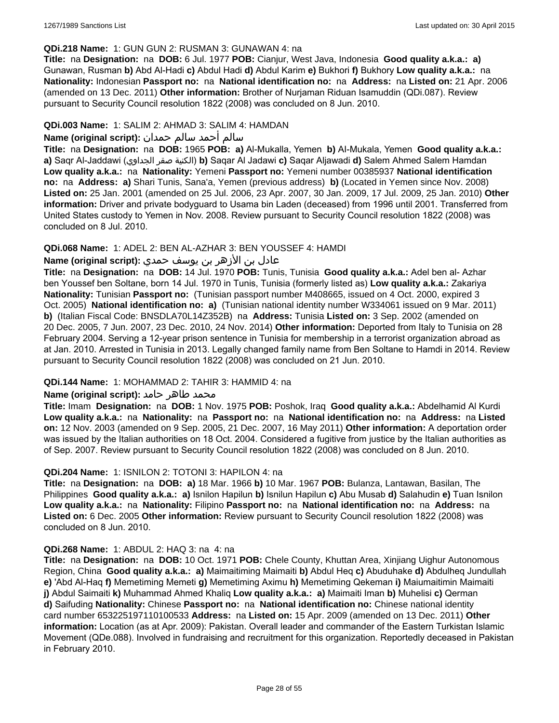#### **QDi.218 Name:** 1: GUN GUN 2: RUSMAN 3: GUNAWAN 4: na

**Title:** na **Designation:** na **DOB:** 6 Jul. 1977 **POB:** Cianjur, West Java, Indonesia **Good quality a.k.a.: a)** Gunawan, Rusman **b)** Abd Al-Hadi **c)** Abdul Hadi **d)** Abdul Karim **e)** Bukhori **f)** Bukhory **Low quality a.k.a.:** na **Nationality:** Indonesian **Passport no:** na **National identification no:** na **Address:** na **Listed on:** 21 Apr. 2006 (amended on 13 Dec. 2011) **Other information:** Brother of Nurjaman Riduan Isamuddin (QDi.087). Review pursuant to Security Council resolution 1822 (2008) was concluded on 8 Jun. 2010.

## **QDi.003 Name:** 1: SALIM 2: AHMAD 3: SALIM 4: HAMDAN

## سالم أحمد سالم حمدان **:(script original (Name**

**Title:** na **Designation:** na **DOB:** 1965 **POB: a)** Al-Mukalla, Yemen **b)** AI-Mukala, Yemen **Good quality a.k.a.: a)** Saqr Al-Jaddawi (الجداوي صقر الكنية(**b)** Saqar Al Jadawi **c)** Saqar Aljawadi **d)** Salem Ahmed Salem Hamdan **Low quality a.k.a.:** na **Nationality:** Yemeni **Passport no:** Yemeni number 00385937 **National identification no:** na **Address: a)** Shari Tunis, Sana'a, Yemen (previous address) **b)** (Located in Yemen since Nov. 2008) **Listed on:** 25 Jan. 2001 (amended on 25 Jul. 2006, 23 Apr. 2007, 30 Jan. 2009, 17 Jul. 2009, 25 Jan. 2010) **Other information:** Driver and private bodyguard to Usama bin Laden (deceased) from 1996 until 2001. Transferred from United States custody to Yemen in Nov. 2008. Review pursuant to Security Council resolution 1822 (2008) was concluded on 8 Jul. 2010.

### **QDi.068 Name:** 1: ADEL 2: BEN AL-AZHAR 3: BEN YOUSSEF 4: HAMDI

## عادل بن الأزهر بن يوسف حمدي **:(script original (Name**

**Title:** na **Designation:** na **DOB:** 14 Jul. 1970 **POB:** Tunis, Tunisia **Good quality a.k.a.:** Adel ben al- Azhar ben Youssef ben Soltane, born 14 Jul. 1970 in Tunis, Tunisia (formerly listed as) **Low quality a.k.a.:** Zakariya **Nationality:** Tunisian **Passport no:** (Tunisian passport number M408665, issued on 4 Oct. 2000, expired 3 Oct. 2005) **National identification no: a)** (Tunisian national identity number W334061 issued on 9 Mar. 2011) **b)** (Italian Fiscal Code: BNSDLA70L14Z352B) na **Address:** Tunisia **Listed on:** 3 Sep. 2002 (amended on 20 Dec. 2005, 7 Jun. 2007, 23 Dec. 2010, 24 Nov. 2014) **Other information:** Deported from Italy to Tunisia on 28 February 2004. Serving a 12-year prison sentence in Tunisia for membership in a terrorist organization abroad as at Jan. 2010. Arrested in Tunisia in 2013. Legally changed family name from Ben Soltane to Hamdi in 2014. Review pursuant to Security Council resolution 1822 (2008) was concluded on 21 Jun. 2010.

#### **QDi.144 Name:** 1: MOHAMMAD 2: TAHIR 3: HAMMID 4: na

#### **محمد طاهر حامد :(Name (original script**

**Title:** Imam **Designation:** na **DOB:** 1 Nov. 1975 **POB:** Poshok, Iraq **Good quality a.k.a.:** Abdelhamid Al Kurdi **Low quality a.k.a.:** na **Nationality:** na **Passport no:** na **National identification no:** na **Address:** na **Listed on:** 12 Nov. 2003 (amended on 9 Sep. 2005, 21 Dec. 2007, 16 May 2011) **Other information:** A deportation order was issued by the Italian authorities on 18 Oct. 2004. Considered a fugitive from justice by the Italian authorities as of Sep. 2007. Review pursuant to Security Council resolution 1822 (2008) was concluded on 8 Jun. 2010.

#### **QDi.204 Name:** 1: ISNILON 2: TOTONI 3: HAPILON 4: na

**Title:** na **Designation:** na **DOB: a)** 18 Mar. 1966 **b)** 10 Mar. 1967 **POB:** Bulanza, Lantawan, Basilan, The Philippines **Good quality a.k.a.: a)** Isnilon Hapilun **b)** Isnilun Hapilun **c)** Abu Musab **d)** Salahudin **e)** Tuan Isnilon **Low quality a.k.a.:** na **Nationality:** Filipino **Passport no:** na **National identification no:** na **Address:** na **Listed on:** 6 Dec. 2005 **Other information:** Review pursuant to Security Council resolution 1822 (2008) was concluded on 8 Jun. 2010.

#### **QDi.268 Name:** 1: ABDUL 2: HAQ 3: na 4: na

**Title:** na **Designation:** na **DOB:** 10 Oct. 1971 **POB:** Chele County, Khuttan Area, Xinjiang Uighur Autonomous Region, China **Good quality a.k.a.: a)** Maimaitiming Maimaiti **b)** Abdul Heq **c)** Abuduhake **d)** Abdulheq Jundullah **e)** 'Abd Al-Haq **f)** Memetiming Memeti **g)** Memetiming Aximu **h)** Memetiming Qekeman **i)** Maiumaitimin Maimaiti **j)** Abdul Saimaiti **k)** Muhammad Ahmed Khaliq **Low quality a.k.a.: a)** Maimaiti Iman **b)** Muhelisi **c)** Qerman **d)** Saifuding **Nationality:** Chinese **Passport no:** na **National identification no:** Chinese national identity card number 653225197110100533 **Address:** na **Listed on:** 15 Apr. 2009 (amended on 13 Dec. 2011) **Other information:** Location (as at Apr. 2009): Pakistan. Overall leader and commander of the Eastern Turkistan Islamic Movement (QDe.088). Involved in fundraising and recruitment for this organization. Reportedly deceased in Pakistan in February 2010.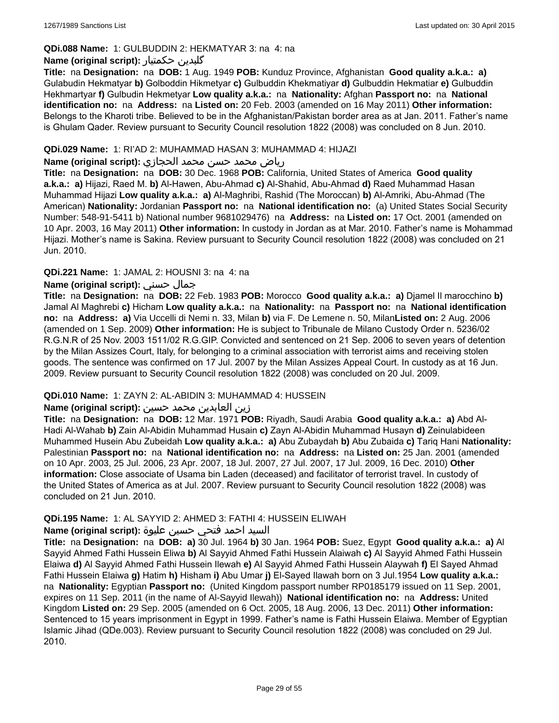## **QDi.088 Name:** 1: GULBUDDIN 2: HEKMATYAR 3: na 4: na

## **Name (original script):** حکمتیار گلبدین

**Title:** na **Designation:** na **DOB:** 1 Aug. 1949 **POB:** Kunduz Province, Afghanistan **Good quality a.k.a.: a)** Gulabudin Hekmatyar **b)** Golboddin Hikmetyar **c)** Gulbuddin Khekmatiyar **d)** Gulbuddin Hekmatiar **e)** Gulbuddin Hekhmartyar **f)** Gulbudin Hekmetyar **Low quality a.k.a.:** na **Nationality:** Afghan **Passport no:** na **National identification no:** na **Address:** na **Listed on:** 20 Feb. 2003 (amended on 16 May 2011) **Other information:** Belongs to the Kharoti tribe. Believed to be in the Afghanistan/Pakistan border area as at Jan. 2011. Father's name is Ghulam Qader. Review pursuant to Security Council resolution 1822 (2008) was concluded on 8 Jun. 2010.

#### **QDi.029 Name:** 1: RI'AD 2: MUHAMMAD HASAN 3: MUHAMMAD 4: HIJAZI

#### رياض محمد حسن محمد الحجازي **:(script original (Name**

**Title:** na **Designation:** na **DOB:** 30 Dec. 1968 **POB:** California, United States of America **Good quality a.k.a.: a)** Hijazi, Raed M. **b)** Al-Hawen, Abu-Ahmad **c)** Al-Shahid, Abu-Ahmad **d)** Raed Muhammad Hasan Muhammad Hijazi **Low quality a.k.a.: a)** Al-Maghribi, Rashid (The Moroccan) **b)** Al-Amriki, Abu-Ahmad (The American) **Nationality:** Jordanian **Passport no:** na **National identification no:** (a) United States Social Security Number: 548-91-5411 b) National number 9681029476) na **Address:** na **Listed on:** 17 Oct. 2001 (amended on 10 Apr. 2003, 16 May 2011) **Other information:** In custody in Jordan as at Mar. 2010. Father's name is Mohammad Hijazi. Mother's name is Sakina. Review pursuant to Security Council resolution 1822 (2008) was concluded on 21 Jun. 2010.

## **QDi.221 Name:** 1: JAMAL 2: HOUSNI 3: na 4: na

## **Name (original script):** حسني جمال

**Title:** na **Designation:** na **DOB:** 22 Feb. 1983 **POB:** Morocco **Good quality a.k.a.: a)** Djamel Il marocchino **b)** Jamal Al Maghrebi **c)** Hicham **Low quality a.k.a.:** na **Nationality:** na **Passport no:** na **National identification no:** na **Address: a)** Via Uccelli di Nemi n. 33, Milan **b)** via F. De Lemene n. 50, Milan**Listed on:** 2 Aug. 2006 (amended on 1 Sep. 2009) **Other information:** He is subject to Tribunale de Milano Custody Order n. 5236/02 R.G.N.R of 25 Nov. 2003 1511/02 R.G.GIP. Convicted and sentenced on 21 Sep. 2006 to seven years of detention by the Milan Assizes Court, Italy, for belonging to a criminal association with terrorist aims and receiving stolen goods. The sentence was confirmed on 17 Jul. 2007 by the Milan Assizes Appeal Court. In custody as at 16 Jun. 2009. Review pursuant to Security Council resolution 1822 (2008) was concluded on 20 Jul. 2009.

## **QDi.010 Name:** 1: ZAYN 2: AL-ABIDIN 3: MUHAMMAD 4: HUSSEIN

## زين العابدين محمد حسين **:(script original (Name**

**Title:** na **Designation:** na **DOB:** 12 Mar. 1971 **POB:** Riyadh, Saudi Arabia **Good quality a.k.a.: a)** Abd Al-Hadi Al-Wahab **b)** Zain Al-Abidin Muhammad Husain **c)** Zayn Al-Abidin Muhammad Husayn **d)** Zeinulabideen Muhammed Husein Abu Zubeidah **Low quality a.k.a.: a)** Abu Zubaydah **b)** Abu Zubaida **c)** Tariq Hani **Nationality:** Palestinian **Passport no:** na **National identification no:** na **Address:** na **Listed on:** 25 Jan. 2001 (amended on 10 Apr. 2003, 25 Jul. 2006, 23 Apr. 2007, 18 Jul. 2007, 27 Jul. 2007, 17 Jul. 2009, 16 Dec. 2010) **Other information:** Close associate of Usama bin Laden (deceased) and facilitator of terrorist travel. In custody of the United States of America as at Jul. 2007. Review pursuant to Security Council resolution 1822 (2008) was concluded on 21 Jun. 2010.

#### **QDi.195 Name:** 1: AL SAYYID 2: AHMED 3: FATHI 4: HUSSEIN ELIWAH

## السيد احمد فتحي حسين عليوة **:(script original (Name**

**Title:** na **Designation:** na **DOB: a)** 30 Jul. 1964 **b)** 30 Jan. 1964 **POB:** Suez, Egypt **Good quality a.k.a.: a)** Al Sayyid Ahmed Fathi Hussein Eliwa **b)** Al Sayyid Ahmed Fathi Hussein Alaiwah **c)** Al Sayyid Ahmed Fathi Hussein Elaiwa **d)** Al Sayyid Ahmed Fathi Hussein Ilewah **e)** Al Sayyid Ahmed Fathi Hussein Alaywah **f)** El Sayed Ahmad Fathi Hussein Elaiwa **g)** Hatim **h)** Hisham **i)** Abu Umar **j)** El-Sayed Ilawah born on 3 Jul.1954 **Low quality a.k.a.:**  na **Nationality:** Egyptian **Passport no:** (United Kingdom passport number RP0185179 issued on 11 Sep. 2001, expires on 11 Sep. 2011 (in the name of Al-Sayyid Ilewah)) **National identification no:** na **Address:** United Kingdom **Listed on:** 29 Sep. 2005 (amended on 6 Oct. 2005, 18 Aug. 2006, 13 Dec. 2011) **Other information:** Sentenced to 15 years imprisonment in Egypt in 1999. Father's name is Fathi Hussein Elaiwa. Member of Egyptian Islamic Jihad (QDe.003). Review pursuant to Security Council resolution 1822 (2008) was concluded on 29 Jul. 2010.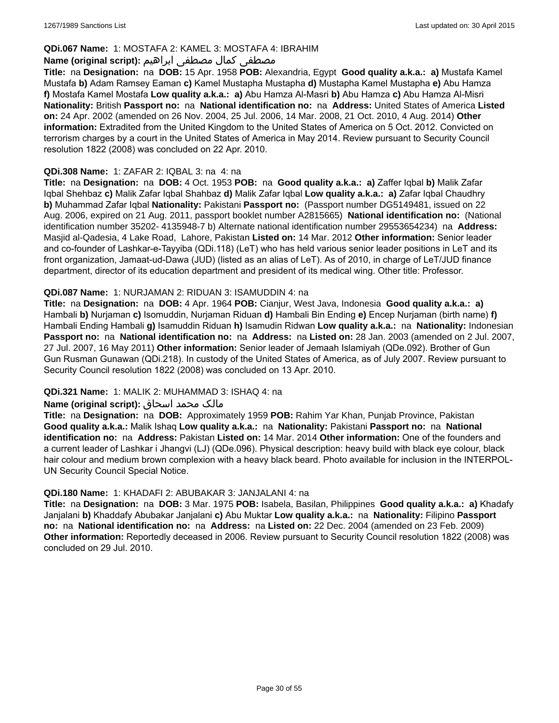## **QDi.067 Name:** 1: MOSTAFA 2: KAMEL 3: MOSTAFA 4: IBRAHIM

## مصطفى كمال مصطفى ابراهيم **:Name (original script**)

**Title:** na **Designation:** na **DOB:** 15 Apr. 1958 **POB:** Alexandria, Egypt **Good quality a.k.a.: a)** Mustafa Kamel Mustafa **b)** Adam Ramsey Eaman **c)** Kamel Mustapha Mustapha **d)** Mustapha Kamel Mustapha **e)** Abu Hamza **f)** Mostafa Kamel Mostafa **Low quality a.k.a.: a)** Abu Hamza Al-Masri **b)** Abu Hamza **c)** Abu Hamza Al-Misri **Nationality:** British **Passport no:** na **National identification no:** na **Address:** United States of America **Listed on:** 24 Apr. 2002 (amended on 26 Nov. 2004, 25 Jul. 2006, 14 Mar. 2008, 21 Oct. 2010, 4 Aug. 2014) **Other information:** Extradited from the United Kingdom to the United States of America on 5 Oct. 2012. Convicted on terrorism charges by a court in the United States of America in May 2014. Review pursuant to Security Council resolution 1822 (2008) was concluded on 22 Apr. 2010.

### **QDi.308 Name:** 1: ZAFAR 2: IQBAL 3: na 4: na

**Title:** na **Designation:** na **DOB:** 4 Oct. 1953 **POB:** na **Good quality a.k.a.: a)** Zaffer Iqbal **b)** Malik Zafar Iqbal Shehbaz **c)** Malik Zafar Iqbal Shahbaz **d)** Malik Zafar Iqbal **Low quality a.k.a.: a)** Zafar Iqbal Chaudhry **b)** Muhammad Zafar Iqbal **Nationality:** Pakistani **Passport no:** (Passport number DG5149481, issued on 22 Aug. 2006, expired on 21 Aug. 2011, passport booklet number A2815665) **National identification no:** (National identification number 35202- 4135948-7 b) Alternate national identification number 29553654234) na **Address:** Masjid al-Qadesia, 4 Lake Road, Lahore, Pakistan **Listed on:** 14 Mar. 2012 **Other information:** Senior leader and co-founder of Lashkar-e-Tayyiba (QDi.118) (LeT) who has held various senior leader positions in LeT and its front organization, Jamaat-ud-Dawa (JUD) (listed as an alias of LeT). As of 2010, in charge of LeT/JUD finance department, director of its education department and president of its medical wing. Other title: Professor.

### **QDi.087 Name:** 1: NURJAMAN 2: RIDUAN 3: ISAMUDDIN 4: na

**Title:** na **Designation:** na **DOB:** 4 Apr. 1964 **POB:** Cianjur, West Java, Indonesia **Good quality a.k.a.: a)** Hambali **b)** Nurjaman **c)** Isomuddin, Nurjaman Riduan **d)** Hambali Bin Ending **e)** Encep Nurjaman (birth name) **f)** Hambali Ending Hambali **g)** Isamuddin Riduan **h)** Isamudin Ridwan **Low quality a.k.a.:** na **Nationality:** Indonesian **Passport no:** na **National identification no:** na **Address:** na **Listed on:** 28 Jan. 2003 (amended on 2 Jul. 2007, 27 Jul. 2007, 16 May 2011) **Other information:** Senior leader of Jemaah Islamiyah (QDe.092). Brother of Gun Gun Rusman Gunawan (QDi.218). In custody of the United States of America, as of July 2007. Review pursuant to Security Council resolution 1822 (2008) was concluded on 13 Apr. 2010.

## **QDi.321 Name:** 1: MALIK 2: MUHAMMAD 3: ISHAQ 4: na

#### مالک محمد اسحاق : Name (original script)

**Title:** na **Designation:** na **DOB:** Approximately 1959 **POB:** Rahim Yar Khan, Punjab Province, Pakistan **Good quality a.k.a.:** Malik Ishaq **Low quality a.k.a.:** na **Nationality:** Pakistani **Passport no:** na **National identification no:** na **Address:** Pakistan **Listed on:** 14 Mar. 2014 **Other information:** One of the founders and a current leader of Lashkar i Jhangvi (LJ) (QDe.096). Physical description: heavy build with black eye colour, black hair colour and medium brown complexion with a heavy black beard. Photo available for inclusion in the INTERPOL-UN Security Council Special Notice.

#### **QDi.180 Name:** 1: KHADAFI 2: ABUBAKAR 3: JANJALANI 4: na

**Title:** na **Designation:** na **DOB:** 3 Mar. 1975 **POB:** Isabela, Basilan, Philippines **Good quality a.k.a.: a)** Khadafy Janjalani **b)** Khaddafy Abubakar Janjalani **c)** Abu Muktar **Low quality a.k.a.:** na **Nationality:** Filipino **Passport no:** na **National identification no:** na **Address:** na **Listed on:** 22 Dec. 2004 (amended on 23 Feb. 2009) **Other information:** Reportedly deceased in 2006. Review pursuant to Security Council resolution 1822 (2008) was concluded on 29 Jul. 2010.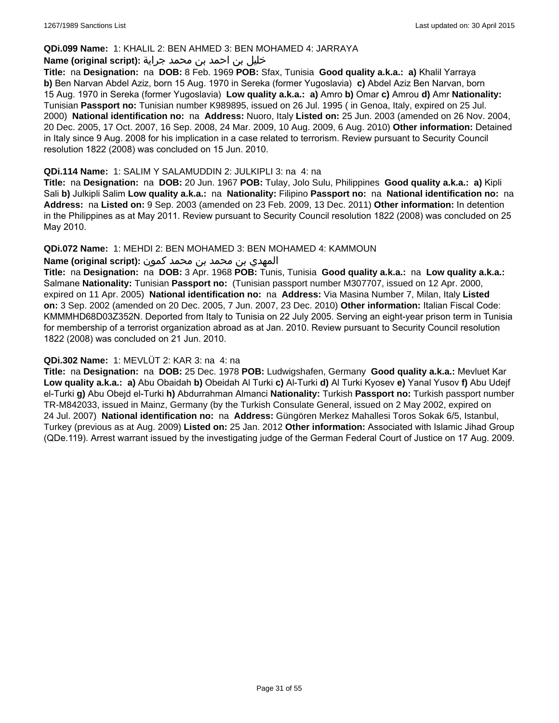#### **QDi.099 Name:** 1: KHALIL 2: BEN AHMED 3: BEN MOHAMED 4: JARRAYA

#### خليل بن احمد بن محمد جراية **:(script original (Name**

**Title:** na **Designation:** na **DOB:** 8 Feb. 1969 **POB:** Sfax, Tunisia **Good quality a.k.a.: a)** Khalil Yarraya **b)** Ben Narvan Abdel Aziz, born 15 Aug. 1970 in Sereka (former Yugoslavia) **c)** Abdel Aziz Ben Narvan, born 15 Aug. 1970 in Sereka (former Yugoslavia) **Low quality a.k.a.: a)** Amro **b)** Omar **c)** Amrou **d)** Amr **Nationality:** Tunisian **Passport no:** Tunisian number K989895, issued on 26 Jul. 1995 ( in Genoa, Italy, expired on 25 Jul. 2000) **National identification no:** na **Address:** Nuoro, Italy **Listed on:** 25 Jun. 2003 (amended on 26 Nov. 2004, 20 Dec. 2005, 17 Oct. 2007, 16 Sep. 2008, 24 Mar. 2009, 10 Aug. 2009, 6 Aug. 2010) **Other information:** Detained in Italy since 9 Aug. 2008 for his implication in a case related to terrorism. Review pursuant to Security Council resolution 1822 (2008) was concluded on 15 Jun. 2010.

#### **QDi.114 Name:** 1: SALIM Y SALAMUDDIN 2: JULKIPLI 3: na 4: na

**Title:** na **Designation:** na **DOB:** 20 Jun. 1967 **POB:** Tulay, Jolo Sulu, Philippines **Good quality a.k.a.: a)** Kipli Sali **b)** Julkipli Salim **Low quality a.k.a.:** na **Nationality:** Filipino **Passport no:** na **National identification no:** na **Address:** na **Listed on:** 9 Sep. 2003 (amended on 23 Feb. 2009, 13 Dec. 2011) **Other information:** In detention in the Philippines as at May 2011. Review pursuant to Security Council resolution 1822 (2008) was concluded on 25 May 2010.

### **QDi.072 Name:** 1: MEHDI 2: BEN MOHAMED 3: BEN MOHAMED 4: KAMMOUN

## المهدي بن محمد بن محمد كمون **:(script original (Name**

**Title:** na **Designation:** na **DOB:** 3 Apr. 1968 **POB:** Tunis, Tunisia **Good quality a.k.a.:** na **Low quality a.k.a.:** Salmane **Nationality:** Tunisian **Passport no:** (Tunisian passport number M307707, issued on 12 Apr. 2000, expired on 11 Apr. 2005) **National identification no:** na **Address:** Via Masina Number 7, Milan, Italy **Listed on:** 3 Sep. 2002 (amended on 20 Dec. 2005, 7 Jun. 2007, 23 Dec. 2010) **Other information:** Italian Fiscal Code: KMMMHD68D03Z352N. Deported from Italy to Tunisia on 22 July 2005. Serving an eight-year prison term in Tunisia for membership of a terrorist organization abroad as at Jan. 2010. Review pursuant to Security Council resolution 1822 (2008) was concluded on 21 Jun. 2010.

#### **QDi.302 Name:** 1: MEVLÜT 2: KAR 3: na 4: na

**Title:** na **Designation:** na **DOB:** 25 Dec. 1978 **POB:** Ludwigshafen, Germany **Good quality a.k.a.:** Mevluet Kar **Low quality a.k.a.: a)** Abu Obaidah **b)** Obeidah Al Turki **c)** Al-Turki **d)** Al Turki Kyosev **e)** Yanal Yusov **f)** Abu Udejf el-Turki **g)** Abu Obejd el-Turki **h)** Abdurrahman Almanci **Nationality:** Turkish **Passport no:** Turkish passport number TR-M842033, issued in Mainz, Germany (by the Turkish Consulate General, issued on 2 May 2002, expired on 24 Jul. 2007) **National identification no:** na **Address:** Güngören Merkez Mahallesi Toros Sokak 6/5, Istanbul, Turkey (previous as at Aug. 2009) **Listed on:** 25 Jan. 2012 **Other information:** Associated with Islamic Jihad Group (QDe.119). Arrest warrant issued by the investigating judge of the German Federal Court of Justice on 17 Aug. 2009.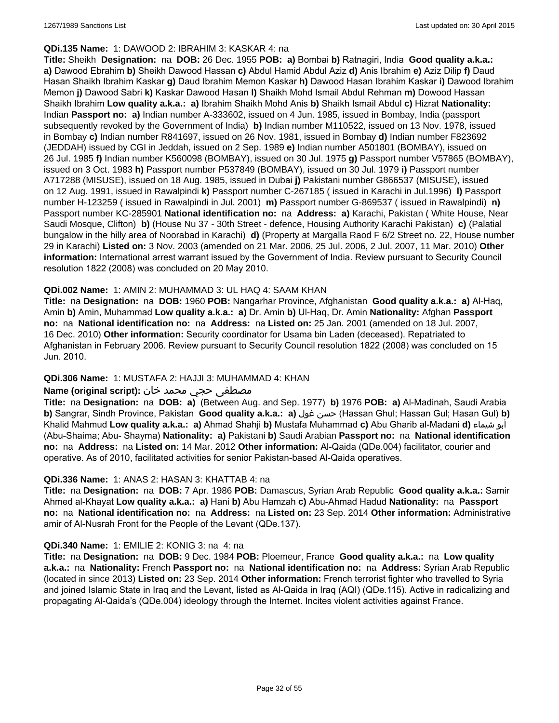#### **QDi.135 Name:** 1: DAWOOD 2: IBRAHIM 3: KASKAR 4: na

**Title:** Sheikh **Designation:** na **DOB:** 26 Dec. 1955 **POB: a)** Bombai **b)** Ratnagiri, India **Good quality a.k.a.: a)** Dawood Ebrahim **b)** Sheikh Dawood Hassan **c)** Abdul Hamid Abdul Aziz **d)** Anis Ibrahim **e)** Aziz Dilip **f)** Daud Hasan Shaikh Ibrahim Kaskar **g)** Daud Ibrahim Memon Kaskar **h)** Dawood Hasan Ibrahim Kaskar **i)** Dawood Ibrahim Memon **j)** Dawood Sabri **k)** Kaskar Dawood Hasan **l)** Shaikh Mohd Ismail Abdul Rehman **m)** Dowood Hassan Shaikh Ibrahim **Low quality a.k.a.: a)** Ibrahim Shaikh Mohd Anis **b)** Shaikh Ismail Abdul **c)** Hizrat **Nationality:** Indian **Passport no: a)** Indian number A-333602, issued on 4 Jun. 1985, issued in Bombay, India (passport subsequently revoked by the Government of India) **b)** Indian number M110522, issued on 13 Nov. 1978, issued in Bombay **c)** Indian number R841697, issued on 26 Nov. 1981, issued in Bombay **d)** Indian number F823692 (JEDDAH) issued by CGI in Jeddah, issued on 2 Sep. 1989 **e)** Indian number A501801 (BOMBAY), issued on 26 Jul. 1985 **f)** Indian number K560098 (BOMBAY), issued on 30 Jul. 1975 **g)** Passport number V57865 (BOMBAY), issued on 3 Oct. 1983 **h)** Passport number P537849 (BOMBAY), issued on 30 Jul. 1979 **i)** Passport number A717288 (MISUSE), issued on 18 Aug. 1985, issued in Dubai **j)** Pakistani number G866537 (MISUSE), issued on 12 Aug. 1991, issued in Rawalpindi **k)** Passport number C-267185 ( issued in Karachi in Jul.1996) **l)** Passport number H-123259 ( issued in Rawalpindi in Jul. 2001) **m)** Passport number G-869537 ( issued in Rawalpindi) **n)** Passport number KC-285901 **National identification no:** na **Address: a)** Karachi, Pakistan ( White House, Near Saudi Mosque, Clifton) **b)** (House Nu 37 - 30th Street - defence, Housing Authority Karachi Pakistan) **c)** (Palatial bungalow in the hilly area of Noorabad in Karachi) **d)** (Property at Margalla Raod F 6/2 Street no. 22, House number 29 in Karachi) **Listed on:** 3 Nov. 2003 (amended on 21 Mar. 2006, 25 Jul. 2006, 2 Jul. 2007, 11 Mar. 2010) **Other information:** International arrest warrant issued by the Government of India. Review pursuant to Security Council resolution 1822 (2008) was concluded on 20 May 2010.

### **QDi.002 Name:** 1: AMIN 2: MUHAMMAD 3: UL HAQ 4: SAAM KHAN

**Title:** na **Designation:** na **DOB:** 1960 **POB:** Nangarhar Province, Afghanistan **Good quality a.k.a.: a)** Al-Haq, Amin **b)** Amin, Muhammad **Low quality a.k.a.: a)** Dr. Amin **b)** Ul-Haq, Dr. Amin **Nationality:** Afghan **Passport no:** na **National identification no:** na **Address:** na **Listed on:** 25 Jan. 2001 (amended on 18 Jul. 2007, 16 Dec. 2010) **Other information:** Security coordinator for Usama bin Laden (deceased). Repatriated to Afghanistan in February 2006. Review pursuant to Security Council resolution 1822 (2008) was concluded on 15 Jun. 2010.

## **QDi.306 Name:** 1: MUSTAFA 2: HAJJI 3: MUHAMMAD 4: KHAN

### مصطفى حجي محمد خان **:Name (original script)**

**Title:** na **Designation:** na **DOB: a)** (Between Aug. and Sep. 1977) **b)** 1976 **POB: a)** Al-Madinah, Saudi Arabia **b)** Sangrar, Sindh Province, Pakistan **Good quality a.k.a.: a)** غول حسن) Hassan Ghul; Hassan Gul; Hasan Gul) **b)** Khalid Mahmud **Low quality a.k.a.: a)** Ahmad Shahji **b)** Mustafa Muhammad **c)** Abu Gharib al-Madani **d)** شيماء أبو (Abu-Shaima; Abu- Shayma) **Nationality: a)** Pakistani **b)** Saudi Arabian **Passport no:** na **National identification no:** na **Address:** na **Listed on:** 14 Mar. 2012 **Other information:** Al-Qaida (QDe.004) facilitator, courier and operative. As of 2010, facilitated activities for senior Pakistan-based Al-Qaida operatives.

#### **QDi.336 Name:** 1: ANAS 2: HASAN 3: KHATTAB 4: na

**Title:** na **Designation:** na **DOB:** 7 Apr. 1986 **POB:** Damascus, Syrian Arab Republic **Good quality a.k.a.:** Samir Ahmed al-Khayat **Low quality a.k.a.: a)** Hani **b)** Abu Hamzah **c)** Abu-Ahmad Hadud **Nationality:** na **Passport no:** na **National identification no:** na **Address:** na **Listed on:** 23 Sep. 2014 **Other information:** Administrative amir of Al-Nusrah Front for the People of the Levant (QDe.137).

#### **QDi.340 Name:** 1: EMILIE 2: KONIG 3: na 4: na

**Title:** na **Designation:** na **DOB:** 9 Dec. 1984 **POB:** Ploemeur, France **Good quality a.k.a.:** na **Low quality a.k.a.:** na **Nationality:** French **Passport no:** na **National identification no:** na **Address:** Syrian Arab Republic (located in since 2013) **Listed on:** 23 Sep. 2014 **Other information:** French terrorist fighter who travelled to Syria and joined Islamic State in Iraq and the Levant, listed as Al-Qaida in Iraq (AQI) (QDe.115). Active in radicalizing and propagating Al-Qaida's (QDe.004) ideology through the Internet. Incites violent activities against France.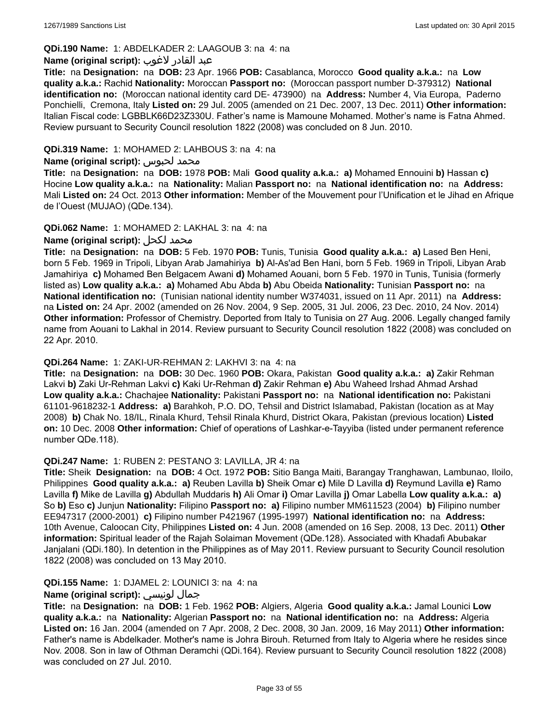## **QDi.190 Name:** 1: ABDELKADER 2: LAAGOUB 3: na 4: na

#### عبد القادر لاغوب **:(script original (Name**

**Title:** na **Designation:** na **DOB:** 23 Apr. 1966 **POB:** Casablanca, Morocco **Good quality a.k.a.:** na **Low quality a.k.a.:** Rachid **Nationality:** Moroccan **Passport no:** (Moroccan passport number D-379312) **National identification no:** (Moroccan national identity card DE- 473900) na **Address:** Number 4, Via Europa, Paderno Ponchielli, Cremona, Italy **Listed on:** 29 Jul. 2005 (amended on 21 Dec. 2007, 13 Dec. 2011) **Other information:** Italian Fiscal code: LGBBLK66D23Z330U. Father's name is Mamoune Mohamed. Mother's name is Fatna Ahmed. Review pursuant to Security Council resolution 1822 (2008) was concluded on 8 Jun. 2010.

### **QDi.319 Name:** 1: MOHAMED 2: LAHBOUS 3: na 4: na

#### **Name (original script):** لحبوس محمد

**Title:** na **Designation:** na **DOB:** 1978 **POB:** Mali **Good quality a.k.a.: a)** Mohamed Ennouini **b)** Hassan **c)** Hocine **Low quality a.k.a.:** na **Nationality:** Malian **Passport no:** na **National identification no:** na **Address:** Mali **Listed on:** 24 Oct. 2013 **Other information:** Member of the Mouvement pour l'Unification et le Jihad en Afrique de l'Ouest (MUJAO) (QDe.134).

### **QDi.062 Name:** 1: MOHAMED 2: LAKHAL 3: na 4: na

## **Name (original script):** لكحل محمد

**Title:** na **Designation:** na **DOB:** 5 Feb. 1970 **POB:** Tunis, Tunisia **Good quality a.k.a.: a)** Lased Ben Heni, born 5 Feb. 1969 in Tripoli, Libyan Arab Jamahiriya **b)** Al-As'ad Ben Hani, born 5 Feb. 1969 in Tripoli, Libyan Arab Jamahiriya **c)** Mohamed Ben Belgacem Awani **d)** Mohamed Aouani, born 5 Feb. 1970 in Tunis, Tunisia (formerly listed as) **Low quality a.k.a.: a)** Mohamed Abu Abda **b)** Abu Obeida **Nationality:** Tunisian **Passport no:** na **National identification no:** (Tunisian national identity number W374031, issued on 11 Apr. 2011) na **Address:**  na **Listed on:** 24 Apr. 2002 (amended on 26 Nov. 2004, 9 Sep. 2005, 31 Jul. 2006, 23 Dec. 2010, 24 Nov. 2014) **Other information:** Professor of Chemistry. Deported from Italy to Tunisia on 27 Aug. 2006. Legally changed family name from Aouani to Lakhal in 2014. Review pursuant to Security Council resolution 1822 (2008) was concluded on 22 Apr. 2010.

#### **QDi.264 Name:** 1: ZAKI-UR-REHMAN 2: LAKHVI 3: na 4: na

**Title:** na **Designation:** na **DOB:** 30 Dec. 1960 **POB:** Okara, Pakistan **Good quality a.k.a.: a)** Zakir Rehman Lakvi **b)** Zaki Ur-Rehman Lakvi **c)** Kaki Ur-Rehman **d)** Zakir Rehman **e)** Abu Waheed Irshad Ahmad Arshad **Low quality a.k.a.:** Chachajee **Nationality:** Pakistani **Passport no:** na **National identification no:** Pakistani 61101-9618232-1 **Address: a)** Barahkoh, P.O. DO, Tehsil and District Islamabad, Pakistan (location as at May 2008) **b)** Chak No. 18/IL, Rinala Khurd, Tehsil Rinala Khurd, District Okara, Pakistan (previous location) **Listed on:** 10 Dec. 2008 **Other information:** Chief of operations of Lashkar-e-Tayyiba (listed under permanent reference number QDe.118).

#### **QDi.247 Name:** 1: RUBEN 2: PESTANO 3: LAVILLA, JR 4: na

**Title:** Sheik **Designation:** na **DOB:** 4 Oct. 1972 **POB:** Sitio Banga Maiti, Barangay Tranghawan, Lambunao, Iloilo, Philippines **Good quality a.k.a.: a)** Reuben Lavilla **b)** Sheik Omar **c)** Mile D Lavilla **d)** Reymund Lavilla **e)** Ramo Lavilla **f)** Mike de Lavilla **g)** Abdullah Muddaris **h)** Ali Omar **i)** Omar Lavilla **j)** Omar Labella **Low quality a.k.a.: a)** So **b)** Eso **c)** Junjun **Nationality:** Filipino **Passport no: a)** Filipino number MM611523 (2004) **b)** Filipino number EE947317 (2000-2001) **c)** Filipino number P421967 (1995-1997) **National identification no:** na **Address:** 10th Avenue, Caloocan City, Philippines **Listed on:** 4 Jun. 2008 (amended on 16 Sep. 2008, 13 Dec. 2011) **Other information:** Spiritual leader of the Rajah Solaiman Movement (QDe.128). Associated with Khadafi Abubakar Janjalani (QDi.180). In detention in the Philippines as of May 2011. Review pursuant to Security Council resolution 1822 (2008) was concluded on 13 May 2010.

#### **QDi.155 Name:** 1: DJAMEL 2: LOUNICI 3: na 4: na

## **Name (original script):** لونيسي جمال

**Title:** na **Designation:** na **DOB:** 1 Feb. 1962 **POB:** Algiers, Algeria **Good quality a.k.a.:** Jamal Lounici **Low quality a.k.a.:** na **Nationality:** Algerian **Passport no:** na **National identification no:** na **Address:** Algeria **Listed on:** 16 Jan. 2004 (amended on 7 Apr. 2008, 2 Dec. 2008, 30 Jan. 2009, 16 May 2011) **Other information:** Father's name is Abdelkader. Mother's name is Johra Birouh. Returned from Italy to Algeria where he resides since Nov. 2008. Son in law of Othman Deramchi (QDi.164). Review pursuant to Security Council resolution 1822 (2008) was concluded on 27 Jul. 2010.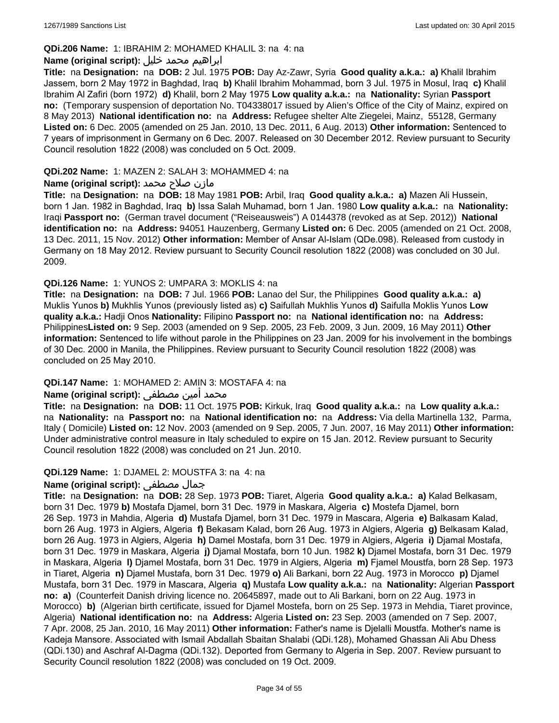#### **QDi.206 Name:** 1: IBRAHIM 2: MOHAMED KHALIL 3: na 4: na

## ابراهيم محمد خليل **:(script original (Name**

**Title:** na **Designation:** na **DOB:** 2 Jul. 1975 **POB:** Day Az-Zawr, Syria **Good quality a.k.a.: a)** Khalil Ibrahim Jassem, born 2 May 1972 in Baghdad, Iraq **b)** Khalil Ibrahim Mohammad, born 3 Jul. 1975 in Mosul, Iraq **c)** Khalil Ibrahim Al Zafiri (born 1972) **d)** Khalil, born 2 May 1975 **Low quality a.k.a.:** na **Nationality:** Syrian **Passport no:** (Temporary suspension of deportation No. T04338017 issued by Alien's Office of the City of Mainz, expired on 8 May 2013) **National identification no:** na **Address:** Refugee shelter Alte Ziegelei, Mainz, 55128, Germany **Listed on:** 6 Dec. 2005 (amended on 25 Jan. 2010, 13 Dec. 2011, 6 Aug. 2013) **Other information:** Sentenced to 7 years of imprisonment in Germany on 6 Dec. 2007. Released on 30 December 2012. Review pursuant to Security Council resolution 1822 (2008) was concluded on 5 Oct. 2009.

#### **QDi.202 Name:** 1: MAZEN 2: SALAH 3: MOHAMMED 4: na

### مازن صلاح محمد **:Name (original script)**

**Title:** na **Designation:** na **DOB:** 18 May 1981 **POB:** Arbil, Iraq **Good quality a.k.a.: a)** Mazen Ali Hussein, born 1 Jan. 1982 in Baghdad, Iraq **b)** Issa Salah Muhamad, born 1 Jan. 1980 **Low quality a.k.a.:** na **Nationality:** Iraqi **Passport no:** (German travel document ("Reiseausweis") A 0144378 (revoked as at Sep. 2012)) **National identification no:** na **Address:** 94051 Hauzenberg, Germany **Listed on:** 6 Dec. 2005 (amended on 21 Oct. 2008, 13 Dec. 2011, 15 Nov. 2012) **Other information:** Member of Ansar Al-Islam (QDe.098). Released from custody in Germany on 18 May 2012. Review pursuant to Security Council resolution 1822 (2008) was concluded on 30 Jul. 2009.

### **QDi.126 Name:** 1: YUNOS 2: UMPARA 3: MOKLIS 4: na

**Title:** na **Designation:** na **DOB:** 7 Jul. 1966 **POB:** Lanao del Sur, the Philippines **Good quality a.k.a.: a)** Muklis Yunos **b)** Mukhlis Yunos (previously listed as) **c)** Saifullah Mukhlis Yunos **d)** Saifulla Moklis Yunos **Low quality a.k.a.:** Hadji Onos **Nationality:** Filipino **Passport no:** na **National identification no:** na **Address:** Philippines**Listed on:** 9 Sep. 2003 (amended on 9 Sep. 2005, 23 Feb. 2009, 3 Jun. 2009, 16 May 2011) **Other information:** Sentenced to life without parole in the Philippines on 23 Jan. 2009 for his involvement in the bombings of 30 Dec. 2000 in Manila, the Philippines. Review pursuant to Security Council resolution 1822 (2008) was concluded on 25 May 2010.

#### **QDi.147 Name:** 1: MOHAMED 2: AMIN 3: MOSTAFA 4: na

## محمد أمين مصطفى :**Name (original script)**

**Title:** na **Designation:** na **DOB:** 11 Oct. 1975 **POB:** Kirkuk, Iraq **Good quality a.k.a.:** na **Low quality a.k.a.:**  na **Nationality:** na **Passport no:** na **National identification no:** na **Address:** Via della Martinella 132, Parma, Italy ( Domicile) **Listed on:** 12 Nov. 2003 (amended on 9 Sep. 2005, 7 Jun. 2007, 16 May 2011) **Other information:** Under administrative control measure in Italy scheduled to expire on 15 Jan. 2012. Review pursuant to Security Council resolution 1822 (2008) was concluded on 21 Jun. 2010.

#### **QDi.129 Name:** 1: DJAMEL 2: MOUSTFA 3: na 4: na

## **Name (original script):** مصطفى جمال

**Title:** na **Designation:** na **DOB:** 28 Sep. 1973 **POB:** Tiaret, Algeria **Good quality a.k.a.: a)** Kalad Belkasam, born 31 Dec. 1979 **b)** Mostafa Djamel, born 31 Dec. 1979 in Maskara, Algeria **c)** Mostefa Djamel, born 26 Sep. 1973 in Mahdia, Algeria **d)** Mustafa Djamel, born 31 Dec. 1979 in Mascara, Algeria **e)** Balkasam Kalad, born 26 Aug. 1973 in Algiers, Algeria **f)** Bekasam Kalad, born 26 Aug. 1973 in Algiers, Algeria **g)** Belkasam Kalad, born 26 Aug. 1973 in Algiers, Algeria **h)** Damel Mostafa, born 31 Dec. 1979 in Algiers, Algeria **i)** Djamal Mostafa, born 31 Dec. 1979 in Maskara, Algeria **j)** Djamal Mostafa, born 10 Jun. 1982 **k)** Djamel Mostafa, born 31 Dec. 1979 in Maskara, Algeria **l)** Djamel Mostafa, born 31 Dec. 1979 in Algiers, Algeria **m)** Fjamel Moustfa, born 28 Sep. 1973 in Tiaret, Algeria **n)** Djamel Mustafa, born 31 Dec. 1979 **o)** Ali Barkani, born 22 Aug. 1973 in Morocco **p)** Djamel Mustafa, born 31 Dec. 1979 in Mascara, Algeria **q)** Mustafa **Low quality a.k.a.:** na **Nationality:** Algerian **Passport no: a)** (Counterfeit Danish driving licence no. 20645897, made out to Ali Barkani, born on 22 Aug. 1973 in Morocco) **b)** (Algerian birth certificate, issued for Djamel Mostefa, born on 25 Sep. 1973 in Mehdia, Tiaret province, Algeria) **National identification no:** na **Address:** Algeria **Listed on:** 23 Sep. 2003 (amended on 7 Sep. 2007, 7 Apr. 2008, 25 Jan. 2010, 16 May 2011) **Other information:** Father's name is Djelalli Moustfa. Mother's name is Kadeja Mansore. Associated with Ismail Abdallah Sbaitan Shalabi (QDi.128), Mohamed Ghassan Ali Abu Dhess (QDi.130) and Aschraf Al-Dagma (QDi.132). Deported from Germany to Algeria in Sep. 2007. Review pursuant to Security Council resolution 1822 (2008) was concluded on 19 Oct. 2009.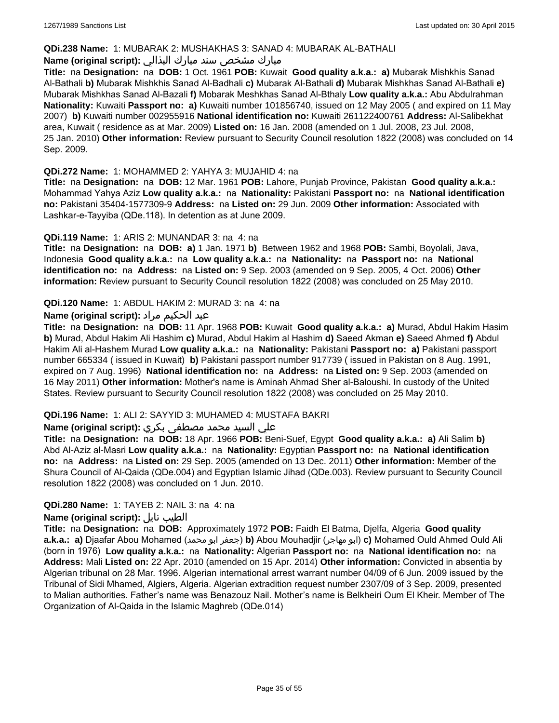#### **QDi.238 Name:** 1: MUBARAK 2: MUSHAKHAS 3: SANAD 4: MUBARAK AL-BATHALI

## مبارك مشخص سند مبارك البذالي **:Name (original script)**

**Title:** na **Designation:** na **DOB:** 1 Oct. 1961 **POB:** Kuwait **Good quality a.k.a.: a)** Mubarak Mishkhis Sanad Al-Bathali **b)** Mubarak Mishkhis Sanad Al-Badhali **c)** Mubarak Al-Bathali **d)** Mubarak Mishkhas Sanad Al-Bathali **e)** Mubarak Mishkhas Sanad Al-Bazali **f)** Mobarak Meshkhas Sanad Al-Bthaly **Low quality a.k.a.:** Abu Abdulrahman **Nationality:** Kuwaiti **Passport no: a)** Kuwaiti number 101856740, issued on 12 May 2005 ( and expired on 11 May 2007) **b)** Kuwaiti number 002955916 **National identification no:** Kuwaiti 261122400761 **Address:** Al-Salibekhat area, Kuwait ( residence as at Mar. 2009) **Listed on:** 16 Jan. 2008 (amended on 1 Jul. 2008, 23 Jul. 2008, 25 Jan. 2010) **Other information:** Review pursuant to Security Council resolution 1822 (2008) was concluded on 14 Sep. 2009.

### **QDi.272 Name:** 1: MOHAMMED 2: YAHYA 3: MUJAHID 4: na

**Title:** na **Designation:** na **DOB:** 12 Mar. 1961 **POB:** Lahore, Punjab Province, Pakistan **Good quality a.k.a.:** Mohammad Yahya Aziz **Low quality a.k.a.:** na **Nationality:** Pakistani **Passport no:** na **National identification no:** Pakistani 35404-1577309-9 **Address:** na **Listed on:** 29 Jun. 2009 **Other information:** Associated with Lashkar-e-Tayyiba (QDe.118). In detention as at June 2009.

### **QDi.119 Name:** 1: ARIS 2: MUNANDAR 3: na 4: na

**Title:** na **Designation:** na **DOB: a)** 1 Jan. 1971 **b)** Between 1962 and 1968 **POB:** Sambi, Boyolali, Java, Indonesia **Good quality a.k.a.:** na **Low quality a.k.a.:** na **Nationality:** na **Passport no:** na **National identification no:** na **Address:** na **Listed on:** 9 Sep. 2003 (amended on 9 Sep. 2005, 4 Oct. 2006) **Other information:** Review pursuant to Security Council resolution 1822 (2008) was concluded on 25 May 2010.

### **QDi.120 Name:** 1: ABDUL HAKIM 2: MURAD 3: na 4: na

## عبد الحكيم مراد **:(script original (Name**

**Title:** na **Designation:** na **DOB:** 11 Apr. 1968 **POB:** Kuwait **Good quality a.k.a.: a)** Murad, Abdul Hakim Hasim **b)** Murad, Abdul Hakim Ali Hashim **c)** Murad, Abdul Hakim al Hashim **d)** Saeed Akman **e)** Saeed Ahmed **f)** Abdul Hakim Ali al-Hashem Murad **Low quality a.k.a.:** na **Nationality:** Pakistani **Passport no: a)** Pakistani passport number 665334 ( issued in Kuwait) **b)** Pakistani passport number 917739 ( issued in Pakistan on 8 Aug. 1991, expired on 7 Aug. 1996) **National identification no:** na **Address:** na **Listed on:** 9 Sep. 2003 (amended on 16 May 2011) **Other information:** Mother's name is Aminah Ahmad Sher al-Baloushi. In custody of the United States. Review pursuant to Security Council resolution 1822 (2008) was concluded on 25 May 2010.

## **QDi.196 Name:** 1: ALI 2: SAYYID 3: MUHAMED 4: MUSTAFA BAKRI

## علي السيد محمد مصطفى بكري **:(script original (Name**

**Title:** na **Designation:** na **DOB:** 18 Apr. 1966 **POB:** Beni-Suef, Egypt **Good quality a.k.a.: a)** Ali Salim **b)** Abd Al-Aziz al-Masri **Low quality a.k.a.:** na **Nationality:** Egyptian **Passport no:** na **National identification no:** na **Address:** na **Listed on:** 29 Sep. 2005 (amended on 13 Dec. 2011) **Other information:** Member of the Shura Council of Al-Qaida (QDe.004) and Egyptian Islamic Jihad (QDe.003). Review pursuant to Security Council resolution 1822 (2008) was concluded on 1 Jun. 2010.

## **QDi.280 Name:** 1: TAYEB 2: NAIL 3: na 4: na

#### **Name (original script):** نايل الطيب

**Title:** na **Designation:** na **DOB:** Approximately 1972 **POB:** Faidh El Batma, Djelfa, Algeria **Good quality a.k.a.: a)** Djaafar Abou Mohamed (محمد ابو جعفر(**b)** Abou Mouhadjir (مهاجر ابو(**c)** Mohamed Ould Ahmed Ould Ali (born in 1976) **Low quality a.k.a.:** na **Nationality:** Algerian **Passport no:** na **National identification no:** na **Address:** Mali **Listed on:** 22 Apr. 2010 (amended on 15 Apr. 2014) **Other information:** Convicted in absentia by Algerian tribunal on 28 Mar. 1996. Algerian international arrest warrant number 04/09 of 6 Jun. 2009 issued by the Tribunal of Sidi Mhamed, Algiers, Algeria. Algerian extradition request number 2307/09 of 3 Sep. 2009, presented to Malian authorities. Father's name was Benazouz Nail. Mother's name is Belkheiri Oum El Kheir. Member of The Organization of Al-Qaida in the Islamic Maghreb (QDe.014)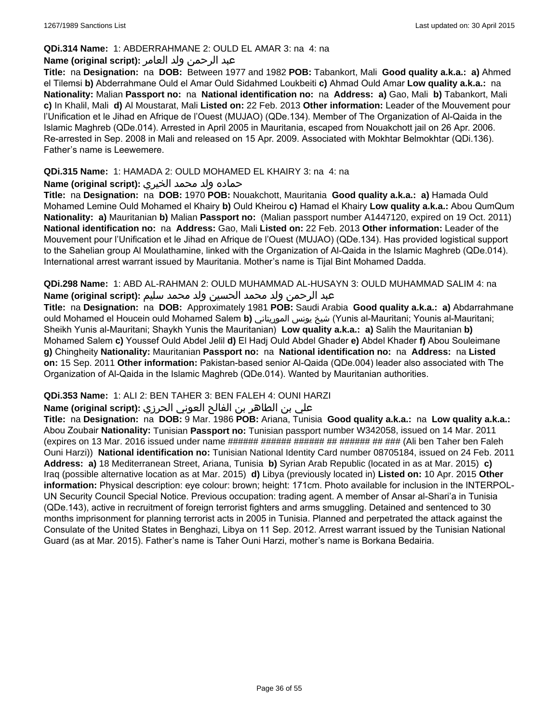### **QDi.314 Name:** 1: ABDERRAHMANE 2: OULD EL AMAR 3: na 4: na

## عبد الرحمن ولد العامر **:(script original (Name**

**Title:** na **Designation:** na **DOB:** Between 1977 and 1982 **POB:** Tabankort, Mali **Good quality a.k.a.: a)** Ahmed el Tilemsi **b)** Abderrahmane Ould el Amar Ould Sidahmed Loukbeiti **c)** Ahmad Ould Amar **Low quality a.k.a.:** na **Nationality:** Malian **Passport no:** na **National identification no:** na **Address: a)** Gao, Mali **b)** Tabankort, Mali **c)** In Khalil, Mali **d)** Al Moustarat, Mali **Listed on:** 22 Feb. 2013 **Other information:** Leader of the Mouvement pour l'Unification et le Jihad en Afrique de l'Ouest (MUJAO) (QDe.134). Member of The Organization of Al-Qaida in the Islamic Maghreb (QDe.014). Arrested in April 2005 in Mauritania, escaped from Nouakchott jail on 26 Apr. 2006. Re-arrested in Sep. 2008 in Mali and released on 15 Apr. 2009. Associated with Mokhtar Belmokhtar (QDi.136). Father's name is Leewemere.

## **QDi.315 Name:** 1: HAMADA 2: OULD MOHAMED EL KHAIRY 3: na 4: na

## حماده ولد محمد الخيري **:(script original (Name**

**Title:** na **Designation:** na **DOB:** 1970 **POB:** Nouakchott, Mauritania **Good quality a.k.a.: a)** Hamada Ould Mohamed Lemine Ould Mohamed el Khairy **b)** Ould Kheirou **c)** Hamad el Khairy **Low quality a.k.a.:** Abou QumQum **Nationality: a)** Mauritanian **b)** Malian **Passport no:** (Malian passport number A1447120, expired on 19 Oct. 2011) **National identification no:** na **Address:** Gao, Mali **Listed on:** 22 Feb. 2013 **Other information:** Leader of the Mouvement pour l'Unification et le Jihad en Afrique de l'Ouest (MUJAO) (QDe.134). Has provided logistical support to the Sahelian group Al Moulathamine, linked with the Organization of Al-Qaida in the Islamic Maghreb (QDe.014). International arrest warrant issued by Mauritania. Mother's name is Tijal Bint Mohamed Dadda.

**QDi.298 Name:** 1: ABD AL-RAHMAN 2: OULD MUHAMMAD AL-HUSAYN 3: OULD MUHAMMAD SALIM 4: na عبد الرحمن ولد محمد الحسين ولد محمد سليم **:(script original (Name**

**Title:** na **Designation:** na **DOB:** Approximately 1981 **POB:** Saudi Arabia **Good quality a.k.a.: a)** Abdarrahmane ould Mohamed el Houcein ould Mohamed Salem **b)** الموريتاني يونس شيخ) Yunis al-Mauritani; Younis al-Mauritani; Sheikh Yunis al-Mauritani; Shaykh Yunis the Mauritanian) **Low quality a.k.a.: a)** Salih the Mauritanian **b)** Mohamed Salem **c)** Youssef Ould Abdel Jelil **d)** El Hadj Ould Abdel Ghader **e)** Abdel Khader **f)** Abou Souleimane **g)** Chingheity **Nationality:** Mauritanian **Passport no:** na **National identification no:** na **Address:** na **Listed on:** 15 Sep. 2011 **Other information:** Pakistan-based senior Al-Qaida (QDe.004) leader also associated with The Organization of Al-Qaida in the Islamic Maghreb (QDe.014). Wanted by Mauritanian authorities.

## **QDi.353 Name:** 1: ALI 2: BEN TAHER 3: BEN FALEH 4: OUNI HARZI

## علي بن الطاھر بن الفالح العوني الحرزي **:(script original (Name**

**Title:** na **Designation:** na **DOB:** 9 Mar. 1986 **POB:** Ariana, Tunisia **Good quality a.k.a.:** na **Low quality a.k.a.:** Abou Zoubair **Nationality:** Tunisian **Passport no:** Tunisian passport number W342058, issued on 14 Mar. 2011 (expires on 13 Mar. 2016 issued under name ###### ###### ####### ######### (Ali ben Taher ben Faleh Ouni Harzi)) **National identification no:** Tunisian National Identity Card number 08705184, issued on 24 Feb. 2011 **Address: a)** 18 Mediterranean Street, Ariana, Tunisia **b)** Syrian Arab Republic (located in as at Mar. 2015) **c)** Iraq (possible alternative location as at Mar. 2015) **d)** Libya (previously located in) **Listed on:** 10 Apr. 2015 **Other information:** Physical description: eye colour: brown; height: 171cm. Photo available for inclusion in the INTERPOL-UN Security Council Special Notice. Previous occupation: trading agent. A member of Ansar al-Shari'a in Tunisia (QDe.143), active in recruitment of foreign terrorist fighters and arms smuggling. Detained and sentenced to 30 months imprisonment for planning terrorist acts in 2005 in Tunisia. Planned and perpetrated the attack against the Consulate of the United States in Benghazi, Libya on 11 Sep. 2012. Arrest warrant issued by the Tunisian National Guard (as at Mar. 2015). Father's name is Taher Ouni Harzi, mother's name is Borkana Bedairia.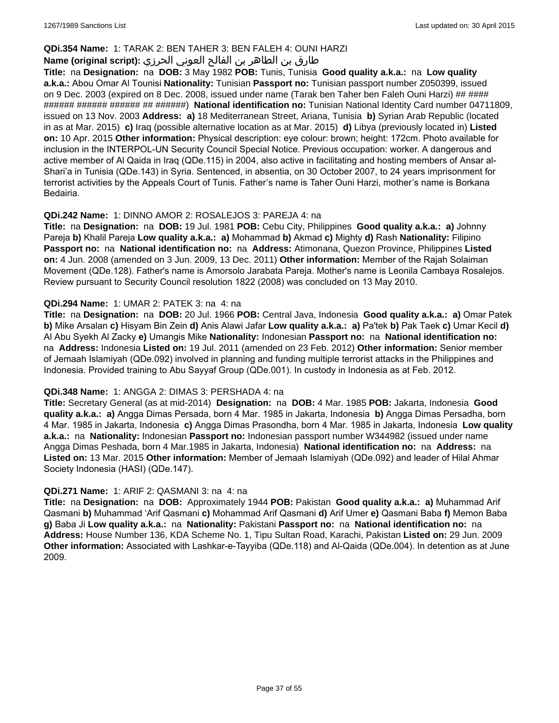## **QDi.354 Name:** 1: TARAK 2: BEN TAHER 3: BEN FALEH 4: OUNI HARZI

## طارق بن الطاھر بن الفالح العوني الحرزي **:(script original (Name**

**Title:** na **Designation:** na **DOB:** 3 May 1982 **POB:** Tunis, Tunisia **Good quality a.k.a.:** na **Low quality a.k.a.:** Abou Omar Al Tounisi **Nationality:** Tunisian **Passport no:** Tunisian passport number Z050399, issued on 9 Dec. 2003 (expired on 8 Dec. 2008, issued under name (Tarak ben Taher ben Faleh Ouni Harzi) ## #### ###### ###### ###### ## ######) **National identification no:** Tunisian National Identity Card number 04711809, issued on 13 Nov. 2003 **Address: a)** 18 Mediterranean Street, Ariana, Tunisia **b)** Syrian Arab Republic (located in as at Mar. 2015) **c)** Iraq (possible alternative location as at Mar. 2015) **d)** Libya (previously located in) **Listed on:** 10 Apr. 2015 **Other information:** Physical description: eye colour: brown; height: 172cm. Photo available for inclusion in the INTERPOL-UN Security Council Special Notice. Previous occupation: worker. A dangerous and active member of Al Qaida in Iraq (QDe.115) in 2004, also active in facilitating and hosting members of Ansar al-Shari'a in Tunisia (QDe.143) in Syria. Sentenced, in absentia, on 30 October 2007, to 24 years imprisonment for terrorist activities by the Appeals Court of Tunis. Father's name is Taher Ouni Harzi, mother's name is Borkana Bedairia.

### **QDi.242 Name:** 1: DINNO AMOR 2: ROSALEJOS 3: PAREJA 4: na

**Title:** na **Designation:** na **DOB:** 19 Jul. 1981 **POB:** Cebu City, Philippines **Good quality a.k.a.: a)** Johnny Pareja **b)** Khalil Pareja **Low quality a.k.a.: a)** Mohammad **b)** Akmad **c)** Mighty **d)** Rash **Nationality:** Filipino **Passport no:** na **National identification no:** na **Address:** Atimonana, Quezon Province, Philippines **Listed on:** 4 Jun. 2008 (amended on 3 Jun. 2009, 13 Dec. 2011) **Other information:** Member of the Rajah Solaiman Movement (QDe.128). Father's name is Amorsolo Jarabata Pareja. Mother's name is Leonila Cambaya Rosalejos. Review pursuant to Security Council resolution 1822 (2008) was concluded on 13 May 2010.

### **QDi.294 Name:** 1: UMAR 2: PATEK 3: na 4: na

**Title:** na **Designation:** na **DOB:** 20 Jul. 1966 **POB:** Central Java, Indonesia **Good quality a.k.a.: a)** Omar Patek **b)** Mike Arsalan **c)** Hisyam Bin Zein **d)** Anis Alawi Jafar **Low quality a.k.a.: a)** Pa'tek **b)** Pak Taek **c)** Umar Kecil **d)** Al Abu Syekh Al Zacky **e)** Umangis Mike **Nationality:** Indonesian **Passport no:** na **National identification no:**  na **Address:** Indonesia **Listed on:** 19 Jul. 2011 (amended on 23 Feb. 2012) **Other information:** Senior member of Jemaah Islamiyah (QDe.092) involved in planning and funding multiple terrorist attacks in the Philippines and Indonesia. Provided training to Abu Sayyaf Group (QDe.001). In custody in Indonesia as at Feb. 2012.

#### **QDi.348 Name:** 1: ANGGA 2: DIMAS 3: PERSHADA 4: na

**Title:** Secretary General (as at mid-2014) **Designation:** na **DOB:** 4 Mar. 1985 **POB:** Jakarta, Indonesia **Good quality a.k.a.: a)** Angga Dimas Persada, born 4 Mar. 1985 in Jakarta, Indonesia **b)** Angga Dimas Persadha, born 4 Mar. 1985 in Jakarta, Indonesia **c)** Angga Dimas Prasondha, born 4 Mar. 1985 in Jakarta, Indonesia **Low quality a.k.a.:** na **Nationality:** Indonesian **Passport no:** Indonesian passport number W344982 (issued under name Angga Dimas Peshada, born 4 Mar.1985 in Jakarta, Indonesia) **National identification no:** na **Address:** na **Listed on:** 13 Mar. 2015 **Other information:** Member of Jemaah Islamiyah (QDe.092) and leader of Hilal Ahmar Society Indonesia (HASI) (QDe.147).

#### **QDi.271 Name:** 1: ARIF 2: QASMANI 3: na 4: na

**Title:** na **Designation:** na **DOB:** Approximately 1944 **POB:** Pakistan **Good quality a.k.a.: a)** Muhammad Arif Qasmani **b)** Muhammad 'Arif Qasmani **c)** Mohammad Arif Qasmani **d)** Arif Umer **e)** Qasmani Baba **f)** Memon Baba **g)** Baba Ji **Low quality a.k.a.:** na **Nationality:** Pakistani **Passport no:** na **National identification no:** na **Address:** House Number 136, KDA Scheme No. 1, Tipu Sultan Road, Karachi, Pakistan **Listed on:** 29 Jun. 2009 **Other information:** Associated with Lashkar-e-Tayyiba (QDe.118) and Al-Qaida (QDe.004). In detention as at June 2009.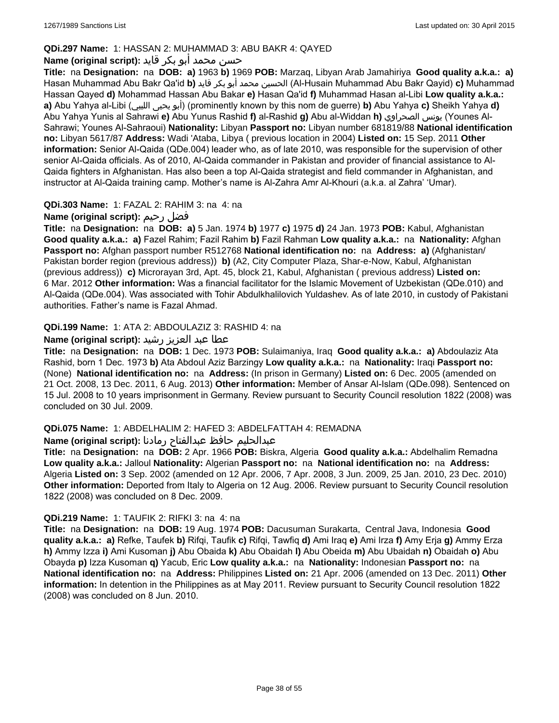## **QDi.297 Name:** 1: HASSAN 2: MUHAMMAD 3: ABU BAKR 4: QAYED

## حسن محمد أبو بكر قايد **:(script original (Name**

**Title:** na **Designation:** na **DOB: a)** 1963 **b)** 1969 **POB:** Marzaq, Libyan Arab Jamahiriya **Good quality a.k.a.: a)** Hasan Muhammad Abu Bakr Qa'id **b)** قايد بكر أبو محمد الحسين) Al-Husain Muhammad Abu Bakr Qayid) **c)** Muhammad Hassan Qayed **d)** Mohammad Hassan Abu Bakar **e)** Hasan Qa'id **f)** Muhammad Hasan al-Libi **Low quality a.k.a.: a)** Abu Yahya al-Libi (الليبي يحيى أبو) (prominently known by this nom de guerre) **b)** Abu Yahya **c)** Sheikh Yahya **d)** Abu Yahya Yunis al Sahrawi **e)** Abu Yunus Rashid **f)** al-Rashid **g)** Abu al-Widdan **h)** الصحراوي يونس) Younes Al-Sahrawi; Younes Al-Sahraoui) **Nationality:** Libyan **Passport no:** Libyan number 681819/88 **National identification no:** Libyan 5617/87 **Address:** Wadi 'Ataba, Libya ( previous location in 2004) **Listed on:** 15 Sep. 2011 **Other information:** Senior Al-Qaida (QDe.004) leader who, as of late 2010, was responsible for the supervision of other senior Al-Qaida officials. As of 2010, Al-Qaida commander in Pakistan and provider of financial assistance to Al-Qaida fighters in Afghanistan. Has also been a top Al-Qaida strategist and field commander in Afghanistan, and instructor at Al-Qaida training camp. Mother's name is Al-Zahra Amr Al-Khouri (a.k.a. al Zahra' 'Umar).

## **QDi.303 Name:** 1: FAZAL 2: RAHIM 3: na 4: na

## **Name (original script):** رحيم فضل

**Title:** na **Designation:** na **DOB: a)** 5 Jan. 1974 **b)** 1977 **c)** 1975 **d)** 24 Jan. 1973 **POB:** Kabul, Afghanistan **Good quality a.k.a.: a)** Fazel Rahim; Fazil Rahim **b)** Fazil Rahman **Low quality a.k.a.:** na **Nationality:** Afghan **Passport no:** Afghan passport number R512768 **National identification no:** na **Address: a)** (Afghanistan/ Pakistan border region (previous address)) **b)** (A2, City Computer Plaza, Shar-e-Now, Kabul, Afghanistan (previous address)) **c)** Microrayan 3rd, Apt. 45, block 21, Kabul, Afghanistan ( previous address) **Listed on:** 6 Mar. 2012 **Other information:** Was a financial facilitator for the Islamic Movement of Uzbekistan (QDe.010) and Al-Qaida (QDe.004). Was associated with Tohir Abdulkhalilovich Yuldashev. As of late 2010, in custody of Pakistani authorities. Father's name is Fazal Ahmad.

## **QDi.199 Name:** 1: ATA 2: ABDOULAZIZ 3: RASHID 4: na

## عطا عبد العزيز رشيد **:(script original (Name**

**Title:** na **Designation:** na **DOB:** 1 Dec. 1973 **POB:** Sulaimaniya, Iraq **Good quality a.k.a.: a)** Abdoulaziz Ata Rashid, born 1 Dec. 1973 **b)** Ata Abdoul Aziz Barzingy **Low quality a.k.a.:** na **Nationality:** Iraqi **Passport no:**  (None) **National identification no:** na **Address:** (In prison in Germany) **Listed on:** 6 Dec. 2005 (amended on 21 Oct. 2008, 13 Dec. 2011, 6 Aug. 2013) **Other information:** Member of Ansar Al-Islam (QDe.098). Sentenced on 15 Jul. 2008 to 10 years imprisonment in Germany. Review pursuant to Security Council resolution 1822 (2008) was concluded on 30 Jul. 2009.

## **QDi.075 Name:** 1: ABDELHALIM 2: HAFED 3: ABDELFATTAH 4: REMADNA

## عبدالحليم حافظ عبدالفتاح رمادنا **:(script original (Name**

**Title:** na **Designation:** na **DOB:** 2 Apr. 1966 **POB:** Biskra, Algeria **Good quality a.k.a.:** Abdelhalim Remadna **Low quality a.k.a.:** Jalloul **Nationality:** Algerian **Passport no:** na **National identification no:** na **Address:** Algeria **Listed on:** 3 Sep. 2002 (amended on 12 Apr. 2006, 7 Apr. 2008, 3 Jun. 2009, 25 Jan. 2010, 23 Dec. 2010) **Other information:** Deported from Italy to Algeria on 12 Aug. 2006. Review pursuant to Security Council resolution 1822 (2008) was concluded on 8 Dec. 2009.

## **QDi.219 Name:** 1: TAUFIK 2: RIFKI 3: na 4: na

**Title:** na **Designation:** na **DOB:** 19 Aug. 1974 **POB:** Dacusuman Surakarta, Central Java, Indonesia **Good quality a.k.a.: a)** Refke, Taufek **b)** Rifqi, Taufik **c)** Rifqi, Tawfiq **d)** Ami Iraq **e)** Ami Irza **f)** Amy Erja **g)** Ammy Erza **h)** Ammy Izza **i)** Ami Kusoman **j)** Abu Obaida **k)** Abu Obaidah **l)** Abu Obeida **m)** Abu Ubaidah **n)** Obaidah **o)** Abu Obayda **p)** Izza Kusoman **q)** Yacub, Eric **Low quality a.k.a.:** na **Nationality:** Indonesian **Passport no:** na **National identification no:** na **Address:** Philippines **Listed on:** 21 Apr. 2006 (amended on 13 Dec. 2011) **Other information:** In detention in the Philippines as at May 2011. Review pursuant to Security Council resolution 1822 (2008) was concluded on 8 Jun. 2010.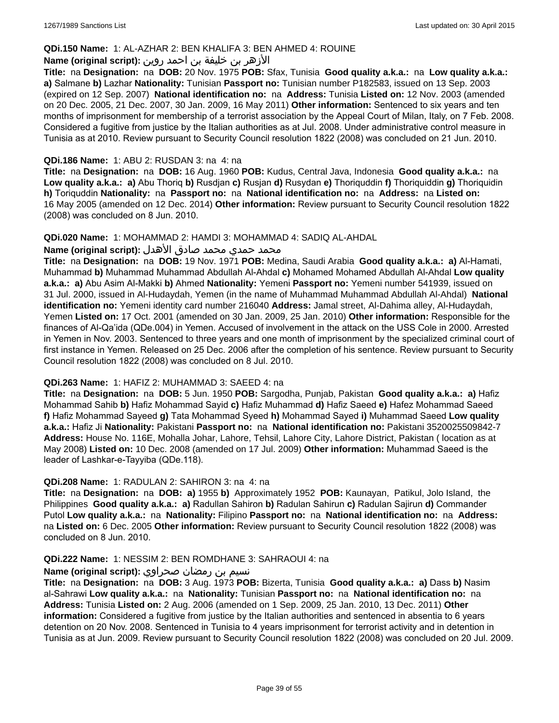## **QDi.150 Name:** 1: AL-AZHAR 2: BEN KHALIFA 3: BEN AHMED 4: ROUINE

## الأزهر بن خليفة بن احمد روين **:(script original (Name**

**Title:** na **Designation:** na **DOB:** 20 Nov. 1975 **POB:** Sfax, Tunisia **Good quality a.k.a.:** na **Low quality a.k.a.: a)** Salmane **b)** Lazhar **Nationality:** Tunisian **Passport no:** Tunisian number P182583, issued on 13 Sep. 2003 (expired on 12 Sep. 2007) **National identification no:** na **Address:** Tunisia **Listed on:** 12 Nov. 2003 (amended on 20 Dec. 2005, 21 Dec. 2007, 30 Jan. 2009, 16 May 2011) **Other information:** Sentenced to six years and ten months of imprisonment for membership of a terrorist association by the Appeal Court of Milan, Italy, on 7 Feb. 2008. Considered a fugitive from justice by the Italian authorities as at Jul. 2008. Under administrative control measure in Tunisia as at 2010. Review pursuant to Security Council resolution 1822 (2008) was concluded on 21 Jun. 2010.

## **QDi.186 Name:** 1: ABU 2: RUSDAN 3: na 4: na

**Title:** na **Designation:** na **DOB:** 16 Aug. 1960 **POB:** Kudus, Central Java, Indonesia **Good quality a.k.a.:** na **Low quality a.k.a.: a)** Abu Thoriq **b)** Rusdjan **c)** Rusjan **d)** Rusydan **e)** Thoriquddin **f)** Thoriquiddin **g)** Thoriquidin **h)** Toriquddin **Nationality:** na **Passport no:** na **National identification no:** na **Address:** na **Listed on:** 16 May 2005 (amended on 12 Dec. 2014) **Other information:** Review pursuant to Security Council resolution 1822 (2008) was concluded on 8 Jun. 2010.

#### **QDi.020 Name:** 1: MOHAMMAD 2: HAMDI 3: MOHAMMAD 4: SADIQ AL-AHDAL

#### محمد حمدي محمد صادق الأهدل **:Name (original script**)

**Title:** na **Designation:** na **DOB:** 19 Nov. 1971 **POB:** Medina, Saudi Arabia **Good quality a.k.a.: a)** Al-Hamati, Muhammad **b)** Muhammad Muhammad Abdullah Al-Ahdal **c)** Mohamed Mohamed Abdullah Al-Ahdal **Low quality a.k.a.: a)** Abu Asim Al-Makki **b)** Ahmed **Nationality:** Yemeni **Passport no:** Yemeni number 541939, issued on 31 Jul. 2000, issued in Al-Hudaydah, Yemen (in the name of Muhammad Muhammad Abdullah Al-Ahdal) **National identification no:** Yemeni identity card number 216040 **Address:** Jamal street, Al-Dahima alley, Al-Hudaydah, Yemen **Listed on:** 17 Oct. 2001 (amended on 30 Jan. 2009, 25 Jan. 2010) **Other information:** Responsible for the finances of Al-Qa'ida (QDe.004) in Yemen. Accused of involvement in the attack on the USS Cole in 2000. Arrested in Yemen in Nov. 2003. Sentenced to three years and one month of imprisonment by the specialized criminal court of first instance in Yemen. Released on 25 Dec. 2006 after the completion of his sentence. Review pursuant to Security Council resolution 1822 (2008) was concluded on 8 Jul. 2010.

#### **QDi.263 Name:** 1: HAFIZ 2: MUHAMMAD 3: SAEED 4: na

**Title:** na **Designation:** na **DOB:** 5 Jun. 1950 **POB:** Sargodha, Punjab, Pakistan **Good quality a.k.a.: a)** Hafiz Mohammad Sahib **b)** Hafiz Mohammad Sayid **c)** Hafiz Muhammad **d)** Hafiz Saeed **e)** Hafez Mohammad Saeed **f)** Hafiz Mohammad Sayeed **g)** Tata Mohammad Syeed **h)** Mohammad Sayed **i)** Muhammad Saeed **Low quality a.k.a.:** Hafiz Ji **Nationality:** Pakistani **Passport no:** na **National identification no:** Pakistani 3520025509842-7 **Address:** House No. 116E, Mohalla Johar, Lahore, Tehsil, Lahore City, Lahore District, Pakistan ( location as at May 2008) **Listed on:** 10 Dec. 2008 (amended on 17 Jul. 2009) **Other information:** Muhammad Saeed is the leader of Lashkar-e-Tayyiba (QDe.118).

#### **QDi.208 Name:** 1: RADULAN 2: SAHIRON 3: na 4: na

**Title:** na **Designation:** na **DOB: a)** 1955 **b)** Approximately 1952 **POB:** Kaunayan, Patikul, Jolo Island, the Philippines **Good quality a.k.a.: a)** Radullan Sahiron **b)** Radulan Sahirun **c)** Radulan Sajirun **d)** Commander Putol **Low quality a.k.a.:** na **Nationality:** Filipino **Passport no:** na **National identification no:** na **Address:**  na **Listed on:** 6 Dec. 2005 **Other information:** Review pursuant to Security Council resolution 1822 (2008) was concluded on 8 Jun. 2010.

#### **QDi.222 Name:** 1: NESSIM 2: BEN ROMDHANE 3: SAHRAOUI 4: na

#### نسيم بن رمضان صحراوي **:(script original (Name**

**Title:** na **Designation:** na **DOB:** 3 Aug. 1973 **POB:** Bizerta, Tunisia **Good quality a.k.a.: a)** Dass **b)** Nasim al-Sahrawi **Low quality a.k.a.:** na **Nationality:** Tunisian **Passport no:** na **National identification no:** na **Address:** Tunisia **Listed on:** 2 Aug. 2006 (amended on 1 Sep. 2009, 25 Jan. 2010, 13 Dec. 2011) **Other information:** Considered a fugitive from justice by the Italian authorities and sentenced in absentia to 6 years detention on 20 Nov. 2008. Sentenced in Tunisia to 4 years imprisonment for terrorist activity and in detention in Tunisia as at Jun. 2009. Review pursuant to Security Council resolution 1822 (2008) was concluded on 20 Jul. 2009.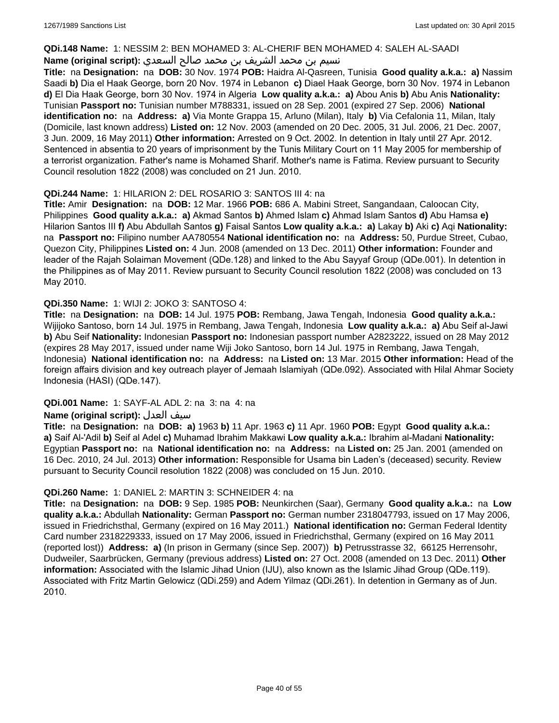#### **QDi.148 Name:** 1: NESSIM 2: BEN MOHAMED 3: AL-CHERIF BEN MOHAMED 4: SALEH AL-SAADI

## نسيم بن محمد الشريف بن محمد صالح السعدي **:Name (original script**)

**Title:** na **Designation:** na **DOB:** 30 Nov. 1974 **POB:** Haidra Al-Qasreen, Tunisia **Good quality a.k.a.: a)** Nassim Saadi **b)** Dia el Haak George, born 20 Nov. 1974 in Lebanon **c)** Diael Haak George, born 30 Nov. 1974 in Lebanon **d)** El Dia Haak George, born 30 Nov. 1974 in Algeria **Low quality a.k.a.: a)** Abou Anis **b)** Abu Anis **Nationality:** Tunisian **Passport no:** Tunisian number M788331, issued on 28 Sep. 2001 (expired 27 Sep. 2006) **National identification no:** na **Address: a)** Via Monte Grappa 15, Arluno (Milan), Italy **b)** Via Cefalonia 11, Milan, Italy (Domicile, last known address) **Listed on:** 12 Nov. 2003 (amended on 20 Dec. 2005, 31 Jul. 2006, 21 Dec. 2007, 3 Jun. 2009, 16 May 2011) **Other information:** Arrested on 9 Oct. 2002. In detention in Italy until 27 Apr. 2012. Sentenced in absentia to 20 years of imprisonment by the Tunis Military Court on 11 May 2005 for membership of a terrorist organization. Father's name is Mohamed Sharif. Mother's name is Fatima. Review pursuant to Security Council resolution 1822 (2008) was concluded on 21 Jun. 2010.

## **QDi.244 Name:** 1: HILARION 2: DEL ROSARIO 3: SANTOS III 4: na

**Title:** Amir **Designation:** na **DOB:** 12 Mar. 1966 **POB:** 686 A. Mabini Street, Sangandaan, Caloocan City, Philippines **Good quality a.k.a.: a)** Akmad Santos **b)** Ahmed Islam **c)** Ahmad Islam Santos **d)** Abu Hamsa **e)** Hilarion Santos III **f)** Abu Abdullah Santos **g)** Faisal Santos **Low quality a.k.a.: a)** Lakay **b)** Aki **c)** Aqi **Nationality:**  na **Passport no:** Filipino number AA780554 **National identification no:** na **Address:** 50, Purdue Street, Cubao, Quezon City, Philippines **Listed on:** 4 Jun. 2008 (amended on 13 Dec. 2011) **Other information:** Founder and leader of the Rajah Solaiman Movement (QDe.128) and linked to the Abu Sayyaf Group (QDe.001). In detention in the Philippines as of May 2011. Review pursuant to Security Council resolution 1822 (2008) was concluded on 13 May 2010.

## **QDi.350 Name:** 1: WIJI 2: JOKO 3: SANTOSO 4:

**Title:** na **Designation:** na **DOB:** 14 Jul. 1975 **POB:** Rembang, Jawa Tengah, Indonesia **Good quality a.k.a.:** Wijijoko Santoso, born 14 Jul. 1975 in Rembang, Jawa Tengah, Indonesia **Low quality a.k.a.: a)** Abu Seif al-Jawi **b)** Abu Seif **Nationality:** Indonesian **Passport no:** Indonesian passport number A2823222, issued on 28 May 2012 (expires 28 May 2017, issued under name Wiji Joko Santoso, born 14 Jul. 1975 in Rembang, Jawa Tengah, Indonesia) **National identification no:** na **Address:** na **Listed on:** 13 Mar. 2015 **Other information:** Head of the foreign affairs division and key outreach player of Jemaah Islamiyah (QDe.092). Associated with Hilal Ahmar Society Indonesia (HASI) (QDe.147).

## **QDi.001 Name:** 1: SAYF-AL ADL 2: na 3: na 4: na

## **Name (original script):** العدل سيف

**Title:** na **Designation:** na **DOB: a)** 1963 **b)** 11 Apr. 1963 **c)** 11 Apr. 1960 **POB:** Egypt **Good quality a.k.a.: a)** Saif Al-'Adil **b)** Seif al Adel **c)** Muhamad Ibrahim Makkawi **Low quality a.k.a.:** Ibrahim al-Madani **Nationality:** Egyptian **Passport no:** na **National identification no:** na **Address:** na **Listed on:** 25 Jan. 2001 (amended on 16 Dec. 2010, 24 Jul. 2013) **Other information:** Responsible for Usama bin Laden's (deceased) security. Review pursuant to Security Council resolution 1822 (2008) was concluded on 15 Jun. 2010.

#### **QDi.260 Name:** 1: DANIEL 2: MARTIN 3: SCHNEIDER 4: na

**Title:** na **Designation:** na **DOB:** 9 Sep. 1985 **POB:** Neunkirchen (Saar), Germany **Good quality a.k.a.:** na **Low quality a.k.a.:** Abdullah **Nationality:** German **Passport no:** German number 2318047793, issued on 17 May 2006, issued in Friedrichsthal, Germany (expired on 16 May 2011.) **National identification no:** German Federal Identity Card number 2318229333, issued on 17 May 2006, issued in Friedrichsthal, Germany (expired on 16 May 2011 (reported lost)) **Address: a)** (In prison in Germany (since Sep. 2007)) **b)** Petrusstrasse 32, 66125 Herrensohr, Dudweiler, Saarbrücken, Germany (previous address) **Listed on:** 27 Oct. 2008 (amended on 13 Dec. 2011) **Other information:** Associated with the Islamic Jihad Union (IJU), also known as the Islamic Jihad Group (QDe.119). Associated with Fritz Martin Gelowicz (QDi.259) and Adem Yilmaz (QDi.261). In detention in Germany as of Jun. 2010.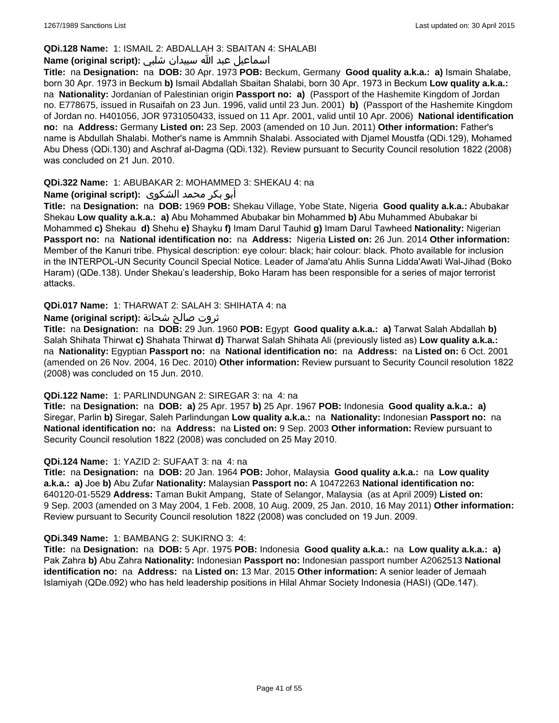## **QDi.128 Name:** 1: ISMAIL 2: ABDALLAH 3: SBAITAN 4: SHALABI

## اسماعيل عبد الله سبيدان شلبي **:(script original (Name**

**Title:** na **Designation:** na **DOB:** 30 Apr. 1973 **POB:** Beckum, Germany **Good quality a.k.a.: a)** Ismain Shalabe, born 30 Apr. 1973 in Beckum **b)** Ismail Abdallah Sbaitan Shalabi, born 30 Apr. 1973 in Beckum **Low quality a.k.a.:**  na **Nationality:** Jordanian of Palestinian origin **Passport no: a)** (Passport of the Hashemite Kingdom of Jordan no. E778675, issued in Rusaifah on 23 Jun. 1996, valid until 23 Jun. 2001) **b)** (Passport of the Hashemite Kingdom of Jordan no. H401056, JOR 9731050433, issued on 11 Apr. 2001, valid until 10 Apr. 2006) **National identification no:** na **Address:** Germany **Listed on:** 23 Sep. 2003 (amended on 10 Jun. 2011) **Other information:** Father's name is Abdullah Shalabi. Mother's name is Ammnih Shalabi. Associated with Djamel Moustfa (QDi.129), Mohamed Abu Dhess (QDi.130) and Aschraf al-Dagma (QDi.132). Review pursuant to Security Council resolution 1822 (2008) was concluded on 21 Jun. 2010.

## **QDi.322 Name:** 1: ABUBAKAR 2: MOHAMMED 3: SHEKAU 4: na

### أبو بكر محمد الشكوى **:(script original (Name**

**Title:** na **Designation:** na **DOB:** 1969 **POB:** Shekau Village, Yobe State, Nigeria **Good quality a.k.a.:** Abubakar Shekau **Low quality a.k.a.: a)** Abu Mohammed Abubakar bin Mohammed **b)** Abu Muhammed Abubakar bi Mohammed **c)** Shekau **d)** Shehu **e)** Shayku **f)** Imam Darul Tauhid **g)** Imam Darul Tawheed **Nationality:** Nigerian **Passport no:** na **National identification no:** na **Address:** Nigeria **Listed on:** 26 Jun. 2014 **Other information:** Member of the Kanuri tribe. Physical description: eye colour: black; hair colour: black. Photo available for inclusion in the INTERPOL-UN Security Council Special Notice. Leader of Jama'atu Ahlis Sunna Lidda'Awati Wal-Jihad (Boko Haram) (QDe.138). Under Shekau's leadership, Boko Haram has been responsible for a series of major terrorist attacks.

### **QDi.017 Name:** 1: THARWAT 2: SALAH 3: SHIHATA 4: na

### ثروت صالح شحاتة **:(script original (Name**

**Title:** na **Designation:** na **DOB:** 29 Jun. 1960 **POB:** Egypt **Good quality a.k.a.: a)** Tarwat Salah Abdallah **b)** Salah Shihata Thirwat **c)** Shahata Thirwat **d)** Tharwat Salah Shihata Ali (previously listed as) **Low quality a.k.a.:**  na **Nationality:** Egyptian **Passport no:** na **National identification no:** na **Address:** na **Listed on:** 6 Oct. 2001 (amended on 26 Nov. 2004, 16 Dec. 2010) **Other information:** Review pursuant to Security Council resolution 1822 (2008) was concluded on 15 Jun. 2010.

#### **QDi.122 Name:** 1: PARLINDUNGAN 2: SIREGAR 3: na 4: na

**Title:** na **Designation:** na **DOB: a)** 25 Apr. 1957 **b)** 25 Apr. 1967 **POB:** Indonesia **Good quality a.k.a.: a)** Siregar, Parlin **b)** Siregar, Saleh Parlindungan **Low quality a.k.a.:** na **Nationality:** Indonesian **Passport no:** na **National identification no:** na **Address:** na **Listed on:** 9 Sep. 2003 **Other information:** Review pursuant to Security Council resolution 1822 (2008) was concluded on 25 May 2010.

#### **QDi.124 Name:** 1: YAZID 2: SUFAAT 3: na 4: na

**Title:** na **Designation:** na **DOB:** 20 Jan. 1964 **POB:** Johor, Malaysia **Good quality a.k.a.:** na **Low quality a.k.a.: a)** Joe **b)** Abu Zufar **Nationality:** Malaysian **Passport no:** A 10472263 **National identification no:** 640120-01-5529 **Address:** Taman Bukit Ampang, State of Selangor, Malaysia (as at April 2009) **Listed on:** 9 Sep. 2003 (amended on 3 May 2004, 1 Feb. 2008, 10 Aug. 2009, 25 Jan. 2010, 16 May 2011) **Other information:** Review pursuant to Security Council resolution 1822 (2008) was concluded on 19 Jun. 2009.

#### **QDi.349 Name:** 1: BAMBANG 2: SUKIRNO 3: 4:

**Title:** na **Designation:** na **DOB:** 5 Apr. 1975 **POB:** Indonesia **Good quality a.k.a.:** na **Low quality a.k.a.: a)** Pak Zahra **b)** Abu Zahra **Nationality:** Indonesian **Passport no:** Indonesian passport number A2062513 **National identification no:** na **Address:** na **Listed on:** 13 Mar. 2015 **Other information:** A senior leader of Jemaah Islamiyah (QDe.092) who has held leadership positions in Hilal Ahmar Society Indonesia (HASI) (QDe.147).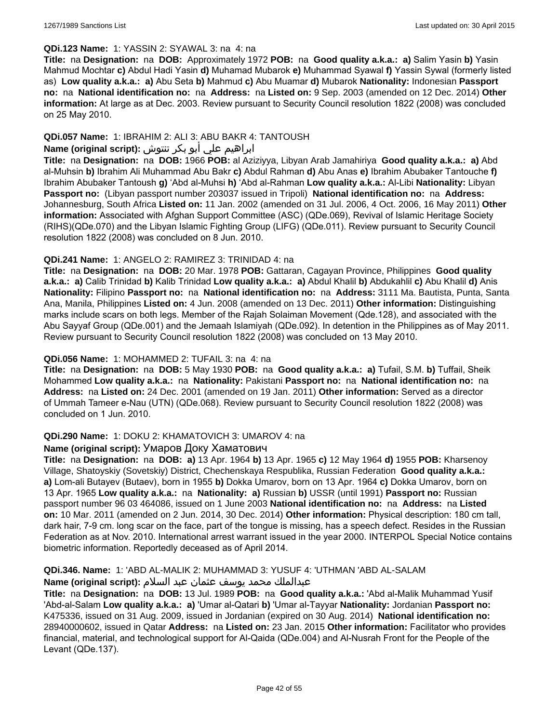#### **QDi.123 Name:** 1: YASSIN 2: SYAWAL 3: na 4: na

**Title:** na **Designation:** na **DOB:** Approximately 1972 **POB:** na **Good quality a.k.a.: a)** Salim Yasin **b)** Yasin Mahmud Mochtar **c)** Abdul Hadi Yasin **d)** Muhamad Mubarok **e)** Muhammad Syawal **f)** Yassin Sywal (formerly listed as) **Low quality a.k.a.: a)** Abu Seta **b)** Mahmud **c)** Abu Muamar **d)** Mubarok **Nationality:** Indonesian **Passport no:** na **National identification no:** na **Address:** na **Listed on:** 9 Sep. 2003 (amended on 12 Dec. 2014) **Other information:** At large as at Dec. 2003. Review pursuant to Security Council resolution 1822 (2008) was concluded on 25 May 2010.

## **QDi.057 Name:** 1: IBRAHIM 2: ALI 3: ABU BAKR 4: TANTOUSH

## ابراهيم علي أبو بكر تنتوش **:(script original (Name**

**Title:** na **Designation:** na **DOB:** 1966 **POB:** al Aziziyya, Libyan Arab Jamahiriya **Good quality a.k.a.: a)** Abd al-Muhsin **b)** Ibrahim Ali Muhammad Abu Bakr **c)** Abdul Rahman **d)** Abu Anas **e)** Ibrahim Abubaker Tantouche **f)** Ibrahim Abubaker Tantoush **g)** 'Abd al-Muhsi **h)** 'Abd al-Rahman **Low quality a.k.a.:** Al-Libi **Nationality:** Libyan **Passport no:** (Libyan passport number 203037 issued in Tripoli) **National identification no:** na **Address:** Johannesburg, South Africa **Listed on:** 11 Jan. 2002 (amended on 31 Jul. 2006, 4 Oct. 2006, 16 May 2011) **Other information:** Associated with Afghan Support Committee (ASC) (QDe.069), Revival of Islamic Heritage Society (RIHS)(QDe.070) and the Libyan Islamic Fighting Group (LIFG) (QDe.011). Review pursuant to Security Council resolution 1822 (2008) was concluded on 8 Jun. 2010.

### **QDi.241 Name:** 1: ANGELO 2: RAMIREZ 3: TRINIDAD 4: na

**Title:** na **Designation:** na **DOB:** 20 Mar. 1978 **POB:** Gattaran, Cagayan Province, Philippines **Good quality a.k.a.: a)** Calib Trinidad **b)** Kalib Trinidad **Low quality a.k.a.: a)** Abdul Khalil **b)** Abdukahlil **c)** Abu Khalil **d)** Anis **Nationality:** Filipino **Passport no:** na **National identification no:** na **Address:** 3111 Ma. Bautista, Punta, Santa Ana, Manila, Philippines **Listed on:** 4 Jun. 2008 (amended on 13 Dec. 2011) **Other information:** Distinguishing marks include scars on both legs. Member of the Rajah Solaiman Movement (Qde.128), and associated with the Abu Sayyaf Group (QDe.001) and the Jemaah Islamiyah (QDe.092). In detention in the Philippines as of May 2011. Review pursuant to Security Council resolution 1822 (2008) was concluded on 13 May 2010.

## **QDi.056 Name:** 1: MOHAMMED 2: TUFAIL 3: na 4: na

**Title:** na **Designation:** na **DOB:** 5 May 1930 **POB:** na **Good quality a.k.a.: a)** Tufail, S.M. **b)** Tuffail, Sheik Mohammed **Low quality a.k.a.:** na **Nationality:** Pakistani **Passport no:** na **National identification no:** na **Address:** na **Listed on:** 24 Dec. 2001 (amended on 19 Jan. 2011) **Other information:** Served as a director of Ummah Tameer e-Nau (UTN) (QDe.068). Review pursuant to Security Council resolution 1822 (2008) was concluded on 1 Jun. 2010.

#### **QDi.290 Name:** 1: DOKU 2: KHAMATOVICH 3: UMAROV 4: na

#### **Name (original script):** Умаров Доку Хаматович

**Title:** na **Designation:** na **DOB: a)** 13 Apr. 1964 **b)** 13 Apr. 1965 **c)** 12 May 1964 **d)** 1955 **POB:** Kharsenoy Village, Shatoyskiy (Sovetskiy) District, Chechenskaya Respublika, Russian Federation **Good quality a.k.a.: a)** Lom-ali Butayev (Butaev), born in 1955 **b)** Dokka Umarov, born on 13 Apr. 1964 **c)** Dokka Umarov, born on 13 Apr. 1965 **Low quality a.k.a.:** na **Nationality: a)** Russian **b)** USSR (until 1991) **Passport no:** Russian passport number 96 03 464086, issued on 1 June 2003 **National identification no:** na **Address:** na **Listed on:** 10 Mar. 2011 (amended on 2 Jun. 2014, 30 Dec. 2014) **Other information:** Physical description: 180 cm tall, dark hair, 7-9 cm. long scar on the face, part of the tongue is missing, has a speech defect. Resides in the Russian Federation as at Nov. 2010. International arrest warrant issued in the year 2000. INTERPOL Special Notice contains biometric information. Reportedly deceased as of April 2014.

## **QDi.346. Name:** 1: 'ABD AL-MALIK 2: MUHAMMAD 3: YUSUF 4: 'UTHMAN 'ABD AL-SALAM

## عبدالملك محمد يوسف عثمان عبد السلام **:(script original (Name**

**Title:** na **Designation:** na **DOB:** 13 Jul. 1989 **POB:** na **Good quality a.k.a.:** 'Abd al-Malik Muhammad Yusif 'Abd-al-Salam **Low quality a.k.a.: a)** 'Umar al-Qatari **b)** 'Umar al-Tayyar **Nationality:** Jordanian **Passport no:** K475336, issued on 31 Aug. 2009, issued in Jordanian (expired on 30 Aug. 2014) **National identification no:** 28940000602, issued in Qatar **Address:** na **Listed on:** 23 Jan. 2015 **Other information:** Facilitator who provides financial, material, and technological support for Al-Qaida (QDe.004) and Al-Nusrah Front for the People of the Levant (QDe.137).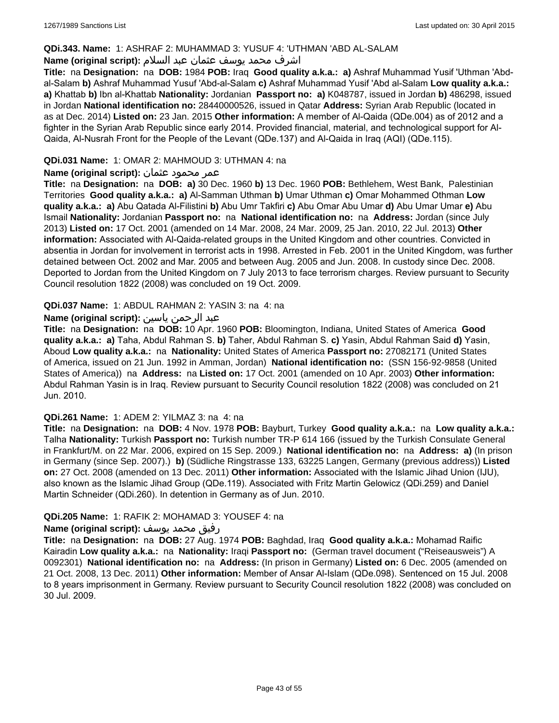## **QDi.343. Name:** 1: ASHRAF 2: MUHAMMAD 3: YUSUF 4: 'UTHMAN 'ABD AL-SALAM

## اشرف محمد يوسف عثمان عبد السلام **:(script original (Name**

**Title:** na **Designation:** na **DOB:** 1984 **POB:** Iraq **Good quality a.k.a.: a)** Ashraf Muhammad Yusif 'Uthman 'Abdal-Salam **b)** Ashraf Muhammad Yusuf 'Abd-al-Salam **c)** Ashraf Muhammad Yusif 'Abd al-Salam **Low quality a.k.a.: a)** Khattab **b)** Ibn al-Khattab **Nationality:** Jordanian **Passport no: a)** K048787, issued in Jordan **b)** 486298, issued in Jordan **National identification no:** 28440000526, issued in Qatar **Address:** Syrian Arab Republic (located in as at Dec. 2014) **Listed on:** 23 Jan. 2015 **Other information:** A member of Al-Qaida (QDe.004) as of 2012 and a fighter in the Syrian Arab Republic since early 2014. Provided financial, material, and technological support for Al-Qaida, Al-Nusrah Front for the People of the Levant (QDe.137) and Al-Qaida in Iraq (AQI) (QDe.115).

## **QDi.031 Name:** 1: OMAR 2: MAHMOUD 3: UTHMAN 4: na

## عمر محمود عثمان **:(script original (Name**

**Title:** na **Designation:** na **DOB: a)** 30 Dec. 1960 **b)** 13 Dec. 1960 **POB:** Bethlehem, West Bank, Palestinian Territories **Good quality a.k.a.: a)** Al-Samman Uthman **b)** Umar Uthman **c)** Omar Mohammed Othman **Low quality a.k.a.: a)** Abu Qatada Al-Filistini **b)** Abu Umr Takfiri **c)** Abu Omar Abu Umar **d)** Abu Umar Umar **e)** Abu Ismail **Nationality:** Jordanian **Passport no:** na **National identification no:** na **Address:** Jordan (since July 2013) **Listed on:** 17 Oct. 2001 (amended on 14 Mar. 2008, 24 Mar. 2009, 25 Jan. 2010, 22 Jul. 2013) **Other information:** Associated with Al-Qaida-related groups in the United Kingdom and other countries. Convicted in absentia in Jordan for involvement in terrorist acts in 1998. Arrested in Feb. 2001 in the United Kingdom, was further detained between Oct. 2002 and Mar. 2005 and between Aug. 2005 and Jun. 2008. In custody since Dec. 2008. Deported to Jordan from the United Kingdom on 7 July 2013 to face terrorism charges. Review pursuant to Security Council resolution 1822 (2008) was concluded on 19 Oct. 2009.

### **QDi.037 Name:** 1: ABDUL RAHMAN 2: YASIN 3: na 4: na

### عبد الرحمن ياسين **:(script original (Name**

**Title:** na **Designation:** na **DOB:** 10 Apr. 1960 **POB:** Bloomington, Indiana, United States of America **Good quality a.k.a.: a)** Taha, Abdul Rahman S. **b)** Taher, Abdul Rahman S. **c)** Yasin, Abdul Rahman Said **d)** Yasin, Aboud **Low quality a.k.a.:** na **Nationality:** United States of America **Passport no:** 27082171 (United States of America, issued on 21 Jun. 1992 in Amman, Jordan) **National identification no:** (SSN 156-92-9858 (United States of America)) na **Address:** na **Listed on:** 17 Oct. 2001 (amended on 10 Apr. 2003) **Other information:** Abdul Rahman Yasin is in Iraq. Review pursuant to Security Council resolution 1822 (2008) was concluded on 21 Jun. 2010.

#### **QDi.261 Name:** 1: ADEM 2: YILMAZ 3: na 4: na

**Title:** na **Designation:** na **DOB:** 4 Nov. 1978 **POB:** Bayburt, Turkey **Good quality a.k.a.:** na **Low quality a.k.a.:** Talha **Nationality:** Turkish **Passport no:** Turkish number TR-P 614 166 (issued by the Turkish Consulate General in Frankfurt/M. on 22 Mar. 2006, expired on 15 Sep. 2009.) **National identification no:** na **Address: a)** (In prison in Germany (since Sep. 2007).) **b)** (Südliche Ringstrasse 133, 63225 Langen, Germany (previous address)) **Listed on:** 27 Oct. 2008 (amended on 13 Dec. 2011) **Other information:** Associated with the Islamic Jihad Union (IJU), also known as the Islamic Jihad Group (QDe.119). Associated with Fritz Martin Gelowicz (QDi.259) and Daniel Martin Schneider (QDi.260). In detention in Germany as of Jun. 2010.

#### **QDi.205 Name:** 1: RAFIK 2: MOHAMAD 3: YOUSEF 4: na

#### رفيق محمد يوسف **:(script original (Name**

**Title:** na **Designation:** na **DOB:** 27 Aug. 1974 **POB:** Baghdad, Iraq **Good quality a.k.a.:** Mohamad Raific Kairadin **Low quality a.k.a.:** na **Nationality:** Iraqi **Passport no:** (German travel document ("Reiseausweis") A 0092301) **National identification no:** na **Address:** (In prison in Germany) **Listed on:** 6 Dec. 2005 (amended on 21 Oct. 2008, 13 Dec. 2011) **Other information:** Member of Ansar Al-Islam (QDe.098). Sentenced on 15 Jul. 2008 to 8 years imprisonment in Germany. Review pursuant to Security Council resolution 1822 (2008) was concluded on 30 Jul. 2009.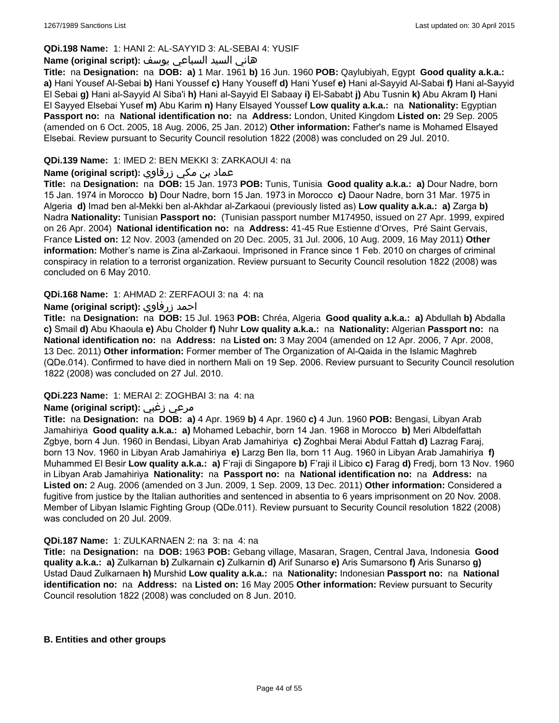## **QDi.198 Name:** 1: HANI 2: AL-SAYYID 3: AL-SEBAI 4: YUSIF

#### هاني السيد السباعي يوسف **:(script original (Name**

**Title:** na **Designation:** na **DOB: a)** 1 Mar. 1961 **b)** 16 Jun. 1960 **POB:** Qaylubiyah, Egypt **Good quality a.k.a.: a)** Hani Yousef Al-Sebai **b)** Hani Youssef **c)** Hany Youseff **d)** Hani Yusef **e)** Hani al-Sayyid Al-Sabai **f)** Hani al-Sayyid El Sebai **g)** Hani al-Sayyid Al Siba'i **h)** Hani al-Sayyid El Sabaay **i)** El-Sababt **j)** Abu Tusnin **k)** Abu Akram **l)** Hani El Sayyed Elsebai Yusef **m)** Abu Karim **n)** Hany Elsayed Youssef **Low quality a.k.a.:** na **Nationality:** Egyptian **Passport no:** na **National identification no:** na **Address:** London, United Kingdom **Listed on:** 29 Sep. 2005 (amended on 6 Oct. 2005, 18 Aug. 2006, 25 Jan. 2012) **Other information:** Father's name is Mohamed Elsayed Elsebai. Review pursuant to Security Council resolution 1822 (2008) was concluded on 29 Jul. 2010.

## **QDi.139 Name:** 1: IMED 2: BEN MEKKI 3: ZARKAOUI 4: na

## عماد بن مكي زرقاوي **:(script original (Name**

**Title:** na **Designation:** na **DOB:** 15 Jan. 1973 **POB:** Tunis, Tunisia **Good quality a.k.a.: a)** Dour Nadre, born 15 Jan. 1974 in Morocco **b)** Dour Nadre, born 15 Jan. 1973 in Morocco **c)** Daour Nadre, born 31 Mar. 1975 in Algeria **d)** Imad ben al-Mekki ben al-Akhdar al-Zarkaoui (previously listed as) **Low quality a.k.a.: a)** Zarga **b)** Nadra **Nationality:** Tunisian **Passport no:** (Tunisian passport number M174950, issued on 27 Apr. 1999, expired on 26 Apr. 2004) **National identification no:** na **Address:** 41-45 Rue Estienne d'Orves, Pré Saint Gervais, France **Listed on:** 12 Nov. 2003 (amended on 20 Dec. 2005, 31 Jul. 2006, 10 Aug. 2009, 16 May 2011) **Other information:** Mother's name is Zina al-Zarkaoui. Imprisoned in France since 1 Feb. 2010 on charges of criminal conspiracy in relation to a terrorist organization. Review pursuant to Security Council resolution 1822 (2008) was concluded on 6 May 2010.

### **QDi.168 Name:** 1: AHMAD 2: ZERFAOUI 3: na 4: na

### **Name (original script):** زرفاوي احمد

**Title:** na **Designation:** na **DOB:** 15 Jul. 1963 **POB:** Chréa, Algeria **Good quality a.k.a.: a)** Abdullah **b)** Abdalla **c)** Smail **d)** Abu Khaoula **e)** Abu Cholder **f)** Nuhr **Low quality a.k.a.:** na **Nationality:** Algerian **Passport no:** na **National identification no:** na **Address:** na **Listed on:** 3 May 2004 (amended on 12 Apr. 2006, 7 Apr. 2008, 13 Dec. 2011) **Other information:** Former member of The Organization of Al-Qaida in the Islamic Maghreb (QDe.014). Confirmed to have died in northern Mali on 19 Sep. 2006. Review pursuant to Security Council resolution 1822 (2008) was concluded on 27 Jul. 2010.

#### **QDi.223 Name:** 1: MERAI 2: ZOGHBAI 3: na 4: na

## **Name (original script):** زغبي مرعي

**Title:** na **Designation:** na **DOB: a)** 4 Apr. 1969 **b)** 4 Apr. 1960 **c)** 4 Jun. 1960 **POB:** Bengasi, Libyan Arab Jamahiriya **Good quality a.k.a.: a)** Mohamed Lebachir, born 14 Jan. 1968 in Morocco **b)** Meri Albdelfattah Zgbye, born 4 Jun. 1960 in Bendasi, Libyan Arab Jamahiriya **c)** Zoghbai Merai Abdul Fattah **d)** Lazrag Faraj, born 13 Nov. 1960 in Libyan Arab Jamahiriya **e)** Larzg Ben Ila, born 11 Aug. 1960 in Libyan Arab Jamahiriya **f)** Muhammed El Besir **Low quality a.k.a.: a)** F'raji di Singapore **b)** F'raji il Libico **c)** Farag **d)** Fredj, born 13 Nov. 1960 in Libyan Arab Jamahiriya **Nationality:** na **Passport no:** na **National identification no:** na **Address:** na **Listed on:** 2 Aug. 2006 (amended on 3 Jun. 2009, 1 Sep. 2009, 13 Dec. 2011) **Other information:** Considered a fugitive from justice by the Italian authorities and sentenced in absentia to 6 years imprisonment on 20 Nov. 2008. Member of Libyan Islamic Fighting Group (QDe.011). Review pursuant to Security Council resolution 1822 (2008) was concluded on 20 Jul. 2009.

#### **QDi.187 Name:** 1: ZULKARNAEN 2: na 3: na 4: na

**Title:** na **Designation:** na **DOB:** 1963 **POB:** Gebang village, Masaran, Sragen, Central Java, Indonesia **Good quality a.k.a.: a)** Zulkarnan **b)** Zulkarnain **c)** Zulkarnin **d)** Arif Sunarso **e)** Aris Sumarsono **f)** Aris Sunarso **g)** Ustad Daud Zulkarnaen **h)** Murshid **Low quality a.k.a.:** na **Nationality:** Indonesian **Passport no:** na **National identification no:** na **Address:** na **Listed on:** 16 May 2005 **Other information:** Review pursuant to Security Council resolution 1822 (2008) was concluded on 8 Jun. 2010.

#### **B. Entities and other groups**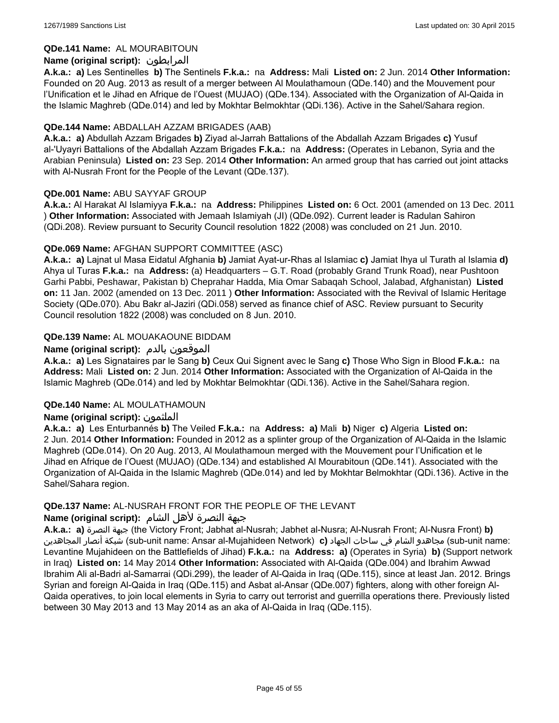## **QDe.141 Name:** AL MOURABITOUN

## **Name (original script):** المرابطون

**A.k.a.: a)** Les Sentinelles **b)** The Sentinels **F.k.a.:** na **Address:** Mali **Listed on:** 2 Jun. 2014 **Other Information:**  Founded on 20 Aug. 2013 as result of a merger between Al Moulathamoun (QDe.140) and the Mouvement pour l'Unification et le Jihad en Afrique de l'Ouest (MUJAO) (QDe.134). Associated with the Organization of Al-Qaida in the Islamic Maghreb (QDe.014) and led by Mokhtar Belmokhtar (QDi.136). Active in the Sahel/Sahara region.

### **QDe.144 Name:** ABDALLAH AZZAM BRIGADES (AAB)

**A.k.a.: a)** Abdullah Azzam Brigades **b)** Ziyad al-Jarrah Battalions of the Abdallah Azzam Brigades **c)** Yusuf al-'Uyayri Battalions of the Abdallah Azzam Brigades **F.k.a.:** na **Address:** (Operates in Lebanon, Syria and the Arabian Peninsula) **Listed on:** 23 Sep. 2014 **Other Information:** An armed group that has carried out joint attacks with Al-Nusrah Front for the People of the Levant (QDe.137).

### **QDe.001 Name:** ABU SAYYAF GROUP

**A.k.a.:** Al Harakat Al Islamiyya **F.k.a.:** na **Address:** Philippines **Listed on:** 6 Oct. 2001 (amended on 13 Dec. 2011 ) **Other Information:** Associated with Jemaah Islamiyah (JI) (QDe.092). Current leader is Radulan Sahiron (QDi.208). Review pursuant to Security Council resolution 1822 (2008) was concluded on 21 Jun. 2010.

### **QDe.069 Name:** AFGHAN SUPPORT COMMITTEE (ASC)

**A.k.a.: a)** Lajnat ul Masa Eidatul Afghania **b)** Jamiat Ayat-ur-Rhas al Islamiac **c)** Jamiat Ihya ul Turath al Islamia **d)** Ahya ul Turas **F.k.a.:** na **Address:** (a) Headquarters – G.T. Road (probably Grand Trunk Road), near Pushtoon Garhi Pabbi, Peshawar, Pakistan b) Cheprahar Hadda, Mia Omar Sabaqah School, Jalabad, Afghanistan) **Listed on:** 11 Jan. 2002 (amended on 13 Dec. 2011 ) **Other Information:** Associated with the Revival of Islamic Heritage Society (QDe.070). Abu Bakr al-Jaziri (QDi.058) served as finance chief of ASC. Review pursuant to Security Council resolution 1822 (2008) was concluded on 8 Jun. 2010.

### **QDe.139 Name:** AL MOUAKAOUNE BIDDAM

### **Name (original script):** بالدم الموقعون

**A.k.a.: a)** Les Signataires par le Sang **b)** Ceux Qui Signent avec le Sang **c)** Those Who Sign in Blood **F.k.a.:** na **Address:** Mali **Listed on:** 2 Jun. 2014 **Other Information:** Associated with the Organization of Al-Qaida in the Islamic Maghreb (QDe.014) and led by Mokhtar Belmokhtar (QDi.136). Active in the Sahel/Sahara region.

#### **QDe.140 Name:** AL MOULATHAMOUN

## **Name (original script):** الملثمون

**A.k.a.: a)** Les Enturbannés **b)** The Veiled **F.k.a.:** na **Address: a)** Mali **b)** Niger **c)** Algeria **Listed on:** 2 Jun. 2014 **Other Information:** Founded in 2012 as a splinter group of the Organization of Al-Qaida in the Islamic Maghreb (QDe.014). On 20 Aug. 2013, Al Moulathamoun merged with the Mouvement pour l'Unification et le Jihad en Afrique de l'Ouest (MUJAO) (QDe.134) and established Al Mourabitoun (QDe.141). Associated with the Organization of Al-Qaida in the Islamic Maghreb (QDe.014) and led by Mokhtar Belmokhtar (QDi.136). Active in the Sahel/Sahara region.

#### **QDe.137 Name:** AL-NUSRAH FRONT FOR THE PEOPLE OF THE LEVANT

#### جبهة النصرة لأهل الشام **:(script original (Name**

**A.k.a.: a)** النصرة جبهة) the Victory Front; Jabhat al-Nusrah; Jabhet al-Nusra; Al-Nusrah Front; Al-Nusra Front) **b)**  المجاهدين أنصار شبكة) sub-unit name: Ansar al-Mujahideen Network) **c)** الجهاد ساحات في الشام مجاهدو) sub-unit name: Levantine Mujahideen on the Battlefields of Jihad) **F.k.a.:** na **Address: a)** (Operates in Syria) **b)** (Support network in Iraq) **Listed on:** 14 May 2014 **Other Information:** Associated with Al-Qaida (QDe.004) and Ibrahim Awwad Ibrahim Ali al-Badri al-Samarrai (QDi.299), the leader of Al-Qaida in Iraq (QDe.115), since at least Jan. 2012. Brings Syrian and foreign Al-Qaida in Iraq (QDe.115) and Asbat al-Ansar (QDe.007) fighters, along with other foreign Al-Qaida operatives, to join local elements in Syria to carry out terrorist and guerrilla operations there. Previously listed between 30 May 2013 and 13 May 2014 as an aka of Al-Qaida in Iraq (QDe.115).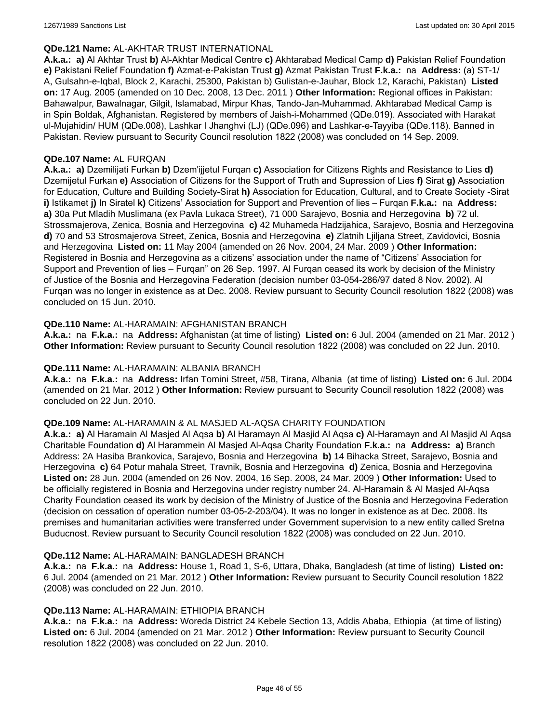#### **QDe.121 Name:** AL-AKHTAR TRUST INTERNATIONAL

**A.k.a.: a)** Al Akhtar Trust **b)** Al-Akhtar Medical Centre **c)** Akhtarabad Medical Camp **d)** Pakistan Relief Foundation **e)** Pakistani Relief Foundation **f)** Azmat-e-Pakistan Trust **g)** Azmat Pakistan Trust **F.k.a.:** na **Address:** (a) ST-1/ A, Gulsahn-e-Iqbal, Block 2, Karachi, 25300, Pakistan b) Gulistan-e-Jauhar, Block 12, Karachi, Pakistan) **Listed on:** 17 Aug. 2005 (amended on 10 Dec. 2008, 13 Dec. 2011 ) **Other Information:** Regional offices in Pakistan: Bahawalpur, Bawalnagar, Gilgit, Islamabad, Mirpur Khas, Tando-Jan-Muhammad. Akhtarabad Medical Camp is in Spin Boldak, Afghanistan. Registered by members of Jaish-i-Mohammed (QDe.019). Associated with Harakat ul-Mujahidin/ HUM (QDe.008), Lashkar I Jhanghvi (LJ) (QDe.096) and Lashkar-e-Tayyiba (QDe.118). Banned in Pakistan. Review pursuant to Security Council resolution 1822 (2008) was concluded on 14 Sep. 2009.

#### **QDe.107 Name:** AL FURQAN

**A.k.a.: a)** Dzemilijati Furkan **b)** Dzem'ijjetul Furqan **c)** Association for Citizens Rights and Resistance to Lies **d)** Dzemijetul Furkan **e)** Association of Citizens for the Support of Truth and Supression of Lies **f)** Sirat **g)** Association for Education, Culture and Building Society-Sirat **h)** Association for Education, Cultural, and to Create Society -Sirat **i)** Istikamet **j)** In Siratel **k)** Citizens' Association for Support and Prevention of lies – Furqan **F.k.a.:** na **Address: a)** 30a Put Mladih Muslimana (ex Pavla Lukaca Street), 71 000 Sarajevo, Bosnia and Herzegovina **b)** 72 ul. Strossmajerova, Zenica, Bosnia and Herzegovina **c)** 42 Muhameda Hadzijahica, Sarajevo, Bosnia and Herzegovina **d)** 70 and 53 Strosmajerova Street, Zenica, Bosnia and Herzegovina **e)** Zlatnih Ljiljana Street, Zavidovici, Bosnia and Herzegovina **Listed on:** 11 May 2004 (amended on 26 Nov. 2004, 24 Mar. 2009 ) **Other Information:** Registered in Bosnia and Herzegovina as a citizens' association under the name of "Citizens' Association for Support and Prevention of lies – Furqan" on 26 Sep. 1997. Al Furqan ceased its work by decision of the Ministry of Justice of the Bosnia and Herzegovina Federation (decision number 03-054-286/97 dated 8 Nov. 2002). Al Furqan was no longer in existence as at Dec. 2008. Review pursuant to Security Council resolution 1822 (2008) was concluded on 15 Jun. 2010.

### **QDe.110 Name:** AL-HARAMAIN: AFGHANISTAN BRANCH

**A.k.a.:** na **F.k.a.:** na **Address:** Afghanistan (at time of listing) **Listed on:** 6 Jul. 2004 (amended on 21 Mar. 2012 ) **Other Information:** Review pursuant to Security Council resolution 1822 (2008) was concluded on 22 Jun. 2010.

#### **QDe.111 Name:** AL-HARAMAIN: ALBANIA BRANCH

**A.k.a.:** na **F.k.a.:** na **Address:** Irfan Tomini Street, #58, Tirana, Albania (at time of listing) **Listed on:** 6 Jul. 2004 (amended on 21 Mar. 2012 ) **Other Information:** Review pursuant to Security Council resolution 1822 (2008) was concluded on 22 Jun. 2010.

#### **QDe.109 Name:** AL-HARAMAIN & AL MASJED AL-AQSA CHARITY FOUNDATION

**A.k.a.: a)** Al Haramain Al Masjed Al Aqsa **b)** Al Haramayn Al Masjid Al Aqsa **c)** Al-Haramayn and Al Masjid Al Aqsa Charitable Foundation **d)** Al Harammein Al Masjed Al-Aqsa Charity Foundation **F.k.a.:** na **Address: a)** Branch Address: 2A Hasiba Brankovica, Sarajevo, Bosnia and Herzegovina **b)** 14 Bihacka Street, Sarajevo, Bosnia and Herzegovina **c)** 64 Potur mahala Street, Travnik, Bosnia and Herzegovina **d)** Zenica, Bosnia and Herzegovina **Listed on:** 28 Jun. 2004 (amended on 26 Nov. 2004, 16 Sep. 2008, 24 Mar. 2009 ) **Other Information:** Used to be officially registered in Bosnia and Herzegovina under registry number 24. Al-Haramain & Al Masjed Al-Aqsa Charity Foundation ceased its work by decision of the Ministry of Justice of the Bosnia and Herzegovina Federation (decision on cessation of operation number 03-05-2-203/04). It was no longer in existence as at Dec. 2008. Its premises and humanitarian activities were transferred under Government supervision to a new entity called Sretna Buducnost. Review pursuant to Security Council resolution 1822 (2008) was concluded on 22 Jun. 2010.

#### **QDe.112 Name:** AL-HARAMAIN: BANGLADESH BRANCH

**A.k.a.:** na **F.k.a.:** na **Address:** House 1, Road 1, S-6, Uttara, Dhaka, Bangladesh (at time of listing) **Listed on:** 6 Jul. 2004 (amended on 21 Mar. 2012 ) **Other Information:** Review pursuant to Security Council resolution 1822 (2008) was concluded on 22 Jun. 2010.

#### **QDe.113 Name:** AL-HARAMAIN: ETHIOPIA BRANCH

**A.k.a.:** na **F.k.a.:** na **Address:** Woreda District 24 Kebele Section 13, Addis Ababa, Ethiopia (at time of listing) **Listed on:** 6 Jul. 2004 (amended on 21 Mar. 2012 ) **Other Information:** Review pursuant to Security Council resolution 1822 (2008) was concluded on 22 Jun. 2010.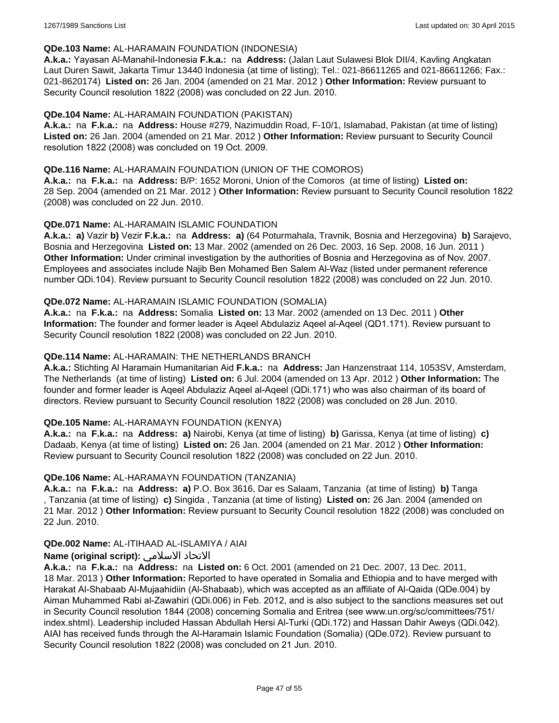#### **QDe.103 Name:** AL-HARAMAIN FOUNDATION (INDONESIA)

**A.k.a.:** Yayasan Al-Manahil-Indonesia **F.k.a.:** na **Address:** (Jalan Laut Sulawesi Blok DII/4, Kavling Angkatan Laut Duren Sawit, Jakarta Timur 13440 Indonesia (at time of listing); Tel.: 021-86611265 and 021-86611266; Fax.: 021-8620174) **Listed on:** 26 Jan. 2004 (amended on 21 Mar. 2012 ) **Other Information:** Review pursuant to Security Council resolution 1822 (2008) was concluded on 22 Jun. 2010.

### **QDe.104 Name:** AL-HARAMAIN FOUNDATION (PAKISTAN)

**A.k.a.:** na **F.k.a.:** na **Address:** House #279, Nazimuddin Road, F-10/1, Islamabad, Pakistan (at time of listing) **Listed on:** 26 Jan. 2004 (amended on 21 Mar. 2012 ) **Other Information:** Review pursuant to Security Council resolution 1822 (2008) was concluded on 19 Oct. 2009.

### **QDe.116 Name:** AL-HARAMAIN FOUNDATION (UNION OF THE COMOROS)

**A.k.a.:** na **F.k.a.:** na **Address:** B/P: 1652 Moroni, Union of the Comoros (at time of listing) **Listed on:** 28 Sep. 2004 (amended on 21 Mar. 2012 ) **Other Information:** Review pursuant to Security Council resolution 1822 (2008) was concluded on 22 Jun. 2010.

### **QDe.071 Name:** AL-HARAMAIN ISLAMIC FOUNDATION

**A.k.a.: a)** Vazir **b)** Vezir **F.k.a.:** na **Address: a)** (64 Poturmahala, Travnik, Bosnia and Herzegovina) **b)** Sarajevo, Bosnia and Herzegovina **Listed on:** 13 Mar. 2002 (amended on 26 Dec. 2003, 16 Sep. 2008, 16 Jun. 2011 ) **Other Information:** Under criminal investigation by the authorities of Bosnia and Herzegovina as of Nov. 2007. Employees and associates include Najib Ben Mohamed Ben Salem Al-Waz (listed under permanent reference number QDi.104). Review pursuant to Security Council resolution 1822 (2008) was concluded on 22 Jun. 2010.

### **QDe.072 Name:** AL-HARAMAIN ISLAMIC FOUNDATION (SOMALIA)

**A.k.a.:** na **F.k.a.:** na **Address:** Somalia **Listed on:** 13 Mar. 2002 (amended on 13 Dec. 2011 ) **Other Information:** The founder and former leader is Aqeel Abdulaziz Aqeel al-Aqeel (QD1.171). Review pursuant to Security Council resolution 1822 (2008) was concluded on 22 Jun. 2010.

### **QDe.114 Name:** AL-HARAMAIN: THE NETHERLANDS BRANCH

**A.k.a.:** Stichting Al Haramain Humanitarian Aid **F.k.a.:** na **Address:** Jan Hanzenstraat 114, 1053SV, Amsterdam, The Netherlands (at time of listing) **Listed on:** 6 Jul. 2004 (amended on 13 Apr. 2012 ) **Other Information:** The founder and former leader is Aqeel Abdulaziz Aqeel al-Aqeel (QDi.171) who was also chairman of its board of directors. Review pursuant to Security Council resolution 1822 (2008) was concluded on 28 Jun. 2010.

## **QDe.105 Name:** AL-HARAMAYN FOUNDATION (KENYA)

**A.k.a.:** na **F.k.a.:** na **Address: a)** Nairobi, Kenya (at time of listing) **b)** Garissa, Kenya (at time of listing) **c)** Dadaab, Kenya (at time of listing) **Listed on:** 26 Jan. 2004 (amended on 21 Mar. 2012 ) **Other Information:** Review pursuant to Security Council resolution 1822 (2008) was concluded on 22 Jun. 2010.

#### **QDe.106 Name:** AL-HARAMAYN FOUNDATION (TANZANIA)

**A.k.a.:** na **F.k.a.:** na **Address: a)** P.O. Box 3616, Dar es Salaam, Tanzania (at time of listing) **b)** Tanga , Tanzania (at time of listing) **c)** Singida , Tanzania (at time of listing) **Listed on:** 26 Jan. 2004 (amended on 21 Mar. 2012 ) **Other Information:** Review pursuant to Security Council resolution 1822 (2008) was concluded on 22 Jun. 2010.

#### **QDe.002 Name:** AL-ITIHAAD AL-ISLAMIYA / AIAI

## **Name (original script):** الاسلامي الاتحاد

**A.k.a.:** na **F.k.a.:** na **Address:** na **Listed on:** 6 Oct. 2001 (amended on 21 Dec. 2007, 13 Dec. 2011, 18 Mar. 2013 ) **Other Information:** Reported to have operated in Somalia and Ethiopia and to have merged with Harakat Al-Shabaab Al-Mujaahidiin (Al-Shabaab), which was accepted as an affiliate of Al-Qaida (QDe.004) by Aiman Muhammed Rabi al-Zawahiri (QDi.006) in Feb. 2012, and is also subject to the sanctions measures set out in Security Council resolution 1844 (2008) concerning Somalia and Eritrea (see www.un.org/sc/committees/751/ index.shtml). Leadership included Hassan Abdullah Hersi Al-Turki (QDi.172) and Hassan Dahir Aweys (QDi.042). AIAI has received funds through the Al-Haramain Islamic Foundation (Somalia) (QDe.072). Review pursuant to Security Council resolution 1822 (2008) was concluded on 21 Jun. 2010.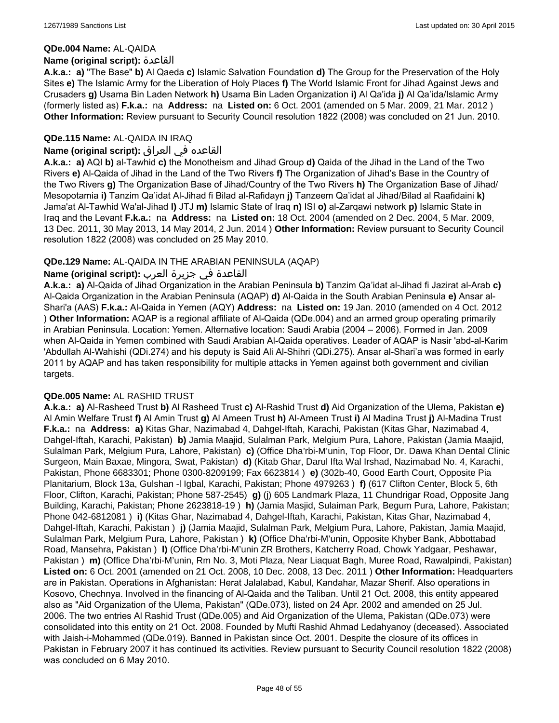#### **QDe.004 Name:** AL-QAIDA

#### **Name (original script):** القاعدة

**A.k.a.: a)** "The Base" **b)** Al Qaeda **c)** Islamic Salvation Foundation **d)** The Group for the Preservation of the Holy Sites **e)** The Islamic Army for the Liberation of Holy Places **f)** The World Islamic Front for Jihad Against Jews and Crusaders **g)** Usama Bin Laden Network **h)** Usama Bin Laden Organization **i)** Al Qa'ida **j)** Al Qa'ida/Islamic Army (formerly listed as) **F.k.a.:** na **Address:** na **Listed on:** 6 Oct. 2001 (amended on 5 Mar. 2009, 21 Mar. 2012 ) **Other Information:** Review pursuant to Security Council resolution 1822 (2008) was concluded on 21 Jun. 2010.

## **QDe.115 Name:** AL-QAIDA IN IRAQ

## القاعده في العراق **:(script original (Name**

**A.k.a.: a)** AQI **b)** al-Tawhid **c)** the Monotheism and Jihad Group **d)** Qaida of the Jihad in the Land of the Two Rivers **e)** Al-Qaida of Jihad in the Land of the Two Rivers **f)** The Organization of Jihad's Base in the Country of the Two Rivers **g)** The Organization Base of Jihad/Country of the Two Rivers **h)** The Organization Base of Jihad/ Mesopotamia **i)** Tanzim Qa'idat Al-Jihad fi Bilad al-Rafidayn **j)** Tanzeem Qa'idat al Jihad/Bilad al Raafidaini **k)** Jama'at Al-Tawhid Wa'al-Jihad **l)** JTJ **m)** Islamic State of Iraq **n)** ISI **o)** al-Zarqawi network **p)** Islamic State in Iraq and the Levant **F.k.a.:** na **Address:** na **Listed on:** 18 Oct. 2004 (amended on 2 Dec. 2004, 5 Mar. 2009, 13 Dec. 2011, 30 May 2013, 14 May 2014, 2 Jun. 2014 ) **Other Information:** Review pursuant to Security Council resolution 1822 (2008) was concluded on 25 May 2010.

### **QDe.129 Name:** AL-QAIDA IN THE ARABIAN PENINSULA (AQAP)

## القاعدة في جزيرة العرب **:(script original (Name**

**A.k.a.: a)** Al-Qaida of Jihad Organization in the Arabian Peninsula **b)** Tanzim Qa'idat al-Jihad fi Jazirat al-Arab **c)** Al-Qaida Organization in the Arabian Peninsula (AQAP) **d)** Al-Qaida in the South Arabian Peninsula **e)** Ansar al-Shari'a (AAS) **F.k.a.:** Al-Qaida in Yemen (AQY) **Address:** na **Listed on:** 19 Jan. 2010 (amended on 4 Oct. 2012 ) **Other Information:** AQAP is a regional affiliate of Al-Qaida (QDe.004) and an armed group operating primarily in Arabian Peninsula. Location: Yemen. Alternative location: Saudi Arabia (2004 – 2006). Formed in Jan. 2009 when Al-Qaida in Yemen combined with Saudi Arabian Al-Qaida operatives. Leader of AQAP is Nasir 'abd-al-Karim 'Abdullah Al-Wahishi (QDi.274) and his deputy is Said Ali Al-Shihri (QDi.275). Ansar al-Shari'a was formed in early 2011 by AQAP and has taken responsibility for multiple attacks in Yemen against both government and civilian targets.

#### **QDe.005 Name:** AL RASHID TRUST

**A.k.a.: a)** Al-Rasheed Trust **b)** Al Rasheed Trust **c)** Al-Rashid Trust **d)** Aid Organization of the Ulema, Pakistan **e)** Al Amin Welfare Trust **f)** Al Amin Trust **g)** Al Ameen Trust **h)** Al-Ameen Trust **i)** Al Madina Trust **j)** Al-Madina Trust **F.k.a.:** na **Address: a)** Kitas Ghar, Nazimabad 4, Dahgel-Iftah, Karachi, Pakistan (Kitas Ghar, Nazimabad 4, Dahgel-Iftah, Karachi, Pakistan) **b)** Jamia Maajid, Sulalman Park, Melgium Pura, Lahore, Pakistan (Jamia Maajid, Sulalman Park, Melgium Pura, Lahore, Pakistan) **c)** (Office Dha'rbi-M'unin, Top Floor, Dr. Dawa Khan Dental Clinic Surgeon, Main Baxae, Mingora, Swat, Pakistan) **d)** (Kitab Ghar, Darul Ifta Wal Irshad, Nazimabad No. 4, Karachi, Pakistan, Phone 6683301; Phone 0300-8209199; Fax 6623814 ) **e)** (302b-40, Good Earth Court, Opposite Pia Planitarium, Block 13a, Gulshan -l Igbal, Karachi, Pakistan; Phone 4979263 ) **f)** (617 Clifton Center, Block 5, 6th Floor, Clifton, Karachi, Pakistan; Phone 587-2545) **g)** (j) 605 Landmark Plaza, 11 Chundrigar Road, Opposite Jang Building, Karachi, Pakistan; Phone 2623818-19 ) **h)** (Jamia Masjid, Sulaiman Park, Begum Pura, Lahore, Pakistan; Phone 042-6812081 ) **i)** (Kitas Ghar, Nazimabad 4, Dahgel-Iftah, Karachi, Pakistan, Kitas Ghar, Nazimabad 4, Dahgel-Iftah, Karachi, Pakistan ) **j)** (Jamia Maajid, Sulalman Park, Melgium Pura, Lahore, Pakistan, Jamia Maajid, Sulalman Park, Melgium Pura, Lahore, Pakistan ) **k)** (Office Dha'rbi-M'unin, Opposite Khyber Bank, Abbottabad Road, Mansehra, Pakistan ) **l)** (Office Dha'rbi-M'unin ZR Brothers, Katcherry Road, Chowk Yadgaar, Peshawar, Pakistan ) **m)** (Office Dha'rbi-M'unin, Rm No. 3, Moti Plaza, Near Liaquat Bagh, Muree Road, Rawalpindi, Pakistan) **Listed on:** 6 Oct. 2001 (amended on 21 Oct. 2008, 10 Dec. 2008, 13 Dec. 2011 ) **Other Information:** Headquarters are in Pakistan. Operations in Afghanistan: Herat Jalalabad, Kabul, Kandahar, Mazar Sherif. Also operations in Kosovo, Chechnya. Involved in the financing of Al-Qaida and the Taliban. Until 21 Oct. 2008, this entity appeared also as "Aid Organization of the Ulema, Pakistan" (QDe.073), listed on 24 Apr. 2002 and amended on 25 Jul. 2006. The two entries Al Rashid Trust (QDe.005) and Aid Organization of the Ulema, Pakistan (QDe.073) were consolidated into this entity on 21 Oct. 2008. Founded by Mufti Rashid Ahmad Ledahyanoy (deceased). Associated with Jaish-i-Mohammed (QDe.019). Banned in Pakistan since Oct. 2001. Despite the closure of its offices in Pakistan in February 2007 it has continued its activities. Review pursuant to Security Council resolution 1822 (2008) was concluded on 6 May 2010.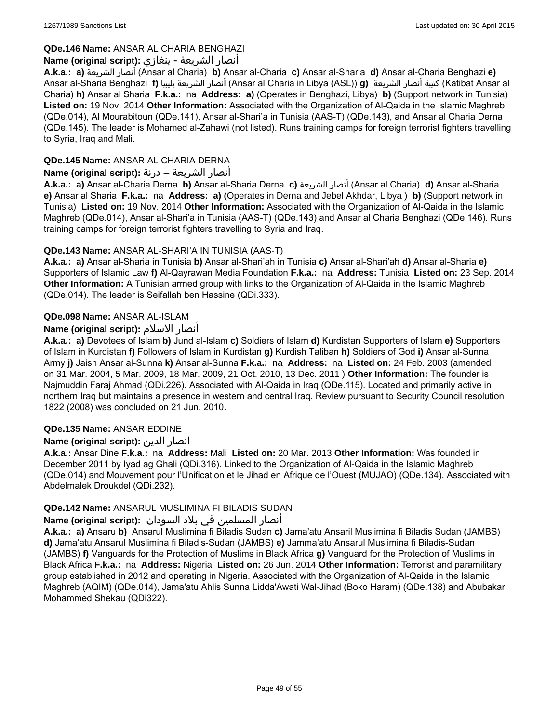## **QDe.146 Name:** ANSAR AL CHARIA BENGHAZI

## أنصار الشريعة - بنغازي **:(script original (Name**

**A.k.a.: a)** الشريعة أنصار) Ansar al Charia) **b)** Ansar al-Charia **c)** Ansar al-Sharia **d)** Ansar al-Charia Benghazi **e)** Ansar al-Sharia Benghazi **f)** بليبيا الشريعة أنصار) Ansar al Charia in Libya (ASL)) **g)** الشريعة أنصار كتيبة) Katibat Ansar al Charia) **h)** Ansar al Sharia **F.k.a.:** na **Address: a)** (Operates in Benghazi, Libya) **b)** (Support network in Tunisia) **Listed on:** 19 Nov. 2014 **Other Information:** Associated with the Organization of Al-Qaida in the Islamic Maghreb (QDe.014), Al Mourabitoun (QDe.141), Ansar al-Shari'a in Tunisia (AAS-T) (QDe.143), and Ansar al Charia Derna (QDe.145). The leader is Mohamed al-Zahawi (not listed). Runs training camps for foreign terrorist fighters travelling to Syria, Iraq and Mali.

## **QDe.145 Name:** ANSAR AL CHARIA DERNA

## أنصار الشريعة – درنة **:(script original (Name**

**A.k.a.: a)** Ansar al-Charia Derna **b)** Ansar al-Sharia Derna **c)** الشريعة أنصار) Ansar al Charia) **d)** Ansar al-Sharia **e)** Ansar al Sharia **F.k.a.:** na **Address: a)** (Operates in Derna and Jebel Akhdar, Libya ) **b)** (Support network in Tunisia) **Listed on:** 19 Nov. 2014 **Other Information:** Associated with the Organization of Al-Qaida in the Islamic Maghreb (QDe.014), Ansar al-Shari'a in Tunisia (AAS-T) (QDe.143) and Ansar al Charia Benghazi (QDe.146). Runs training camps for foreign terrorist fighters travelling to Syria and Iraq.

## **QDe.143 Name:** ANSAR AL-SHARI'A IN TUNISIA (AAS-T)

**A.k.a.: a)** Ansar al-Sharia in Tunisia **b)** Ansar al-Shari'ah in Tunisia **c)** Ansar al-Shari'ah **d)** Ansar al-Sharia **e)** Supporters of Islamic Law **f)** Al-Qayrawan Media Foundation **F.k.a.:** na **Address:** Tunisia **Listed on:** 23 Sep. 2014 **Other Information:** A Tunisian armed group with links to the Organization of Al-Qaida in the Islamic Maghreb (QDe.014). The leader is Seifallah ben Hassine (QDi.333).

## **QDe.098 Name:** ANSAR AL-ISLAM

## **Name (original script):** الاسلام أنصار

**A.k.a.: a)** Devotees of Islam **b)** Jund al-Islam **c)** Soldiers of Islam **d)** Kurdistan Supporters of Islam **e)** Supporters of Islam in Kurdistan **f)** Followers of Islam in Kurdistan **g)** Kurdish Taliban **h)** Soldiers of God **i)** Ansar al-Sunna Army **j)** Jaish Ansar al-Sunna **k)** Ansar al-Sunna **F.k.a.:** na **Address:** na **Listed on:** 24 Feb. 2003 (amended on 31 Mar. 2004, 5 Mar. 2009, 18 Mar. 2009, 21 Oct. 2010, 13 Dec. 2011 ) **Other Information:** The founder is Najmuddin Faraj Ahmad (QDi.226). Associated with Al-Qaida in Iraq (QDe.115). Located and primarily active in northern Iraq but maintains a presence in western and central Iraq. Review pursuant to Security Council resolution 1822 (2008) was concluded on 21 Jun. 2010.

## **QDe.135 Name:** ANSAR EDDINE

## **Name (original script):** الدين انصار

**A.k.a.:** Ansar Dine **F.k.a.:** na **Address:** Mali **Listed on:** 20 Mar. 2013 **Other Information:** Was founded in December 2011 by Iyad ag Ghali (QDi.316). Linked to the Organization of Al-Qaida in the Islamic Maghreb (QDe.014) and Mouvement pour l'Unification et le Jihad en Afrique de l'Ouest (MUJAO) (QDe.134). Associated with Abdelmalek Droukdel (QDi.232).

## **QDe.142 Name:** ANSARUL MUSLIMINA FI BILADIS SUDAN

## أنصار المسلمین في بلاد السودان **:(script original (Name**

**A.k.a.: a)** Ansaru **b)** Ansarul Muslimina fi Biladis Sudan **c)** Jama'atu Ansaril Muslimina fi Biladis Sudan (JAMBS) **d)** Jama'atu Ansarul Muslimina fi Biladis-Sudan (JAMBS) **e)** Jamma'atu Ansarul Muslimina fi Biladis-Sudan (JAMBS) **f)** Vanguards for the Protection of Muslims in Black Africa **g)** Vanguard for the Protection of Muslims in Black Africa **F.k.a.:** na **Address:** Nigeria **Listed on:** 26 Jun. 2014 **Other Information:** Terrorist and paramilitary group established in 2012 and operating in Nigeria. Associated with the Organization of Al-Qaida in the Islamic Maghreb (AQIM) (QDe.014), Jama'atu Ahlis Sunna Lidda'Awati Wal-Jihad (Boko Haram) (QDe.138) and Abubakar Mohammed Shekau (QDi322).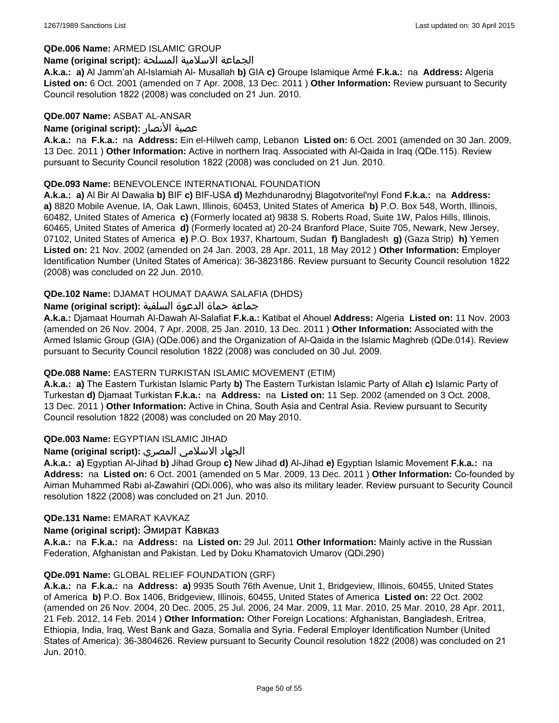#### **QDe.006 Name:** ARMED ISLAMIC GROUP

#### الجماعة الاسلامية المسلحة **:(script original (Name**

**A.k.a.: a)** Al Jamm'ah Al-Islamiah Al- Musallah **b)** GIA **c)** Groupe Islamique Armé **F.k.a.:** na **Address:** Algeria **Listed on:** 6 Oct. 2001 (amended on 7 Apr. 2008, 13 Dec. 2011 ) **Other Information:** Review pursuant to Security Council resolution 1822 (2008) was concluded on 21 Jun. 2010.

#### **QDe.007 Name:** ASBAT AL-ANSAR

### **Name (original script):** الأنصار عصبة

**A.k.a.:** na **F.k.a.:** na **Address:** Ein el-Hilweh camp, Lebanon **Listed on:** 6 Oct. 2001 (amended on 30 Jan. 2009, 13 Dec. 2011 ) **Other Information:** Active in northern Iraq. Associated with Al-Qaida in Iraq (QDe.115). Review pursuant to Security Council resolution 1822 (2008) was concluded on 21 Jun. 2010.

### **QDe.093 Name:** BENEVOLENCE INTERNATIONAL FOUNDATION

**A.k.a.: a)** Al Bir Al Dawalia **b)** BIF **c)** BIF-USA **d)** Mezhdunarodnyj Blagotvoritel'nyl Fond **F.k.a.:** na **Address: a)** 8820 Mobile Avenue, IA, Oak Lawn, Illinois, 60453, United States of America **b)** P.O. Box 548, Worth, Illinois, 60482, United States of America **c)** (Formerly located at) 9838 S. Roberts Road, Suite 1W, Palos Hills, Illinois, 60465, United States of America **d)** (Formerly located at) 20-24 Branford Place, Suite 705, Newark, New Jersey, 07102, United States of America **e)** P.O. Box 1937, Khartoum, Sudan **f)** Bangladesh **g)** (Gaza Strip) **h)** Yemen **Listed on:** 21 Nov. 2002 (amended on 24 Jan. 2003, 28 Apr. 2011, 18 May 2012 ) **Other Information:** Employer Identification Number (United States of America): 36-3823186. Review pursuant to Security Council resolution 1822 (2008) was concluded on 22 Jun. 2010.

### **QDe.102 Name:** DJAMAT HOUMAT DAAWA SALAFIA (DHDS)

### جماعة حماة الدعوة السلفية **:(script original (Name**

**A.k.a.:** Djamaat Houmah Al-Dawah Al-Salafiat **F.k.a.:** Katibat el Ahouel **Address:** Algeria **Listed on:** 11 Nov. 2003 (amended on 26 Nov. 2004, 7 Apr. 2008, 25 Jan. 2010, 13 Dec. 2011 ) **Other Information:** Associated with the Armed Islamic Group (GIA) (QDe.006) and the Organization of Al-Qaida in the Islamic Maghreb (QDe.014). Review pursuant to Security Council resolution 1822 (2008) was concluded on 30 Jul. 2009.

## **QDe.088 Name:** EASTERN TURKISTAN ISLAMIC MOVEMENT (ETIM)

**A.k.a.: a)** The Eastern Turkistan Islamic Party **b)** The Eastern Turkistan Islamic Party of Allah **c)** Islamic Party of Turkestan **d)** Djamaat Turkistan **F.k.a.:** na **Address:** na **Listed on:** 11 Sep. 2002 (amended on 3 Oct. 2008, 13 Dec. 2011 ) **Other Information:** Active in China, South Asia and Central Asia. Review pursuant to Security Council resolution 1822 (2008) was concluded on 20 May 2010.

## **QDe.003 Name:** EGYPTIAN ISLAMIC JIHAD

## الجهاد الاسلامي المصري **:(script original (Name**

**A.k.a.: a)** Egyptian Al-Jihad **b)** Jihad Group **c)** New Jihad **d)** Al-Jihad **e)** Egyptian Islamic Movement **F.k.a.:** na **Address:** na **Listed on:** 6 Oct. 2001 (amended on 5 Mar. 2009, 13 Dec. 2011 ) **Other Information:** Co-founded by Aiman Muhammed Rabi al-Zawahiri (QDi.006), who was also its military leader. Review pursuant to Security Council resolution 1822 (2008) was concluded on 21 Jun. 2010.

#### **QDe.131 Name:** EMARAT KAVKAZ

#### **Name (original script):** Эмират Кавказ

**A.k.a.:** na **F.k.a.:** na **Address:** na **Listed on:** 29 Jul. 2011 **Other Information:** Mainly active in the Russian Federation, Afghanistan and Pakistan. Led by Doku Khamatovich Umarov (QDi.290)

#### **QDe.091 Name:** GLOBAL RELIEF FOUNDATION (GRF)

**A.k.a.:** na **F.k.a.:** na **Address: a)** 9935 South 76th Avenue, Unit 1, Bridgeview, Illinois, 60455, United States of America **b)** P.O. Box 1406, Bridgeview, Illinois, 60455, United States of America **Listed on:** 22 Oct. 2002 (amended on 26 Nov. 2004, 20 Dec. 2005, 25 Jul. 2006, 24 Mar. 2009, 11 Mar. 2010, 25 Mar. 2010, 28 Apr. 2011, 21 Feb. 2012, 14 Feb. 2014 ) **Other Information:** Other Foreign Locations: Afghanistan, Bangladesh, Eritrea, Ethiopia, India, Iraq, West Bank and Gaza, Somalia and Syria. Federal Employer Identification Number (United States of America): 36-3804626. Review pursuant to Security Council resolution 1822 (2008) was concluded on 21 Jun. 2010.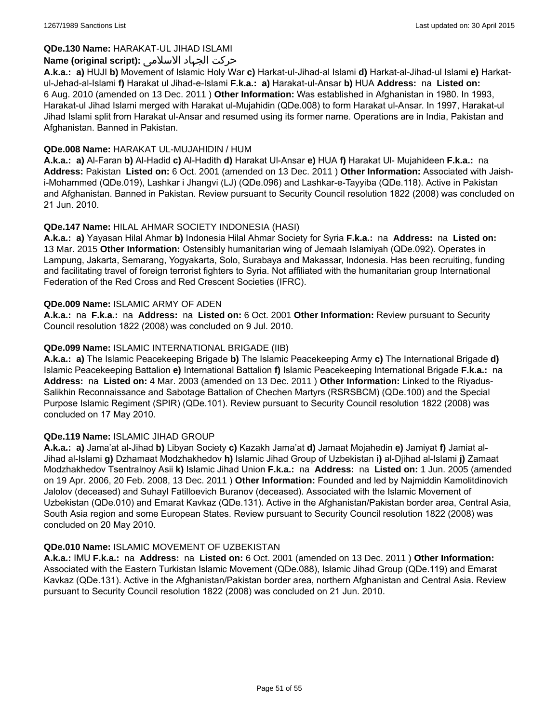## **QDe.130 Name:** HARAKAT-UL JIHAD ISLAMI

## حرکت الجہاد الاسلامی **:(script original (Name**

**A.k.a.: a)** HUJI **b)** Movement of Islamic Holy War **c)** Harkat-ul-Jihad-al Islami **d)** Harkat-al-Jihad-ul Islami **e)** Harkatul-Jehad-al-Islami **f)** Harakat ul Jihad-e-Islami **F.k.a.: a)** Harakat-ul-Ansar **b)** HUA **Address:** na **Listed on:** 6 Aug. 2010 (amended on 13 Dec. 2011 ) **Other Information:** Was established in Afghanistan in 1980. In 1993, Harakat-ul Jihad Islami merged with Harakat ul-Mujahidin (QDe.008) to form Harakat ul-Ansar. In 1997, Harakat-ul Jihad Islami split from Harakat ul-Ansar and resumed using its former name. Operations are in India, Pakistan and Afghanistan. Banned in Pakistan.

### **QDe.008 Name:** HARAKAT UL-MUJAHIDIN / HUM

**A.k.a.: a)** Al-Faran **b)** Al-Hadid **c)** Al-Hadith **d)** Harakat Ul-Ansar **e)** HUA **f)** Harakat Ul- Mujahideen **F.k.a.:** na **Address:** Pakistan **Listed on:** 6 Oct. 2001 (amended on 13 Dec. 2011 ) **Other Information:** Associated with Jaishi-Mohammed (QDe.019), Lashkar i Jhangvi (LJ) (QDe.096) and Lashkar-e-Tayyiba (QDe.118). Active in Pakistan and Afghanistan. Banned in Pakistan. Review pursuant to Security Council resolution 1822 (2008) was concluded on 21 Jun. 2010.

## **QDe.147 Name:** HILAL AHMAR SOCIETY INDONESIA (HASI)

**A.k.a.: a)** Yayasan Hilal Ahmar **b)** Indonesia Hilal Ahmar Society for Syria **F.k.a.:** na **Address:** na **Listed on:** 13 Mar. 2015 **Other Information:** Ostensibly humanitarian wing of Jemaah Islamiyah (QDe.092). Operates in Lampung, Jakarta, Semarang, Yogyakarta, Solo, Surabaya and Makassar, Indonesia. Has been recruiting, funding and facilitating travel of foreign terrorist fighters to Syria. Not affiliated with the humanitarian group International Federation of the Red Cross and Red Crescent Societies (IFRC).

#### **QDe.009 Name:** ISLAMIC ARMY OF ADEN

**A.k.a.:** na **F.k.a.:** na **Address:** na **Listed on:** 6 Oct. 2001 **Other Information:** Review pursuant to Security Council resolution 1822 (2008) was concluded on 9 Jul. 2010.

### **QDe.099 Name:** ISLAMIC INTERNATIONAL BRIGADE (IIB)

**A.k.a.: a)** The Islamic Peacekeeping Brigade **b)** The Islamic Peacekeeping Army **c)** The International Brigade **d)** Islamic Peacekeeping Battalion **e)** International Battalion **f)** Islamic Peacekeeping International Brigade **F.k.a.:** na **Address:** na **Listed on:** 4 Mar. 2003 (amended on 13 Dec. 2011 ) **Other Information:** Linked to the Riyadus-Salikhin Reconnaissance and Sabotage Battalion of Chechen Martyrs (RSRSBCM) (QDe.100) and the Special Purpose Islamic Regiment (SPIR) (QDe.101). Review pursuant to Security Council resolution 1822 (2008) was concluded on 17 May 2010.

#### **QDe.119 Name:** ISLAMIC JIHAD GROUP

**A.k.a.: a)** Jama'at al-Jihad **b)** Libyan Society **c)** Kazakh Jama'at **d)** Jamaat Mojahedin **e)** Jamiyat **f)** Jamiat al-Jihad al-Islami **g)** Dzhamaat Modzhakhedov **h)** Islamic Jihad Group of Uzbekistan **i)** al-Djihad al-Islami **j)** Zamaat Modzhakhedov Tsentralnoy Asii **k)** Islamic Jihad Union **F.k.a.:** na **Address:** na **Listed on:** 1 Jun. 2005 (amended on 19 Apr. 2006, 20 Feb. 2008, 13 Dec. 2011 ) **Other Information:** Founded and led by Najmiddin Kamolitdinovich Jalolov (deceased) and Suhayl Fatilloevich Buranov (deceased). Associated with the Islamic Movement of Uzbekistan (QDe.010) and Emarat Kavkaz (QDe.131). Active in the Afghanistan/Pakistan border area, Central Asia, South Asia region and some European States. Review pursuant to Security Council resolution 1822 (2008) was concluded on 20 May 2010.

#### **QDe.010 Name:** ISLAMIC MOVEMENT OF UZBEKISTAN

**A.k.a.:** IMU **F.k.a.:** na **Address:** na **Listed on:** 6 Oct. 2001 (amended on 13 Dec. 2011 ) **Other Information:** Associated with the Eastern Turkistan Islamic Movement (QDe.088), Islamic Jihad Group (QDe.119) and Emarat Kavkaz (QDe.131). Active in the Afghanistan/Pakistan border area, northern Afghanistan and Central Asia. Review pursuant to Security Council resolution 1822 (2008) was concluded on 21 Jun. 2010.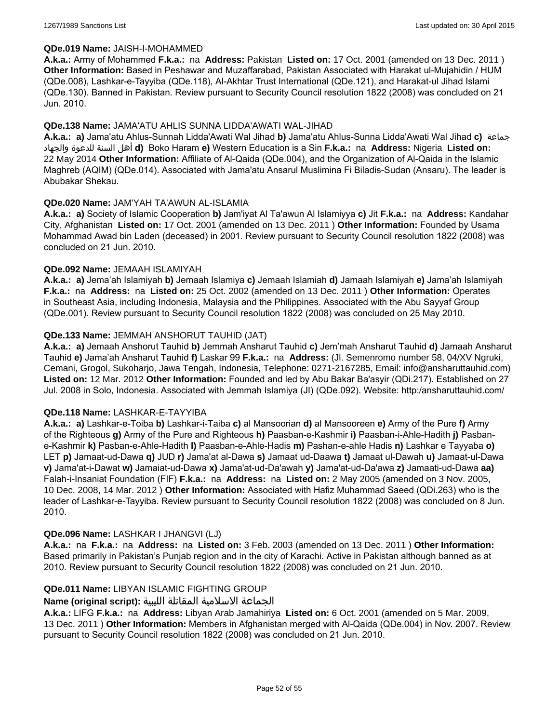#### **QDe.019 Name:** JAISH-I-MOHAMMED

**A.k.a.:** Army of Mohammed **F.k.a.:** na **Address:** Pakistan **Listed on:** 17 Oct. 2001 (amended on 13 Dec. 2011 ) **Other Information:** Based in Peshawar and Muzaffarabad, Pakistan Associated with Harakat ul-Mujahidin / HUM (QDe.008), Lashkar-e-Tayyiba (QDe.118), Al-Akhtar Trust International (QDe.121), and Harakat-ul Jihad Islami (QDe.130). Banned in Pakistan. Review pursuant to Security Council resolution 1822 (2008) was concluded on 21 Jun. 2010.

### **QDe.138 Name:** JAMA'ATU AHLIS SUNNA LIDDA'AWATI WAL-JIHAD

**A.k.a.: a)** Jama'atu Ahlus-Sunnah Lidda'Awati Wal Jihad **b)** Jama'atu Ahlus-Sunna Lidda'Awati Wal Jihad **c)** جماعة والجهاد للدعوة السنة أهل **d)** Boko Haram **e)** Western Education is a Sin **F.k.a.:** na **Address:** Nigeria **Listed on:** 22 May 2014 **Other Information:** Affiliate of Al-Qaida (QDe.004), and the Organization of Al-Qaida in the Islamic Maghreb (AQIM) (QDe.014). Associated with Jama'atu Ansarul Muslimina Fi Biladis-Sudan (Ansaru). The leader is Abubakar Shekau.

### **QDe.020 Name:** JAM'YAH TA'AWUN AL-ISLAMIA

**A.k.a.: a)** Society of Islamic Cooperation **b)** Jam'iyat Al Ta'awun Al Islamiyya **c)** Jit **F.k.a.:** na **Address:** Kandahar City, Afghanistan **Listed on:** 17 Oct. 2001 (amended on 13 Dec. 2011 ) **Other Information:** Founded by Usama Mohammad Awad bin Laden (deceased) in 2001. Review pursuant to Security Council resolution 1822 (2008) was concluded on 21 Jun. 2010.

### **QDe.092 Name:** JEMAAH ISLAMIYAH

**A.k.a.: a)** Jema'ah Islamiyah **b)** Jemaah Islamiya **c)** Jemaah Islamiah **d)** Jamaah Islamiyah **e)** Jama'ah Islamiyah **F.k.a.:** na **Address:** na **Listed on:** 25 Oct. 2002 (amended on 13 Dec. 2011 ) **Other Information:** Operates in Southeast Asia, including Indonesia, Malaysia and the Philippines. Associated with the Abu Sayyaf Group (QDe.001). Review pursuant to Security Council resolution 1822 (2008) was concluded on 25 May 2010.

### **QDe.133 Name:** JEMMAH ANSHORUT TAUHID (JAT)

**A.k.a.: a)** Jemaah Anshorut Tauhid **b)** Jemmah Ansharut Tauhid **c)** Jem'mah Ansharut Tauhid **d)** Jamaah Ansharut Tauhid **e)** Jama'ah Ansharut Tauhid **f)** Laskar 99 **F.k.a.:** na **Address:** (Jl. Semenromo number 58, 04/XV Ngruki, Cemani, Grogol, Sukoharjo, Jawa Tengah, Indonesia, Telephone: 0271-2167285, Email: info@ansharuttauhid.com) **Listed on:** 12 Mar. 2012 **Other Information:** Founded and led by Abu Bakar Ba'asyir (QDi.217). Established on 27 Jul. 2008 in Solo, Indonesia. Associated with Jemmah Islamiya (JI) (QDe.092). Website: http:/ansharuttauhid.com/

#### **QDe.118 Name:** LASHKAR-E-TAYYIBA

**A.k.a.: a)** Lashkar-e-Toiba **b)** Lashkar-i-Taiba **c)** al Mansoorian **d)** al Mansooreen **e)** Army of the Pure **f)** Army of the Righteous **g)** Army of the Pure and Righteous **h)** Paasban-e-Kashmir **i)** Paasban-i-Ahle-Hadith **j)** Pasbane-Kashmir **k)** Pasban-e-Ahle-Hadith **l)** Paasban-e-Ahle-Hadis **m)** Pashan-e-ahle Hadis **n)** Lashkar e Tayyaba **o)** LET **p)** Jamaat-ud-Dawa **q)** JUD **r)** Jama'at al-Dawa **s)** Jamaat ud-Daawa **t)** Jamaat ul-Dawah **u)** Jamaat-ul-Dawa **v)** Jama'at-i-Dawat **w)** Jamaiat-ud-Dawa **x)** Jama'at-ud-Da'awah **y)** Jama'at-ud-Da'awa **z)** Jamaati-ud-Dawa **aa)** Falah-i-Insaniat Foundation (FIF) **F.k.a.:** na **Address:** na **Listed on:** 2 May 2005 (amended on 3 Nov. 2005, 10 Dec. 2008, 14 Mar. 2012 ) **Other Information:** Associated with Hafiz Muhammad Saeed (QDi.263) who is the leader of Lashkar-e-Tayyiba. Review pursuant to Security Council resolution 1822 (2008) was concluded on 8 Jun. 2010.

#### **QDe.096 Name:** LASHKAR I JHANGVI (LJ)

**A.k.a.:** na **F.k.a.:** na **Address:** na **Listed on:** 3 Feb. 2003 (amended on 13 Dec. 2011 ) **Other Information:** Based primarily in Pakistan's Punjab region and in the city of Karachi. Active in Pakistan although banned as at 2010. Review pursuant to Security Council resolution 1822 (2008) was concluded on 21 Jun. 2010.

## **QDe.011 Name:** LIBYAN ISLAMIC FIGHTING GROUP

## الجماعة الاسلامية المقاتلة الليبية **:(script original (Name**

**A.k.a.:** LIFG **F.k.a.:** na **Address:** Libyan Arab Jamahiriya **Listed on:** 6 Oct. 2001 (amended on 5 Mar. 2009, 13 Dec. 2011 ) **Other Information:** Members in Afghanistan merged with Al-Qaida (QDe.004) in Nov. 2007. Review pursuant to Security Council resolution 1822 (2008) was concluded on 21 Jun. 2010.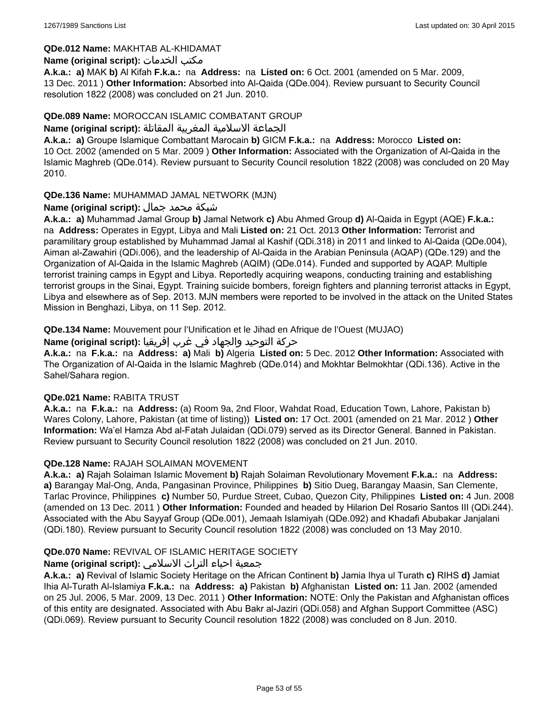### **QDe.012 Name:** MAKHTAB AL-KHIDAMAT

### **Name (original script):** الخدمات مكتب

**A.k.a.: a)** MAK **b)** Al Kifah **F.k.a.:** na **Address:** na **Listed on:** 6 Oct. 2001 (amended on 5 Mar. 2009, 13 Dec. 2011 ) **Other Information:** Absorbed into Al-Qaida (QDe.004). Review pursuant to Security Council resolution 1822 (2008) was concluded on 21 Jun. 2010.

### **QDe.089 Name:** MOROCCAN ISLAMIC COMBATANT GROUP

#### الجماعة الاسلامية المغربية المقاتلة **:(script original (Name**

**A.k.a.: a)** Groupe Islamique Combattant Marocain **b)** GICM **F.k.a.:** na **Address:** Morocco **Listed on:** 10 Oct. 2002 (amended on 5 Mar. 2009 ) **Other Information:** Associated with the Organization of Al-Qaida in the Islamic Maghreb (QDe.014). Review pursuant to Security Council resolution 1822 (2008) was concluded on 20 May 2010.

## **QDe.136 Name:** MUHAMMAD JAMAL NETWORK (MJN)

## شبكة محمد جمال **:(script original (Name**

**A.k.a.: a)** Muhammad Jamal Group **b)** Jamal Network **c)** Abu Ahmed Group **d)** Al-Qaida in Egypt (AQE) **F.k.a.:**  na **Address:** Operates in Egypt, Libya and Mali **Listed on:** 21 Oct. 2013 **Other Information:** Terrorist and paramilitary group established by Muhammad Jamal al Kashif (QDi.318) in 2011 and linked to Al-Qaida (QDe.004), Aiman al-Zawahiri (QDi.006), and the leadership of Al-Qaida in the Arabian Peninsula (AQAP) (QDe.129) and the Organization of Al-Qaida in the Islamic Maghreb (AQIM) (QDe.014). Funded and supported by AQAP. Multiple terrorist training camps in Egypt and Libya. Reportedly acquiring weapons, conducting training and establishing terrorist groups in the Sinai, Egypt. Training suicide bombers, foreign fighters and planning terrorist attacks in Egypt, Libya and elsewhere as of Sep. 2013. MJN members were reported to be involved in the attack on the United States Mission in Benghazi, Libya, on 11 Sep. 2012.

**QDe.134 Name:** Mouvement pour l'Unification et le Jihad en Afrique de l'Ouest (MUJAO)

## حركة التوحيد والجهاد في غرب إفريقيا **:Name (original script)**

**A.k.a.:** na **F.k.a.:** na **Address: a)** Mali **b)** Algeria **Listed on:** 5 Dec. 2012 **Other Information:** Associated with The Organization of Al-Qaida in the Islamic Maghreb (QDe.014) and Mokhtar Belmokhtar (QDi.136). Active in the Sahel/Sahara region.

#### **QDe.021 Name:** RABITA TRUST

**A.k.a.:** na **F.k.a.:** na **Address:** (a) Room 9a, 2nd Floor, Wahdat Road, Education Town, Lahore, Pakistan b) Wares Colony, Lahore, Pakistan (at time of listing)) **Listed on:** 17 Oct. 2001 (amended on 21 Mar. 2012 ) **Other Information:** Wa'el Hamza Abd al-Fatah Julaidan (QDi.079) served as its Director General. Banned in Pakistan. Review pursuant to Security Council resolution 1822 (2008) was concluded on 21 Jun. 2010.

## **QDe.128 Name:** RAJAH SOLAIMAN MOVEMENT

**A.k.a.: a)** Rajah Solaiman Islamic Movement **b)** Rajah Solaiman Revolutionary Movement **F.k.a.:** na **Address: a)** Barangay Mal-Ong, Anda, Pangasinan Province, Philippines **b)** Sitio Dueg, Barangay Maasin, San Clemente, Tarlac Province, Philippines **c)** Number 50, Purdue Street, Cubao, Quezon City, Philippines **Listed on:** 4 Jun. 2008 (amended on 13 Dec. 2011 ) **Other Information:** Founded and headed by Hilarion Del Rosario Santos III (QDi.244). Associated with the Abu Sayyaf Group (QDe.001), Jemaah Islamiyah (QDe.092) and Khadafi Abubakar Janjalani (QDi.180). Review pursuant to Security Council resolution 1822 (2008) was concluded on 13 May 2010.

## **QDe.070 Name:** REVIVAL OF ISLAMIC HERITAGE SOCIETY

## جمعية احياء التراث الاسلامي **:(script original (Name**

**A.k.a.: a)** Revival of Islamic Society Heritage on the African Continent **b)** Jamia Ihya ul Turath **c)** RIHS **d)** Jamiat Ihia Al-Turath Al-Islamiya **F.k.a.:** na **Address: a)** Pakistan **b)** Afghanistan **Listed on:** 11 Jan. 2002 (amended on 25 Jul. 2006, 5 Mar. 2009, 13 Dec. 2011 ) **Other Information:** NOTE: Only the Pakistan and Afghanistan offices of this entity are designated. Associated with Abu Bakr al-Jaziri (QDi.058) and Afghan Support Committee (ASC) (QDi.069). Review pursuant to Security Council resolution 1822 (2008) was concluded on 8 Jun. 2010.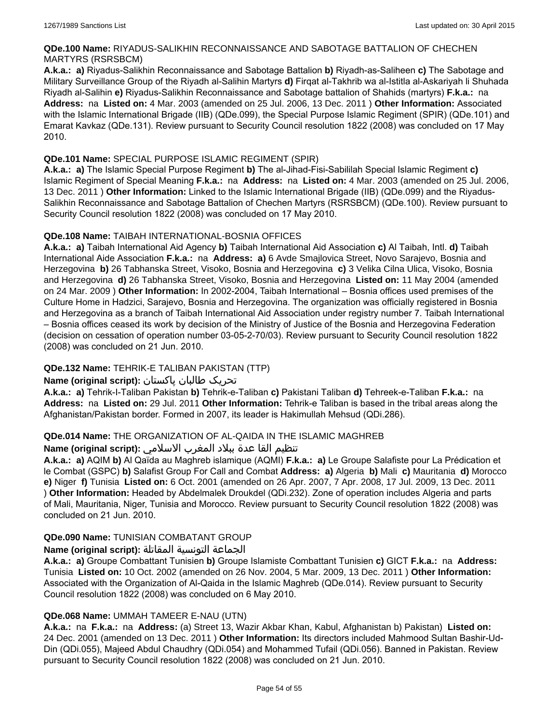## **QDe.100 Name:** RIYADUS-SALIKHIN RECONNAISSANCE AND SABOTAGE BATTALION OF CHECHEN MARTYRS (RSRSBCM)

**A.k.a.: a)** Riyadus-Salikhin Reconnaissance and Sabotage Battalion **b)** Riyadh-as-Saliheen **c)** The Sabotage and Military Surveillance Group of the Riyadh al-Salihin Martyrs **d)** Firqat al-Takhrib wa al-Istitla al-Askariyah li Shuhada Riyadh al-Salihin **e)** Riyadus-Salikhin Reconnaissance and Sabotage battalion of Shahids (martyrs) **F.k.a.:** na **Address:** na **Listed on:** 4 Mar. 2003 (amended on 25 Jul. 2006, 13 Dec. 2011 ) **Other Information:** Associated with the Islamic International Brigade (IIB) (QDe.099), the Special Purpose Islamic Regiment (SPIR) (QDe.101) and Emarat Kavkaz (QDe.131). Review pursuant to Security Council resolution 1822 (2008) was concluded on 17 May 2010.

## **QDe.101 Name:** SPECIAL PURPOSE ISLAMIC REGIMENT (SPIR)

**A.k.a.: a)** The Islamic Special Purpose Regiment **b)** The al-Jihad-Fisi-Sabililah Special Islamic Regiment **c)** Islamic Regiment of Special Meaning **F.k.a.:** na **Address:** na **Listed on:** 4 Mar. 2003 (amended on 25 Jul. 2006, 13 Dec. 2011 ) **Other Information:** Linked to the Islamic International Brigade (IIB) (QDe.099) and the Riyadus-Salikhin Reconnaissance and Sabotage Battalion of Chechen Martyrs (RSRSBCM) (QDe.100). Review pursuant to Security Council resolution 1822 (2008) was concluded on 17 May 2010.

## **QDe.108 Name:** TAIBAH INTERNATIONAL-BOSNIA OFFICES

**A.k.a.: a)** Taibah International Aid Agency **b)** Taibah International Aid Association **c)** Al Taibah, Intl. **d)** Taibah International Aide Association **F.k.a.:** na **Address: a)** 6 Avde Smajlovica Street, Novo Sarajevo, Bosnia and Herzegovina **b)** 26 Tabhanska Street, Visoko, Bosnia and Herzegovina **c)** 3 Velika Cilna Ulica, Visoko, Bosnia and Herzegovina **d)** 26 Tabhanska Street, Visoko, Bosnia and Herzegovina **Listed on:** 11 May 2004 (amended on 24 Mar. 2009 ) **Other Information:** In 2002-2004, Taibah International – Bosnia offices used premises of the Culture Home in Hadzici, Sarajevo, Bosnia and Herzegovina. The organization was officially registered in Bosnia and Herzegovina as a branch of Taibah International Aid Association under registry number 7. Taibah International – Bosnia offices ceased its work by decision of the Ministry of Justice of the Bosnia and Herzegovina Federation (decision on cessation of operation number 03-05-2-70/03). Review pursuant to Security Council resolution 1822 (2008) was concluded on 21 Jun. 2010.

## **QDe.132 Name:** TEHRIK-E TALIBAN PAKISTAN (TTP)

## تحریک طالبان پاکستان **:(script original (Name**

**A.k.a.: a)** Tehrik-I-Taliban Pakistan **b)** Tehrik-e-Taliban **c)** Pakistani Taliban **d)** Tehreek-e-Taliban **F.k.a.:** na **Address:** na **Listed on:** 29 Jul. 2011 **Other Information:** Tehrik-e Taliban is based in the tribal areas along the Afghanistan/Pakistan border. Formed in 2007, its leader is Hakimullah Mehsud (QDi.286).

## **QDe.014 Name:** THE ORGANIZATION OF AL-QAIDA IN THE ISLAMIC MAGHREB

## تنظيم القا عدة ببلاد المغرب الاسلامي **:(script original (Name**

**A.k.a.: a)** AQIM **b)** Al Qaïda au Maghreb islamique (AQMI) **F.k.a.: a)** Le Groupe Salafiste pour La Prédication et le Combat (GSPC) **b)** Salafist Group For Call and Combat **Address: a)** Algeria **b)** Mali **c)** Mauritania **d)** Morocco **e)** Niger **f)** Tunisia **Listed on:** 6 Oct. 2001 (amended on 26 Apr. 2007, 7 Apr. 2008, 17 Jul. 2009, 13 Dec. 2011 ) **Other Information:** Headed by Abdelmalek Droukdel (QDi.232). Zone of operation includes Algeria and parts of Mali, Mauritania, Niger, Tunisia and Morocco. Review pursuant to Security Council resolution 1822 (2008) was concluded on 21 Jun. 2010.

## **QDe.090 Name:** TUNISIAN COMBATANT GROUP

## الجماعة التونسية المقاتلة **:(script original (Name**

**A.k.a.: a)** Groupe Combattant Tunisien **b)** Groupe Islamiste Combattant Tunisien **c)** GICT **F.k.a.:** na **Address:** Tunisia **Listed on:** 10 Oct. 2002 (amended on 26 Nov. 2004, 5 Mar. 2009, 13 Dec. 2011 ) **Other Information:** Associated with the Organization of Al-Qaida in the Islamic Maghreb (QDe.014). Review pursuant to Security Council resolution 1822 (2008) was concluded on 6 May 2010.

## **QDe.068 Name:** UMMAH TAMEER E-NAU (UTN)

**A.k.a.:** na **F.k.a.:** na **Address:** (a) Street 13, Wazir Akbar Khan, Kabul, Afghanistan b) Pakistan) **Listed on:** 24 Dec. 2001 (amended on 13 Dec. 2011 ) **Other Information:** Its directors included Mahmood Sultan Bashir-Ud-Din (QDi.055), Majeed Abdul Chaudhry (QDi.054) and Mohammed Tufail (QDi.056). Banned in Pakistan. Review pursuant to Security Council resolution 1822 (2008) was concluded on 21 Jun. 2010.